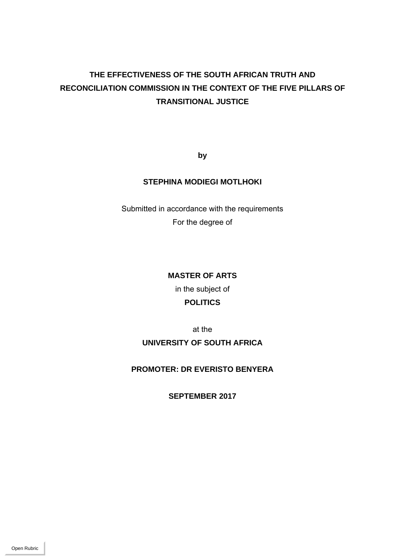# **THE EFFECTIVENESS OF THE SOUTH AFRICAN TRUTH AND RECONCILIATION COMMISSION IN THE CONTEXT OF THE FIVE PILLARS OF TRANSITIONAL JUSTICE**

**by** 

## **STEPHINA MODIEGI MOTLHOKI**

Submitted in accordance with the requirements For the degree of

## **MASTER OF ARTS**

in the subject of **POLITICS** 

at the

**UNIVERSITY OF SOUTH AFRICA** 

**PROMOTER: DR EVERISTO BENYERA** 

**SEPTEMBER 2017**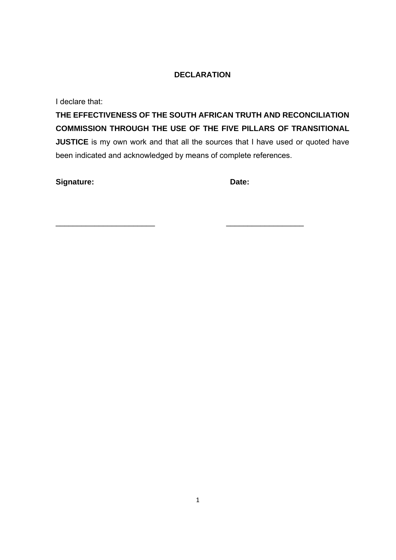## **DECLARATION**

I declare that:

**THE EFFECTIVENESS OF THE SOUTH AFRICAN TRUTH AND RECONCILIATION COMMISSION THROUGH THE USE OF THE FIVE PILLARS OF TRANSITIONAL JUSTICE** is my own work and that all the sources that I have used or quoted have been indicated and acknowledged by means of complete references.

 $\overline{\phantom{a}}$  , and the contract of the contract of the contract of the contract of the contract of the contract of the contract of the contract of the contract of the contract of the contract of the contract of the contrac

Signature: **Date: Date: Date: Date: Date:**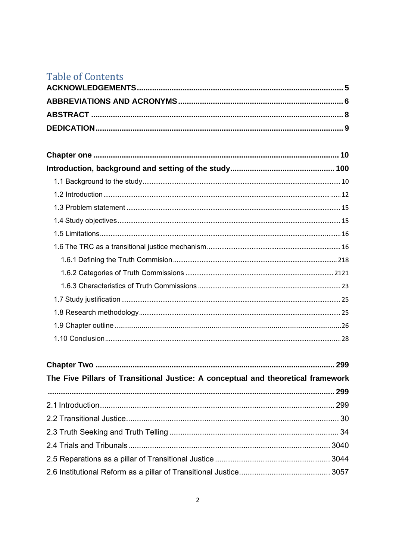# **Table of Contents**

| The Five Pillars of Transitional Justice: A conceptual and theoretical framework |  |
|----------------------------------------------------------------------------------|--|
|                                                                                  |  |
|                                                                                  |  |
|                                                                                  |  |
|                                                                                  |  |
|                                                                                  |  |
|                                                                                  |  |
|                                                                                  |  |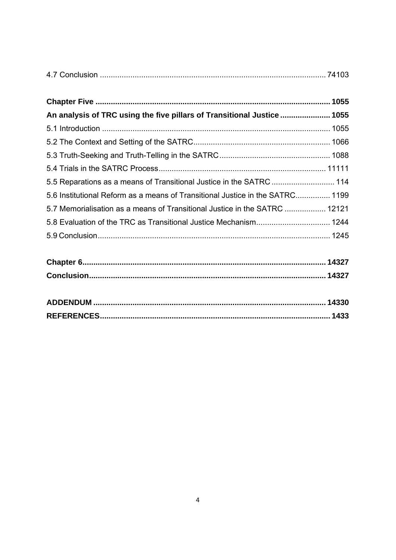| An analysis of TRC using the five pillars of Transitional Justice  1055       |  |
|-------------------------------------------------------------------------------|--|
|                                                                               |  |
|                                                                               |  |
|                                                                               |  |
|                                                                               |  |
| 5.5 Reparations as a means of Transitional Justice in the SATRC  114          |  |
| 5.6 Institutional Reform as a means of Transitional Justice in the SATRC 1199 |  |
| 5.7 Memorialisation as a means of Transitional Justice in the SATRC  12121    |  |
|                                                                               |  |
|                                                                               |  |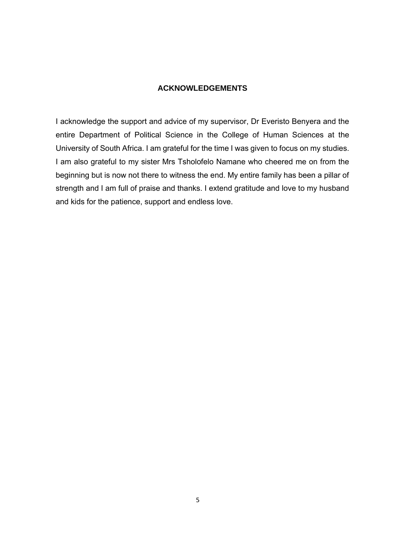#### **ACKNOWLEDGEMENTS**

I acknowledge the support and advice of my supervisor, Dr Everisto Benyera and the entire Department of Political Science in the College of Human Sciences at the University of South Africa. I am grateful for the time I was given to focus on my studies. I am also grateful to my sister Mrs Tsholofelo Namane who cheered me on from the beginning but is now not there to witness the end. My entire family has been a pillar of strength and I am full of praise and thanks. I extend gratitude and love to my husband and kids for the patience, support and endless love.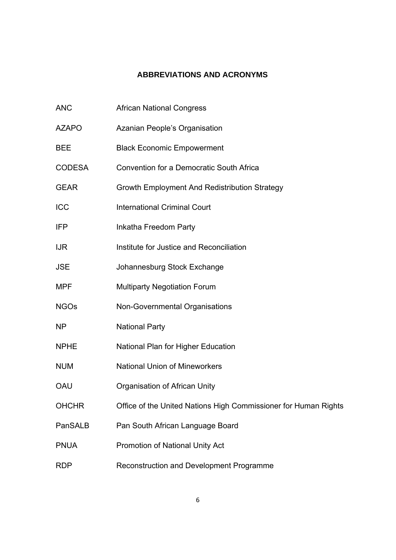# **ABBREVIATIONS AND ACRONYMS**

| <b>ANC</b>    | <b>African National Congress</b>                                |
|---------------|-----------------------------------------------------------------|
| <b>AZAPO</b>  | Azanian People's Organisation                                   |
| <b>BEE</b>    | <b>Black Economic Empowerment</b>                               |
| <b>CODESA</b> | <b>Convention for a Democratic South Africa</b>                 |
| <b>GEAR</b>   | Growth Employment And Redistribution Strategy                   |
| ICC           | <b>International Criminal Court</b>                             |
| IFP           | Inkatha Freedom Party                                           |
| <b>IJR</b>    | Institute for Justice and Reconciliation                        |
| <b>JSE</b>    | Johannesburg Stock Exchange                                     |
| <b>MPF</b>    | <b>Multiparty Negotiation Forum</b>                             |
| <b>NGOs</b>   | Non-Governmental Organisations                                  |
| <b>NP</b>     | <b>National Party</b>                                           |
| <b>NPHE</b>   | National Plan for Higher Education                              |
| <b>NUM</b>    | <b>National Union of Mineworkers</b>                            |
| OAU           | Organisation of African Unity                                   |
| <b>OHCHR</b>  | Office of the United Nations High Commissioner for Human Rights |
| PanSALB       | Pan South African Language Board                                |
| <b>PNUA</b>   | Promotion of National Unity Act                                 |
| <b>RDP</b>    | Reconstruction and Development Programme                        |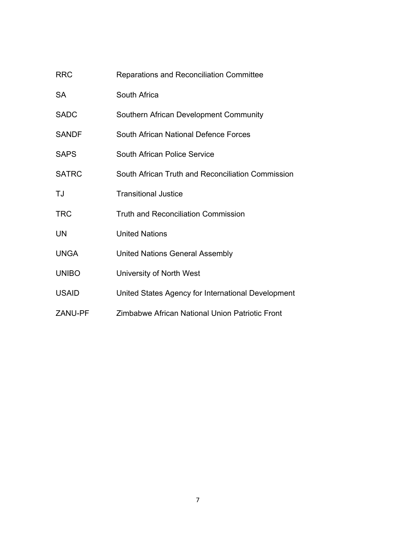| <b>RRC</b>     | Reparations and Reconciliation Committee           |
|----------------|----------------------------------------------------|
| <b>SA</b>      | South Africa                                       |
| <b>SADC</b>    | Southern African Development Community             |
| <b>SANDF</b>   | South African National Defence Forces              |
| <b>SAPS</b>    | South African Police Service                       |
| <b>SATRC</b>   | South African Truth and Reconciliation Commission  |
| TJ             | <b>Transitional Justice</b>                        |
| <b>TRC</b>     | <b>Truth and Reconciliation Commission</b>         |
| <b>UN</b>      | <b>United Nations</b>                              |
| <b>UNGA</b>    | <b>United Nations General Assembly</b>             |
| <b>UNIBO</b>   | University of North West                           |
| <b>USAID</b>   | United States Agency for International Development |
| <b>ZANU-PF</b> | Zimbabwe African National Union Patriotic Front    |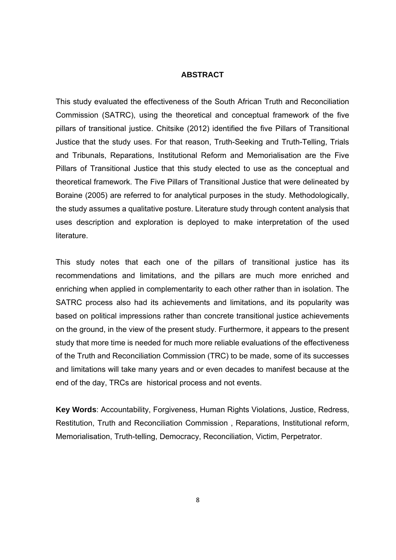#### **ABSTRACT**

This study evaluated the effectiveness of the South African Truth and Reconciliation Commission (SATRC), using the theoretical and conceptual framework of the five pillars of transitional justice. Chitsike (2012) identified the five Pillars of Transitional Justice that the study uses. For that reason, Truth-Seeking and Truth-Telling, Trials and Tribunals, Reparations, Institutional Reform and Memorialisation are the Five Pillars of Transitional Justice that this study elected to use as the conceptual and theoretical framework. The Five Pillars of Transitional Justice that were delineated by Boraine (2005) are referred to for analytical purposes in the study. Methodologically, the study assumes a qualitative posture. Literature study through content analysis that uses description and exploration is deployed to make interpretation of the used literature.

This study notes that each one of the pillars of transitional justice has its recommendations and limitations, and the pillars are much more enriched and enriching when applied in complementarity to each other rather than in isolation. The SATRC process also had its achievements and limitations, and its popularity was based on political impressions rather than concrete transitional justice achievements on the ground, in the view of the present study. Furthermore, it appears to the present study that more time is needed for much more reliable evaluations of the effectiveness of the Truth and Reconciliation Commission (TRC) to be made, some of its successes and limitations will take many years and or even decades to manifest because at the end of the day, TRCs are historical process and not events.

**Key Words**: Accountability, Forgiveness, Human Rights Violations, Justice, Redress, Restitution, Truth and Reconciliation Commission , Reparations, Institutional reform, Memorialisation, Truth-telling, Democracy, Reconciliation, Victim, Perpetrator.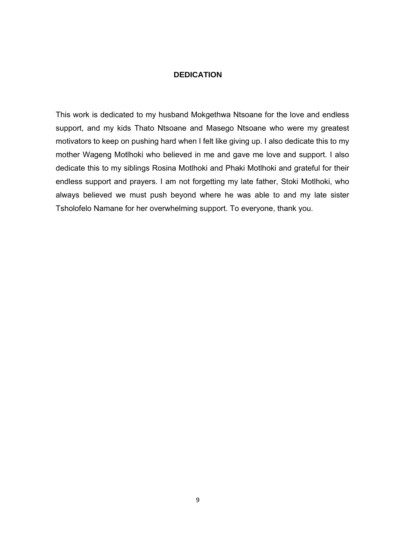#### **DEDICATION**

This work is dedicated to my husband Mokgethwa Ntsoane for the love and endless support, and my kids Thato Ntsoane and Masego Ntsoane who were my greatest motivators to keep on pushing hard when I felt like giving up. I also dedicate this to my mother Wageng Motlhoki who believed in me and gave me love and support. I also dedicate this to my siblings Rosina Motlhoki and Phaki Motlhoki and grateful for their endless support and prayers. I am not forgetting my late father, Stoki Motlhoki, who always believed we must push beyond where he was able to and my late sister Tsholofelo Namane for her overwhelming support. To everyone, thank you.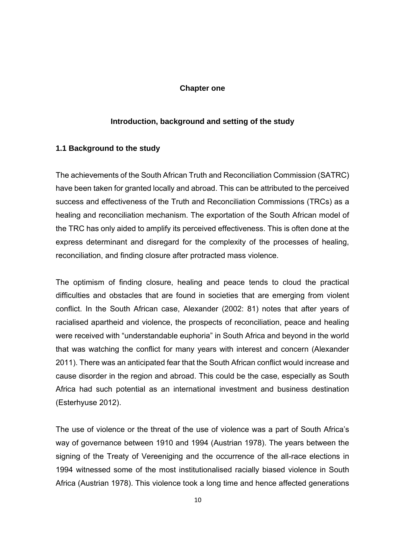#### **Chapter one**

#### **Introduction, background and setting of the study**

#### **1.1 Background to the study**

The achievements of the South African Truth and Reconciliation Commission (SATRC) have been taken for granted locally and abroad. This can be attributed to the perceived success and effectiveness of the Truth and Reconciliation Commissions (TRCs) as a healing and reconciliation mechanism. The exportation of the South African model of the TRC has only aided to amplify its perceived effectiveness. This is often done at the express determinant and disregard for the complexity of the processes of healing, reconciliation, and finding closure after protracted mass violence.

The optimism of finding closure, healing and peace tends to cloud the practical difficulties and obstacles that are found in societies that are emerging from violent conflict. In the South African case, Alexander (2002: 81) notes that after years of racialised apartheid and violence, the prospects of reconciliation, peace and healing were received with "understandable euphoria" in South Africa and beyond in the world that was watching the conflict for many years with interest and concern (Alexander 2011). There was an anticipated fear that the South African conflict would increase and cause disorder in the region and abroad. This could be the case, especially as South Africa had such potential as an international investment and business destination (Esterhyuse 2012).

The use of violence or the threat of the use of violence was a part of South Africa's way of governance between 1910 and 1994 (Austrian 1978). The years between the signing of the Treaty of Vereeniging and the occurrence of the all-race elections in 1994 witnessed some of the most institutionalised racially biased violence in South Africa (Austrian 1978). This violence took a long time and hence affected generations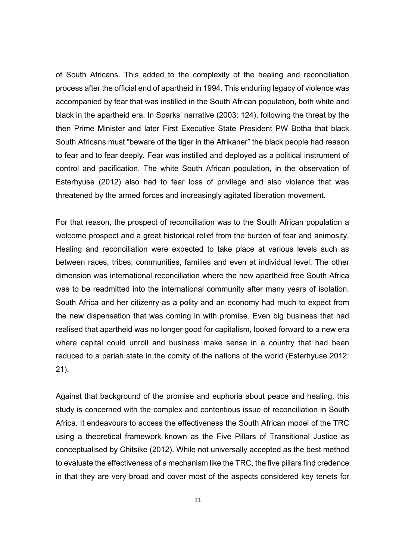of South Africans. This added to the complexity of the healing and reconciliation process after the official end of apartheid in 1994. This enduring legacy of violence was accompanied by fear that was instilled in the South African population, both white and black in the apartheid era. In Sparks' narrative (2003: 124), following the threat by the then Prime Minister and later First Executive State President PW Botha that black South Africans must "beware of the tiger in the Afrikaner" the black people had reason to fear and to fear deeply. Fear was instilled and deployed as a political instrument of control and pacification. The white South African population, in the observation of Esterhyuse (2012) also had to fear loss of privilege and also violence that was threatened by the armed forces and increasingly agitated liberation movement.

For that reason, the prospect of reconciliation was to the South African population a welcome prospect and a great historical relief from the burden of fear and animosity. Healing and reconciliation were expected to take place at various levels such as between races, tribes, communities, families and even at individual level. The other dimension was international reconciliation where the new apartheid free South Africa was to be readmitted into the international community after many years of isolation. South Africa and her citizenry as a polity and an economy had much to expect from the new dispensation that was coming in with promise. Even big business that had realised that apartheid was no longer good for capitalism, looked forward to a new era where capital could unroll and business make sense in a country that had been reduced to a pariah state in the comity of the nations of the world (Esterhyuse 2012: 21).

Against that background of the promise and euphoria about peace and healing, this study is concerned with the complex and contentious issue of reconciliation in South Africa. It endeavours to access the effectiveness the South African model of the TRC using a theoretical framework known as the Five Pillars of Transitional Justice as conceptualised by Chitsike (2012). While not universally accepted as the best method to evaluate the effectiveness of a mechanism like the TRC, the five pillars find credence in that they are very broad and cover most of the aspects considered key tenets for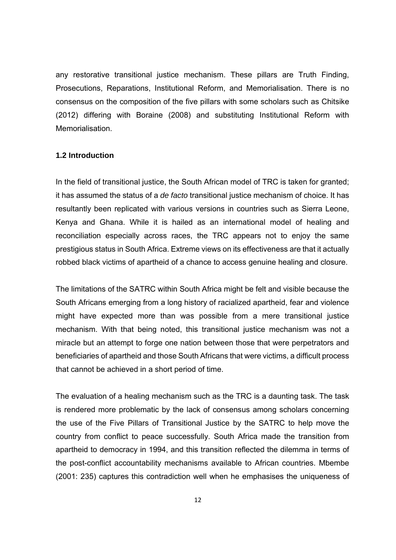any restorative transitional justice mechanism. These pillars are Truth Finding, Prosecutions, Reparations, Institutional Reform, and Memorialisation. There is no consensus on the composition of the five pillars with some scholars such as Chitsike (2012) differing with Boraine (2008) and substituting Institutional Reform with Memorialisation.

#### **1.2 Introduction**

In the field of transitional justice, the South African model of TRC is taken for granted; it has assumed the status of a *de facto* transitional justice mechanism of choice. It has resultantly been replicated with various versions in countries such as Sierra Leone, Kenya and Ghana. While it is hailed as an international model of healing and reconciliation especially across races, the TRC appears not to enjoy the same prestigious status in South Africa. Extreme views on its effectiveness are that it actually robbed black victims of apartheid of a chance to access genuine healing and closure.

The limitations of the SATRC within South Africa might be felt and visible because the South Africans emerging from a long history of racialized apartheid, fear and violence might have expected more than was possible from a mere transitional justice mechanism. With that being noted, this transitional justice mechanism was not a miracle but an attempt to forge one nation between those that were perpetrators and beneficiaries of apartheid and those South Africans that were victims, a difficult process that cannot be achieved in a short period of time.

The evaluation of a healing mechanism such as the TRC is a daunting task. The task is rendered more problematic by the lack of consensus among scholars concerning the use of the Five Pillars of Transitional Justice by the SATRC to help move the country from conflict to peace successfully. South Africa made the transition from apartheid to democracy in 1994, and this transition reflected the dilemma in terms of the post-conflict accountability mechanisms available to African countries. Mbembe (2001: 235) captures this contradiction well when he emphasises the uniqueness of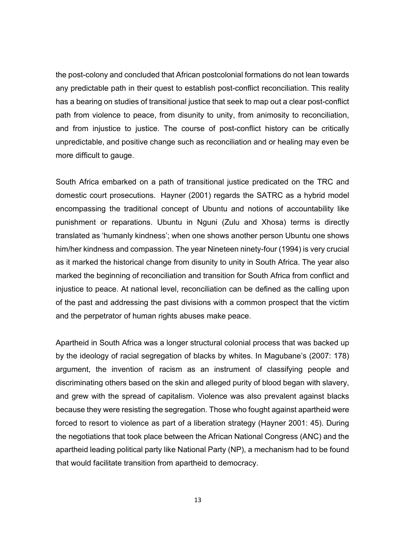the post-colony and concluded that African postcolonial formations do not lean towards any predictable path in their quest to establish post-conflict reconciliation. This reality has a bearing on studies of transitional justice that seek to map out a clear post-conflict path from violence to peace, from disunity to unity, from animosity to reconciliation, and from injustice to justice. The course of post-conflict history can be critically unpredictable, and positive change such as reconciliation and or healing may even be more difficult to gauge.

South Africa embarked on a path of transitional justice predicated on the TRC and domestic court prosecutions. Hayner (2001) regards the SATRC as a hybrid model encompassing the traditional concept of Ubuntu and notions of accountability like punishment or reparations. Ubuntu in Nguni (Zulu and Xhosa) terms is directly translated as 'humanly kindness'; when one shows another person Ubuntu one shows him/her kindness and compassion. The year Nineteen ninety-four (1994) is very crucial as it marked the historical change from disunity to unity in South Africa. The year also marked the beginning of reconciliation and transition for South Africa from conflict and injustice to peace. At national level, reconciliation can be defined as the calling upon of the past and addressing the past divisions with a common prospect that the victim and the perpetrator of human rights abuses make peace.

Apartheid in South Africa was a longer structural colonial process that was backed up by the ideology of racial segregation of blacks by whites. In Magubane's (2007: 178) argument, the invention of racism as an instrument of classifying people and discriminating others based on the skin and alleged purity of blood began with slavery, and grew with the spread of capitalism. Violence was also prevalent against blacks because they were resisting the segregation. Those who fought against apartheid were forced to resort to violence as part of a liberation strategy (Hayner 2001: 45). During the negotiations that took place between the African National Congress (ANC) and the apartheid leading political party like National Party (NP), a mechanism had to be found that would facilitate transition from apartheid to democracy.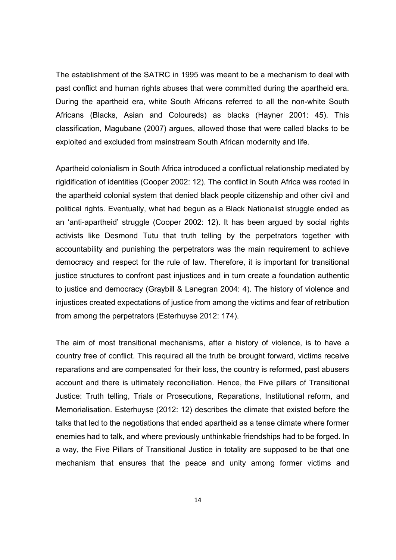The establishment of the SATRC in 1995 was meant to be a mechanism to deal with past conflict and human rights abuses that were committed during the apartheid era. During the apartheid era, white South Africans referred to all the non-white South Africans (Blacks, Asian and Coloureds) as blacks (Hayner 2001: 45). This classification, Magubane (2007) argues, allowed those that were called blacks to be exploited and excluded from mainstream South African modernity and life.

Apartheid colonialism in South Africa introduced a conflictual relationship mediated by rigidification of identities (Cooper 2002: 12). The conflict in South Africa was rooted in the apartheid colonial system that denied black people citizenship and other civil and political rights. Eventually, what had begun as a Black Nationalist struggle ended as an 'anti-apartheid' struggle (Cooper 2002: 12). It has been argued by social rights activists like Desmond Tutu that truth telling by the perpetrators together with accountability and punishing the perpetrators was the main requirement to achieve democracy and respect for the rule of law. Therefore, it is important for transitional justice structures to confront past injustices and in turn create a foundation authentic to justice and democracy (Graybill & Lanegran 2004: 4). The history of violence and injustices created expectations of justice from among the victims and fear of retribution from among the perpetrators (Esterhuyse 2012: 174).

The aim of most transitional mechanisms, after a history of violence, is to have a country free of conflict. This required all the truth be brought forward, victims receive reparations and are compensated for their loss, the country is reformed, past abusers account and there is ultimately reconciliation. Hence, the Five pillars of Transitional Justice: Truth telling, Trials or Prosecutions, Reparations, Institutional reform, and Memorialisation. Esterhuyse (2012: 12) describes the climate that existed before the talks that led to the negotiations that ended apartheid as a tense climate where former enemies had to talk, and where previously unthinkable friendships had to be forged. In a way, the Five Pillars of Transitional Justice in totality are supposed to be that one mechanism that ensures that the peace and unity among former victims and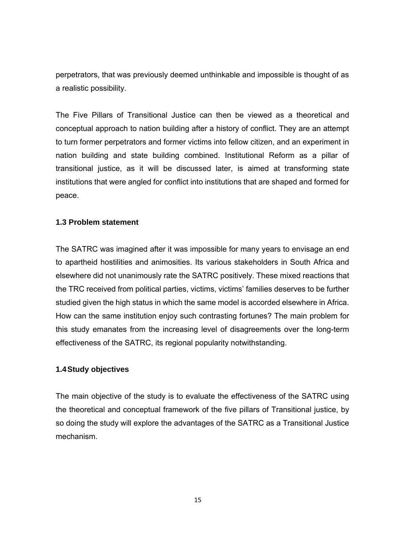perpetrators, that was previously deemed unthinkable and impossible is thought of as a realistic possibility.

The Five Pillars of Transitional Justice can then be viewed as a theoretical and conceptual approach to nation building after a history of conflict. They are an attempt to turn former perpetrators and former victims into fellow citizen, and an experiment in nation building and state building combined. Institutional Reform as a pillar of transitional justice, as it will be discussed later, is aimed at transforming state institutions that were angled for conflict into institutions that are shaped and formed for peace.

#### **1.3 Problem statement**

The SATRC was imagined after it was impossible for many years to envisage an end to apartheid hostilities and animosities. Its various stakeholders in South Africa and elsewhere did not unanimously rate the SATRC positively. These mixed reactions that the TRC received from political parties, victims, victims' families deserves to be further studied given the high status in which the same model is accorded elsewhere in Africa. How can the same institution enjoy such contrasting fortunes? The main problem for this study emanates from the increasing level of disagreements over the long-term effectiveness of the SATRC, its regional popularity notwithstanding.

#### **1.4 Study objectives**

The main objective of the study is to evaluate the effectiveness of the SATRC using the theoretical and conceptual framework of the five pillars of Transitional justice, by so doing the study will explore the advantages of the SATRC as a Transitional Justice mechanism.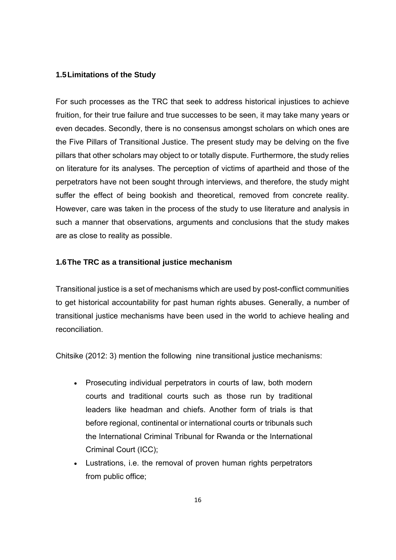#### **1.5 Limitations of the Study**

For such processes as the TRC that seek to address historical injustices to achieve fruition, for their true failure and true successes to be seen, it may take many years or even decades. Secondly, there is no consensus amongst scholars on which ones are the Five Pillars of Transitional Justice. The present study may be delving on the five pillars that other scholars may object to or totally dispute. Furthermore, the study relies on literature for its analyses. The perception of victims of apartheid and those of the perpetrators have not been sought through interviews, and therefore, the study might suffer the effect of being bookish and theoretical, removed from concrete reality. However, care was taken in the process of the study to use literature and analysis in such a manner that observations, arguments and conclusions that the study makes are as close to reality as possible.

#### **1.6 The TRC as a transitional justice mechanism**

Transitional justice is a set of mechanisms which are used by post-conflict communities to get historical accountability for past human rights abuses. Generally, a number of transitional justice mechanisms have been used in the world to achieve healing and reconciliation.

Chitsike (2012: 3) mention the following nine transitional justice mechanisms:

- Prosecuting individual perpetrators in courts of law, both modern courts and traditional courts such as those run by traditional leaders like headman and chiefs. Another form of trials is that before regional, continental or international courts or tribunals such the International Criminal Tribunal for Rwanda or the International Criminal Court (ICC);
- Lustrations, i.e. the removal of proven human rights perpetrators from public office;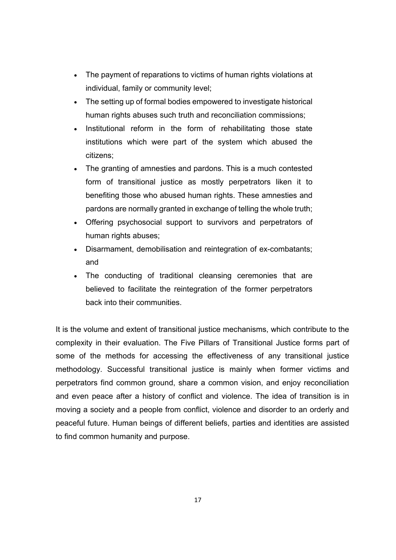- The payment of reparations to victims of human rights violations at individual, family or community level;
- The setting up of formal bodies empowered to investigate historical human rights abuses such truth and reconciliation commissions;
- Institutional reform in the form of rehabilitating those state institutions which were part of the system which abused the citizens;
- The granting of amnesties and pardons. This is a much contested form of transitional justice as mostly perpetrators liken it to benefiting those who abused human rights. These amnesties and pardons are normally granted in exchange of telling the whole truth;
- Offering psychosocial support to survivors and perpetrators of human rights abuses;
- Disarmament, demobilisation and reintegration of ex-combatants; and
- The conducting of traditional cleansing ceremonies that are believed to facilitate the reintegration of the former perpetrators back into their communities.

It is the volume and extent of transitional justice mechanisms, which contribute to the complexity in their evaluation. The Five Pillars of Transitional Justice forms part of some of the methods for accessing the effectiveness of any transitional justice methodology. Successful transitional justice is mainly when former victims and perpetrators find common ground, share a common vision, and enjoy reconciliation and even peace after a history of conflict and violence. The idea of transition is in moving a society and a people from conflict, violence and disorder to an orderly and peaceful future. Human beings of different beliefs, parties and identities are assisted to find common humanity and purpose.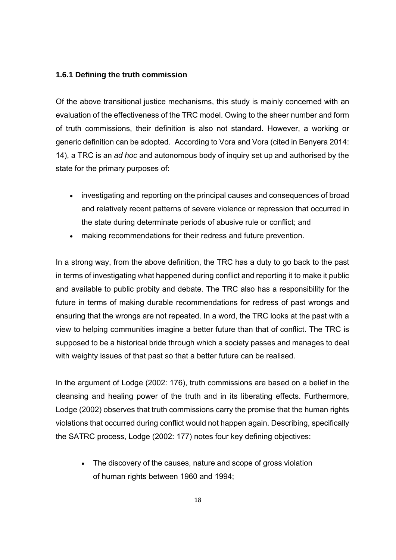#### **1.6.1 Defining the truth commission**

Of the above transitional justice mechanisms, this study is mainly concerned with an evaluation of the effectiveness of the TRC model. Owing to the sheer number and form of truth commissions, their definition is also not standard. However, a working or generic definition can be adopted. According to Vora and Vora (cited in Benyera 2014: 14), a TRC is an *ad hoc* and autonomous body of inquiry set up and authorised by the state for the primary purposes of:

- investigating and reporting on the principal causes and consequences of broad and relatively recent patterns of severe violence or repression that occurred in the state during determinate periods of abusive rule or conflict; and
- making recommendations for their redress and future prevention.

In a strong way, from the above definition, the TRC has a duty to go back to the past in terms of investigating what happened during conflict and reporting it to make it public and available to public probity and debate. The TRC also has a responsibility for the future in terms of making durable recommendations for redress of past wrongs and ensuring that the wrongs are not repeated. In a word, the TRC looks at the past with a view to helping communities imagine a better future than that of conflict. The TRC is supposed to be a historical bride through which a society passes and manages to deal with weighty issues of that past so that a better future can be realised.

In the argument of Lodge (2002: 176), truth commissions are based on a belief in the cleansing and healing power of the truth and in its liberating effects. Furthermore, Lodge (2002) observes that truth commissions carry the promise that the human rights violations that occurred during conflict would not happen again. Describing, specifically the SATRC process, Lodge (2002: 177) notes four key defining objectives:

• The discovery of the causes, nature and scope of gross violation of human rights between 1960 and 1994;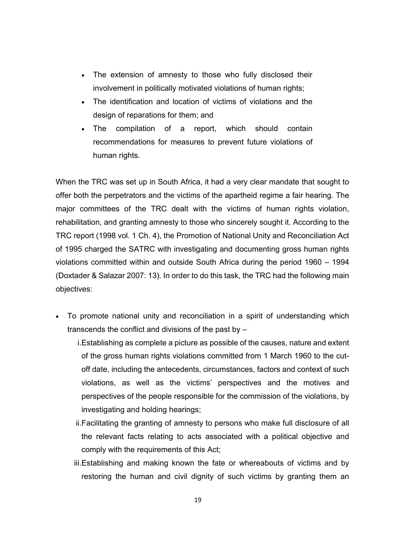- The extension of amnesty to those who fully disclosed their involvement in politically motivated violations of human rights;
- The identification and location of victims of violations and the design of reparations for them; and
- The compilation of a report, which should contain recommendations for measures to prevent future violations of human rights.

When the TRC was set up in South Africa, it had a very clear mandate that sought to offer both the perpetrators and the victims of the apartheid regime a fair hearing. The major committees of the TRC dealt with the victims of human rights violation, rehabilitation, and granting amnesty to those who sincerely sought it. According to the TRC report (1998 vol. 1 Ch. 4), the Promotion of National Unity and Reconciliation Act of 1995 charged the SATRC with investigating and documenting gross human rights violations committed within and outside South Africa during the period 1960 – 1994 (Doxtader & Salazar 2007: 13). In order to do this task, the TRC had the following main objectives:

- To promote national unity and reconciliation in a spirit of understanding which transcends the conflict and divisions of the past by –
	- i.Establishing as complete a picture as possible of the causes, nature and extent of the gross human rights violations committed from 1 March 1960 to the cutoff date, including the antecedents, circumstances, factors and context of such violations, as well as the victims' perspectives and the motives and perspectives of the people responsible for the commission of the violations, by investigating and holding hearings;
	- ii.Facilitating the granting of amnesty to persons who make full disclosure of all the relevant facts relating to acts associated with a political objective and comply with the requirements of this Act;
	- iii.Establishing and making known the fate or whereabouts of victims and by restoring the human and civil dignity of such victims by granting them an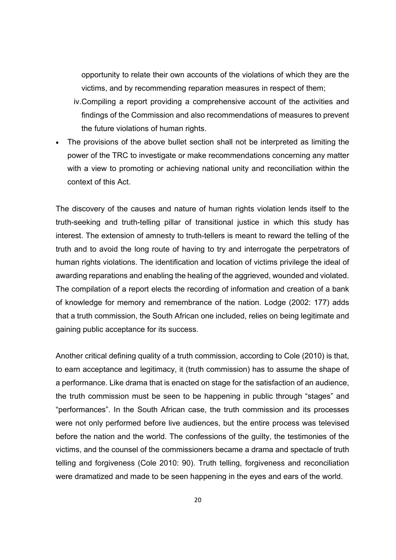opportunity to relate their own accounts of the violations of which they are the victims, and by recommending reparation measures in respect of them;

- iv.Compiling a report providing a comprehensive account of the activities and findings of the Commission and also recommendations of measures to prevent the future violations of human rights.
- The provisions of the above bullet section shall not be interpreted as limiting the power of the TRC to investigate or make recommendations concerning any matter with a view to promoting or achieving national unity and reconciliation within the context of this Act.

The discovery of the causes and nature of human rights violation lends itself to the truth-seeking and truth-telling pillar of transitional justice in which this study has interest. The extension of amnesty to truth-tellers is meant to reward the telling of the truth and to avoid the long route of having to try and interrogate the perpetrators of human rights violations. The identification and location of victims privilege the ideal of awarding reparations and enabling the healing of the aggrieved, wounded and violated. The compilation of a report elects the recording of information and creation of a bank of knowledge for memory and remembrance of the nation. Lodge (2002: 177) adds that a truth commission, the South African one included, relies on being legitimate and gaining public acceptance for its success.

Another critical defining quality of a truth commission, according to Cole (2010) is that, to earn acceptance and legitimacy, it (truth commission) has to assume the shape of a performance. Like drama that is enacted on stage for the satisfaction of an audience, the truth commission must be seen to be happening in public through "stages" and "performances". In the South African case, the truth commission and its processes were not only performed before live audiences, but the entire process was televised before the nation and the world. The confessions of the guilty, the testimonies of the victims, and the counsel of the commissioners became a drama and spectacle of truth telling and forgiveness (Cole 2010: 90). Truth telling, forgiveness and reconciliation were dramatized and made to be seen happening in the eyes and ears of the world.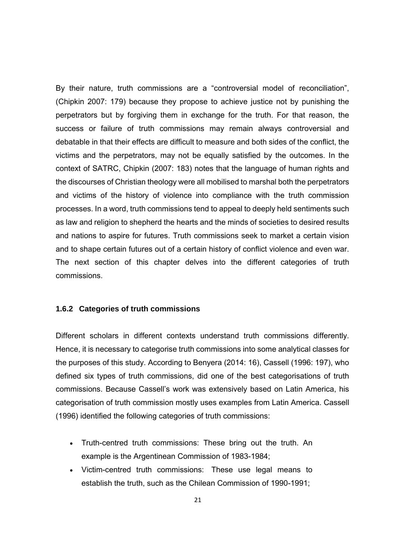By their nature, truth commissions are a "controversial model of reconciliation", (Chipkin 2007: 179) because they propose to achieve justice not by punishing the perpetrators but by forgiving them in exchange for the truth. For that reason, the success or failure of truth commissions may remain always controversial and debatable in that their effects are difficult to measure and both sides of the conflict, the victims and the perpetrators, may not be equally satisfied by the outcomes. In the context of SATRC, Chipkin (2007: 183) notes that the language of human rights and the discourses of Christian theology were all mobilised to marshal both the perpetrators and victims of the history of violence into compliance with the truth commission processes. In a word, truth commissions tend to appeal to deeply held sentiments such as law and religion to shepherd the hearts and the minds of societies to desired results and nations to aspire for futures. Truth commissions seek to market a certain vision and to shape certain futures out of a certain history of conflict violence and even war. The next section of this chapter delves into the different categories of truth commissions.

#### **1.6.2 Categories of truth commissions**

Different scholars in different contexts understand truth commissions differently. Hence, it is necessary to categorise truth commissions into some analytical classes for the purposes of this study. According to Benyera (2014: 16), Cassell (1996: 197), who defined six types of truth commissions, did one of the best categorisations of truth commissions. Because Cassell's work was extensively based on Latin America, his categorisation of truth commission mostly uses examples from Latin America. Cassell (1996) identified the following categories of truth commissions:

- Truth-centred truth commissions: These bring out the truth. An example is the Argentinean Commission of 1983-1984;
- Victim-centred truth commissions: These use legal means to establish the truth, such as the Chilean Commission of 1990-1991;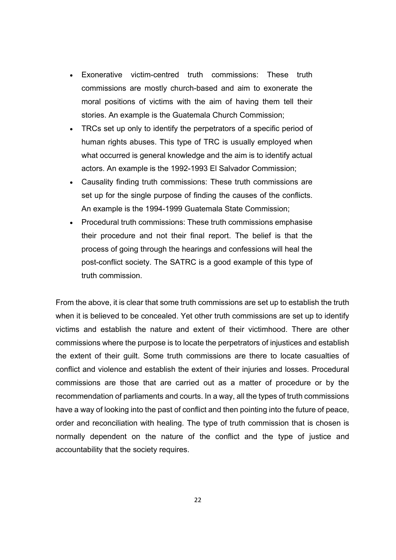- Exonerative victim-centred truth commissions: These truth commissions are mostly church-based and aim to exonerate the moral positions of victims with the aim of having them tell their stories. An example is the Guatemala Church Commission;
- TRCs set up only to identify the perpetrators of a specific period of human rights abuses. This type of TRC is usually employed when what occurred is general knowledge and the aim is to identify actual actors. An example is the 1992-1993 El Salvador Commission;
- Causality finding truth commissions: These truth commissions are set up for the single purpose of finding the causes of the conflicts. An example is the 1994-1999 Guatemala State Commission;
- Procedural truth commissions: These truth commissions emphasise their procedure and not their final report. The belief is that the process of going through the hearings and confessions will heal the post-conflict society. The SATRC is a good example of this type of truth commission.

From the above, it is clear that some truth commissions are set up to establish the truth when it is believed to be concealed. Yet other truth commissions are set up to identify victims and establish the nature and extent of their victimhood. There are other commissions where the purpose is to locate the perpetrators of injustices and establish the extent of their guilt. Some truth commissions are there to locate casualties of conflict and violence and establish the extent of their injuries and losses. Procedural commissions are those that are carried out as a matter of procedure or by the recommendation of parliaments and courts. In a way, all the types of truth commissions have a way of looking into the past of conflict and then pointing into the future of peace, order and reconciliation with healing. The type of truth commission that is chosen is normally dependent on the nature of the conflict and the type of justice and accountability that the society requires.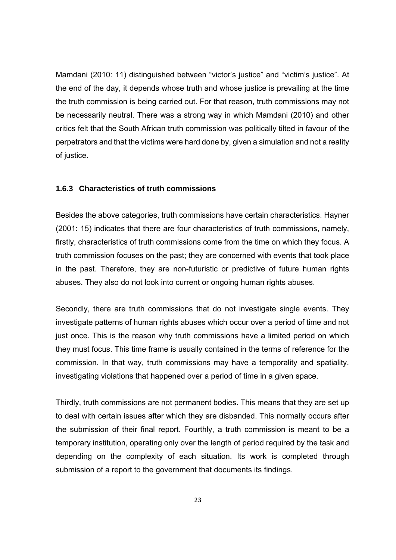Mamdani (2010: 11) distinguished between "victor's justice" and "victim's justice". At the end of the day, it depends whose truth and whose justice is prevailing at the time the truth commission is being carried out. For that reason, truth commissions may not be necessarily neutral. There was a strong way in which Mamdani (2010) and other critics felt that the South African truth commission was politically tilted in favour of the perpetrators and that the victims were hard done by, given a simulation and not a reality of justice.

#### **1.6.3 Characteristics of truth commissions**

Besides the above categories, truth commissions have certain characteristics. Hayner (2001: 15) indicates that there are four characteristics of truth commissions, namely, firstly, characteristics of truth commissions come from the time on which they focus. A truth commission focuses on the past; they are concerned with events that took place in the past. Therefore, they are non-futuristic or predictive of future human rights abuses. They also do not look into current or ongoing human rights abuses.

Secondly, there are truth commissions that do not investigate single events. They investigate patterns of human rights abuses which occur over a period of time and not just once. This is the reason why truth commissions have a limited period on which they must focus. This time frame is usually contained in the terms of reference for the commission. In that way, truth commissions may have a temporality and spatiality, investigating violations that happened over a period of time in a given space.

Thirdly, truth commissions are not permanent bodies. This means that they are set up to deal with certain issues after which they are disbanded. This normally occurs after the submission of their final report. Fourthly, a truth commission is meant to be a temporary institution, operating only over the length of period required by the task and depending on the complexity of each situation. Its work is completed through submission of a report to the government that documents its findings.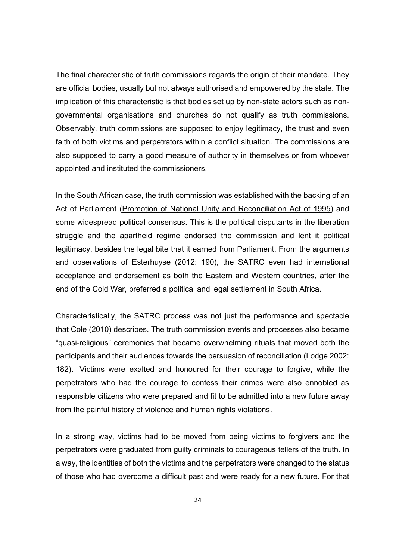The final characteristic of truth commissions regards the origin of their mandate. They are official bodies, usually but not always authorised and empowered by the state. The implication of this characteristic is that bodies set up by non-state actors such as nongovernmental organisations and churches do not qualify as truth commissions. Observably, truth commissions are supposed to enjoy legitimacy, the trust and even faith of both victims and perpetrators within a conflict situation. The commissions are also supposed to carry a good measure of authority in themselves or from whoever appointed and instituted the commissioners.

In the South African case, the truth commission was established with the backing of an Act of Parliament (Promotion of National Unity and Reconciliation Act of 1995) and some widespread political consensus. This is the political disputants in the liberation struggle and the apartheid regime endorsed the commission and lent it political legitimacy, besides the legal bite that it earned from Parliament. From the arguments and observations of Esterhuyse (2012: 190), the SATRC even had international acceptance and endorsement as both the Eastern and Western countries, after the end of the Cold War, preferred a political and legal settlement in South Africa.

Characteristically, the SATRC process was not just the performance and spectacle that Cole (2010) describes. The truth commission events and processes also became "quasi-religious" ceremonies that became overwhelming rituals that moved both the participants and their audiences towards the persuasion of reconciliation (Lodge 2002: 182). Victims were exalted and honoured for their courage to forgive, while the perpetrators who had the courage to confess their crimes were also ennobled as responsible citizens who were prepared and fit to be admitted into a new future away from the painful history of violence and human rights violations.

In a strong way, victims had to be moved from being victims to forgivers and the perpetrators were graduated from guilty criminals to courageous tellers of the truth. In a way, the identities of both the victims and the perpetrators were changed to the status of those who had overcome a difficult past and were ready for a new future. For that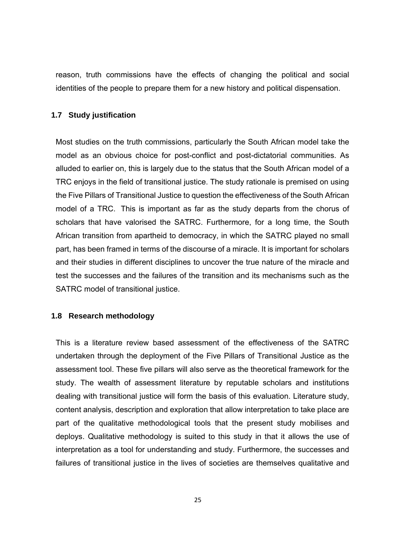reason, truth commissions have the effects of changing the political and social identities of the people to prepare them for a new history and political dispensation.

#### **1.7 Study justification**

Most studies on the truth commissions, particularly the South African model take the model as an obvious choice for post-conflict and post-dictatorial communities. As alluded to earlier on, this is largely due to the status that the South African model of a TRC enjoys in the field of transitional justice. The study rationale is premised on using the Five Pillars of Transitional Justice to question the effectiveness of the South African model of a TRC. This is important as far as the study departs from the chorus of scholars that have valorised the SATRC. Furthermore, for a long time, the South African transition from apartheid to democracy, in which the SATRC played no small part, has been framed in terms of the discourse of a miracle. It is important for scholars and their studies in different disciplines to uncover the true nature of the miracle and test the successes and the failures of the transition and its mechanisms such as the SATRC model of transitional justice.

#### **1.8 Research methodology**

This is a literature review based assessment of the effectiveness of the SATRC undertaken through the deployment of the Five Pillars of Transitional Justice as the assessment tool. These five pillars will also serve as the theoretical framework for the study. The wealth of assessment literature by reputable scholars and institutions dealing with transitional justice will form the basis of this evaluation. Literature study, content analysis, description and exploration that allow interpretation to take place are part of the qualitative methodological tools that the present study mobilises and deploys. Qualitative methodology is suited to this study in that it allows the use of interpretation as a tool for understanding and study. Furthermore, the successes and failures of transitional justice in the lives of societies are themselves qualitative and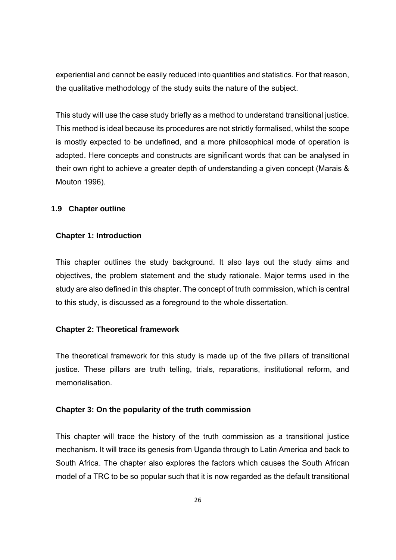experiential and cannot be easily reduced into quantities and statistics. For that reason, the qualitative methodology of the study suits the nature of the subject.

This study will use the case study briefly as a method to understand transitional justice. This method is ideal because its procedures are not strictly formalised, whilst the scope is mostly expected to be undefined, and a more philosophical mode of operation is adopted. Here concepts and constructs are significant words that can be analysed in their own right to achieve a greater depth of understanding a given concept (Marais & Mouton 1996).

#### **1.9 Chapter outline**

#### **Chapter 1: Introduction**

This chapter outlines the study background. It also lays out the study aims and objectives, the problem statement and the study rationale. Major terms used in the study are also defined in this chapter. The concept of truth commission, which is central to this study, is discussed as a foreground to the whole dissertation.

### **Chapter 2: Theoretical framework**

The theoretical framework for this study is made up of the five pillars of transitional justice. These pillars are truth telling, trials, reparations, institutional reform, and memorialisation.

#### **Chapter 3: On the popularity of the truth commission**

This chapter will trace the history of the truth commission as a transitional justice mechanism. It will trace its genesis from Uganda through to Latin America and back to South Africa. The chapter also explores the factors which causes the South African model of a TRC to be so popular such that it is now regarded as the default transitional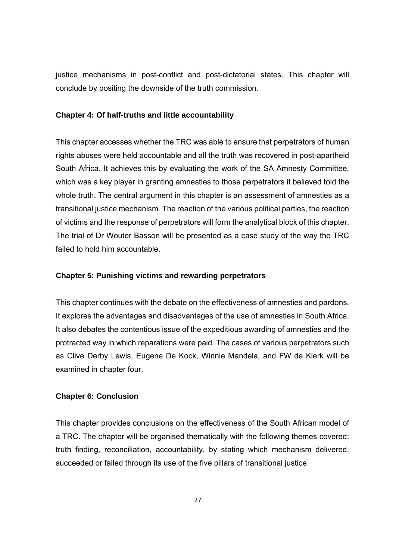justice mechanisms in post-conflict and post-dictatorial states. This chapter will conclude by positing the downside of the truth commission.

#### **Chapter 4: Of half-truths and little accountability**

This chapter accesses whether the TRC was able to ensure that perpetrators of human rights abuses were held accountable and all the truth was recovered in post-apartheid South Africa. It achieves this by evaluating the work of the SA Amnesty Committee, which was a key player in granting amnesties to those perpetrators it believed told the whole truth. The central argument in this chapter is an assessment of amnesties as a transitional justice mechanism. The reaction of the various political parties, the reaction of victims and the response of perpetrators will form the analytical block of this chapter. The trial of Dr Wouter Basson will be presented as a case study of the way the TRC failed to hold him accountable.

#### **Chapter 5: Punishing victims and rewarding perpetrators**

This chapter continues with the debate on the effectiveness of amnesties and pardons. It explores the advantages and disadvantages of the use of amnesties in South Africa. It also debates the contentious issue of the expeditious awarding of amnesties and the protracted way in which reparations were paid. The cases of various perpetrators such as Clive Derby Lewis, Eugene De Kock, Winnie Mandela, and FW de Klerk will be examined in chapter four.

#### **Chapter 6: Conclusion**

This chapter provides conclusions on the effectiveness of the South African model of a TRC. The chapter will be organised thematically with the following themes covered: truth finding, reconciliation, accountability, by stating which mechanism delivered, succeeded or failed through its use of the five pillars of transitional justice.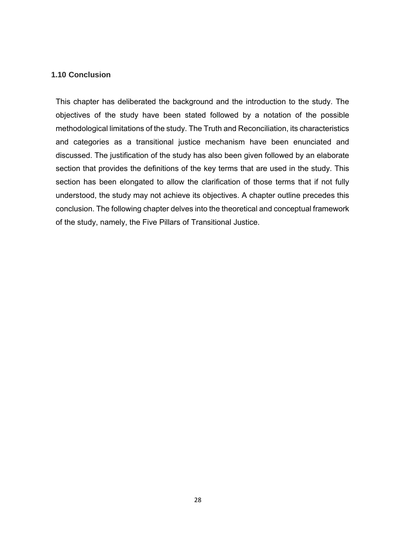#### **1.10 Conclusion**

This chapter has deliberated the background and the introduction to the study. The objectives of the study have been stated followed by a notation of the possible methodological limitations of the study. The Truth and Reconciliation, its characteristics and categories as a transitional justice mechanism have been enunciated and discussed. The justification of the study has also been given followed by an elaborate section that provides the definitions of the key terms that are used in the study. This section has been elongated to allow the clarification of those terms that if not fully understood, the study may not achieve its objectives. A chapter outline precedes this conclusion. The following chapter delves into the theoretical and conceptual framework of the study, namely, the Five Pillars of Transitional Justice.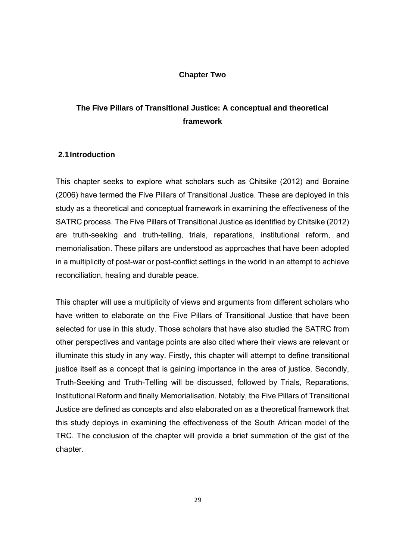#### **Chapter Two**

# **The Five Pillars of Transitional Justice: A conceptual and theoretical framework**

#### **2.1 Introduction**

This chapter seeks to explore what scholars such as Chitsike (2012) and Boraine (2006) have termed the Five Pillars of Transitional Justice. These are deployed in this study as a theoretical and conceptual framework in examining the effectiveness of the SATRC process. The Five Pillars of Transitional Justice as identified by Chitsike (2012) are truth-seeking and truth-telling, trials, reparations, institutional reform, and memorialisation. These pillars are understood as approaches that have been adopted in a multiplicity of post-war or post-conflict settings in the world in an attempt to achieve reconciliation, healing and durable peace.

This chapter will use a multiplicity of views and arguments from different scholars who have written to elaborate on the Five Pillars of Transitional Justice that have been selected for use in this study. Those scholars that have also studied the SATRC from other perspectives and vantage points are also cited where their views are relevant or illuminate this study in any way. Firstly, this chapter will attempt to define transitional justice itself as a concept that is gaining importance in the area of justice. Secondly, Truth-Seeking and Truth-Telling will be discussed, followed by Trials, Reparations, Institutional Reform and finally Memorialisation. Notably, the Five Pillars of Transitional Justice are defined as concepts and also elaborated on as a theoretical framework that this study deploys in examining the effectiveness of the South African model of the TRC. The conclusion of the chapter will provide a brief summation of the gist of the chapter.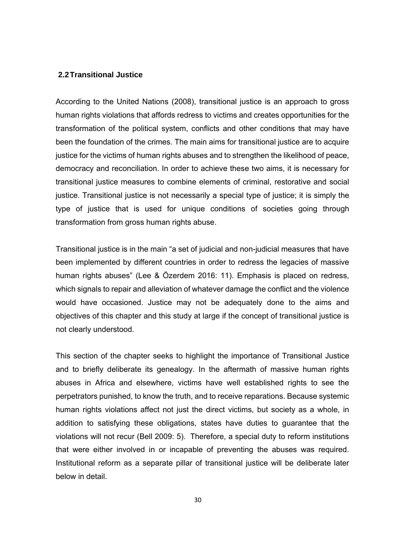#### **2.2 Transitional Justice**

According to the United Nations (2008), transitional justice is an approach to gross human rights violations that affords redress to victims and creates opportunities for the transformation of the political system, conflicts and other conditions that may have been the foundation of the crimes. The main aims for transitional justice are to acquire justice for the victims of human rights abuses and to strengthen the likelihood of peace, democracy and reconciliation. In order to achieve these two aims, it is necessary for transitional justice measures to combine elements of criminal, restorative and social justice. Transitional justice is not necessarily a special type of justice; it is simply the type of justice that is used for unique conditions of societies going through transformation from gross human rights abuse.

Transitional justice is in the main "a set of judicial and non-judicial measures that have been implemented by different countries in order to redress the legacies of massive human rights abuses" (Lee & Özerdem 2016: 11). Emphasis is placed on redress, which signals to repair and alleviation of whatever damage the conflict and the violence would have occasioned. Justice may not be adequately done to the aims and objectives of this chapter and this study at large if the concept of transitional justice is not clearly understood.

This section of the chapter seeks to highlight the importance of Transitional Justice and to briefly deliberate its genealogy. In the aftermath of massive human rights abuses in Africa and elsewhere, victims have well established rights to see the perpetrators punished, to know the truth, and to receive reparations. Because systemic human rights violations affect not just the direct victims, but society as a whole, in addition to satisfying these obligations, states have duties to guarantee that the violations will not recur (Bell 2009: 5). Therefore, a special duty to reform institutions that were either involved in or incapable of preventing the abuses was required. Institutional reform as a separate pillar of transitional justice will be deliberate later below in detail.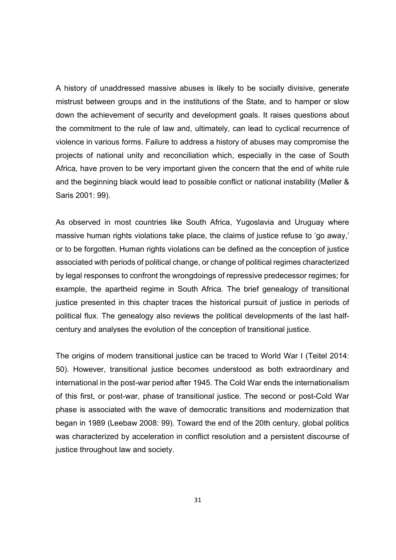A history of unaddressed massive abuses is likely to be socially divisive, generate mistrust between groups and in the institutions of the State, and to hamper or slow down the achievement of security and development goals. It raises questions about the commitment to the rule of law and, ultimately, can lead to cyclical recurrence of violence in various forms. Failure to address a history of abuses may compromise the projects of national unity and reconciliation which, especially in the case of South Africa, have proven to be very important given the concern that the end of white rule and the beginning black would lead to possible conflict or national instability (Møller & Saris 2001: 99).

As observed in most countries like South Africa, Yugoslavia and Uruguay where massive human rights violations take place, the claims of justice refuse to 'go away,' or to be forgotten. Human rights violations can be defined as the conception of justice associated with periods of political change, or change of political regimes characterized by legal responses to confront the wrongdoings of repressive predecessor regimes; for example, the apartheid regime in South Africa. The brief genealogy of transitional justice presented in this chapter traces the historical pursuit of justice in periods of political flux. The genealogy also reviews the political developments of the last halfcentury and analyses the evolution of the conception of transitional justice.

The origins of modern transitional justice can be traced to World War I (Teitel 2014: 50). However, transitional justice becomes understood as both extraordinary and international in the post-war period after 1945. The Cold War ends the internationalism of this first, or post-war, phase of transitional justice. The second or post-Cold War phase is associated with the wave of democratic transitions and modernization that began in 1989 (Leebaw 2008: 99). Toward the end of the 20th century, global politics was characterized by acceleration in conflict resolution and a persistent discourse of justice throughout law and society.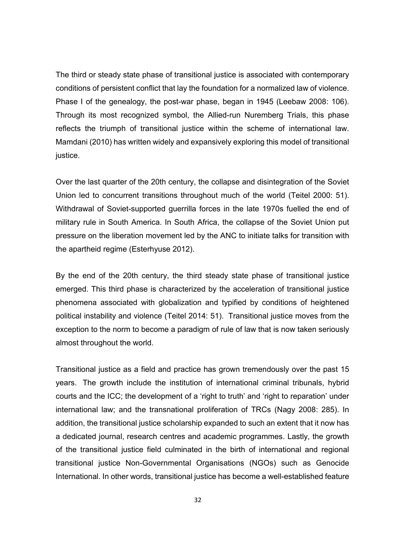The third or steady state phase of transitional justice is associated with contemporary conditions of persistent conflict that lay the foundation for a normalized law of violence. Phase I of the genealogy, the post-war phase, began in 1945 (Leebaw 2008: 106). Through its most recognized symbol, the Allied-run Nuremberg Trials, this phase reflects the triumph of transitional justice within the scheme of international law. Mamdani (2010) has written widely and expansively exploring this model of transitional justice.

Over the last quarter of the 20th century, the collapse and disintegration of the Soviet Union led to concurrent transitions throughout much of the world (Teitel 2000: 51). Withdrawal of Soviet-supported guerrilla forces in the late 1970s fuelled the end of military rule in South America. In South Africa, the collapse of the Soviet Union put pressure on the liberation movement led by the ANC to initiate talks for transition with the apartheid regime (Esterhyuse 2012).

By the end of the 20th century, the third steady state phase of transitional justice emerged. This third phase is characterized by the acceleration of transitional justice phenomena associated with globalization and typified by conditions of heightened political instability and violence (Teitel 2014: 51). Transitional justice moves from the exception to the norm to become a paradigm of rule of law that is now taken seriously almost throughout the world.

Transitional justice as a field and practice has grown tremendously over the past 15 years. The growth include the institution of international criminal tribunals, hybrid courts and the ICC; the development of a 'right to truth' and 'right to reparation' under international law; and the transnational proliferation of TRCs (Nagy 2008: 285). In addition, the transitional justice scholarship expanded to such an extent that it now has a dedicated journal, research centres and academic programmes. Lastly, the growth of the transitional justice field culminated in the birth of international and regional transitional justice Non-Governmental Organisations (NGOs) such as Genocide International. In other words, transitional justice has become a well-established feature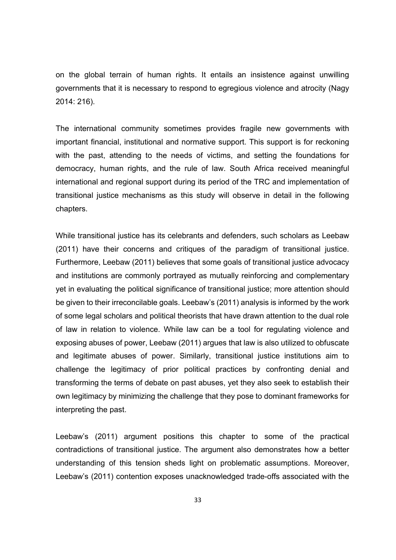on the global terrain of human rights. It entails an insistence against unwilling governments that it is necessary to respond to egregious violence and atrocity (Nagy 2014: 216).

The international community sometimes provides fragile new governments with important financial, institutional and normative support. This support is for reckoning with the past, attending to the needs of victims, and setting the foundations for democracy, human rights, and the rule of law. South Africa received meaningful international and regional support during its period of the TRC and implementation of transitional justice mechanisms as this study will observe in detail in the following chapters.

While transitional justice has its celebrants and defenders, such scholars as Leebaw (2011) have their concerns and critiques of the paradigm of transitional justice. Furthermore, Leebaw (2011) believes that some goals of transitional justice advocacy and institutions are commonly portrayed as mutually reinforcing and complementary yet in evaluating the political significance of transitional justice; more attention should be given to their irreconcilable goals. Leebaw's (2011) analysis is informed by the work of some legal scholars and political theorists that have drawn attention to the dual role of law in relation to violence. While law can be a tool for regulating violence and exposing abuses of power, Leebaw (2011) argues that law is also utilized to obfuscate and legitimate abuses of power. Similarly, transitional justice institutions aim to challenge the legitimacy of prior political practices by confronting denial and transforming the terms of debate on past abuses, yet they also seek to establish their own legitimacy by minimizing the challenge that they pose to dominant frameworks for interpreting the past.

Leebaw's (2011) argument positions this chapter to some of the practical contradictions of transitional justice. The argument also demonstrates how a better understanding of this tension sheds light on problematic assumptions. Moreover, Leebaw's (2011) contention exposes unacknowledged trade-offs associated with the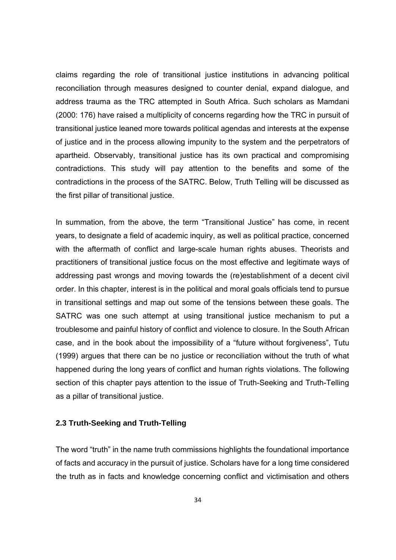claims regarding the role of transitional justice institutions in advancing political reconciliation through measures designed to counter denial, expand dialogue, and address trauma as the TRC attempted in South Africa. Such scholars as Mamdani (2000: 176) have raised a multiplicity of concerns regarding how the TRC in pursuit of transitional justice leaned more towards political agendas and interests at the expense of justice and in the process allowing impunity to the system and the perpetrators of apartheid. Observably, transitional justice has its own practical and compromising contradictions. This study will pay attention to the benefits and some of the contradictions in the process of the SATRC. Below, Truth Telling will be discussed as the first pillar of transitional justice.

In summation, from the above, the term "Transitional Justice" has come, in recent years, to designate a field of academic inquiry, as well as political practice, concerned with the aftermath of conflict and large-scale human rights abuses. Theorists and practitioners of transitional justice focus on the most effective and legitimate ways of addressing past wrongs and moving towards the (re)establishment of a decent civil order. In this chapter, interest is in the political and moral goals officials tend to pursue in transitional settings and map out some of the tensions between these goals. The SATRC was one such attempt at using transitional justice mechanism to put a troublesome and painful history of conflict and violence to closure. In the South African case, and in the book about the impossibility of a "future without forgiveness", Tutu (1999) argues that there can be no justice or reconciliation without the truth of what happened during the long years of conflict and human rights violations. The following section of this chapter pays attention to the issue of Truth-Seeking and Truth-Telling as a pillar of transitional justice.

#### **2.3 Truth-Seeking and Truth-Telling**

The word "truth" in the name truth commissions highlights the foundational importance of facts and accuracy in the pursuit of justice. Scholars have for a long time considered the truth as in facts and knowledge concerning conflict and victimisation and others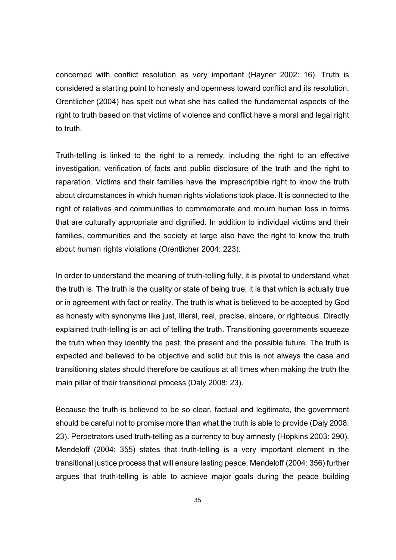concerned with conflict resolution as very important (Hayner 2002: 16). Truth is considered a starting point to honesty and openness toward conflict and its resolution. Orentlicher (2004) has spelt out what she has called the fundamental aspects of the right to truth based on that victims of violence and conflict have a moral and legal right to truth.

Truth-telling is linked to the right to a remedy, including the right to an effective investigation, verification of facts and public disclosure of the truth and the right to reparation. Victims and their families have the imprescriptible right to know the truth about circumstances in which human rights violations took place. It is connected to the right of relatives and communities to commemorate and mourn human loss in forms that are culturally appropriate and dignified. In addition to individual victims and their families, communities and the society at large also have the right to know the truth about human rights violations (Orentlicher 2004: 223).

In order to understand the meaning of truth-telling fully, it is pivotal to understand what the truth is. The truth is the quality or state of being true; it is that which is actually true or in agreement with fact or reality. The truth is what is believed to be accepted by God as honesty with synonyms like just, literal, real, precise, sincere, or righteous. Directly explained truth-telling is an act of telling the truth. Transitioning governments squeeze the truth when they identify the past, the present and the possible future. The truth is expected and believed to be objective and solid but this is not always the case and transitioning states should therefore be cautious at all times when making the truth the main pillar of their transitional process (Daly 2008: 23).

Because the truth is believed to be so clear, factual and legitimate, the government should be careful not to promise more than what the truth is able to provide (Daly 2008: 23). Perpetrators used truth-telling as a currency to buy amnesty (Hopkins 2003: 290). Mendeloff (2004: 355) states that truth-telling is a very important element in the transitional justice process that will ensure lasting peace. Mendeloff (2004: 356) further argues that truth-telling is able to achieve major goals during the peace building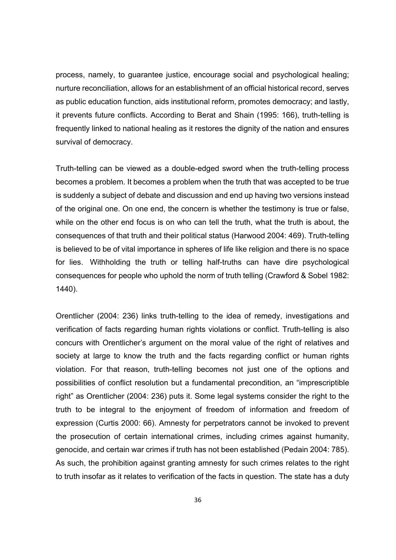process, namely, to guarantee justice, encourage social and psychological healing; nurture reconciliation, allows for an establishment of an official historical record, serves as public education function, aids institutional reform, promotes democracy; and lastly, it prevents future conflicts. According to Berat and Shain (1995: 166), truth-telling is frequently linked to national healing as it restores the dignity of the nation and ensures survival of democracy.

Truth-telling can be viewed as a double-edged sword when the truth-telling process becomes a problem. It becomes a problem when the truth that was accepted to be true is suddenly a subject of debate and discussion and end up having two versions instead of the original one. On one end, the concern is whether the testimony is true or false, while on the other end focus is on who can tell the truth, what the truth is about, the consequences of that truth and their political status (Harwood 2004: 469). Truth-telling is believed to be of vital importance in spheres of life like religion and there is no space for lies. Withholding the truth or telling half-truths can have dire psychological consequences for people who uphold the norm of truth telling (Crawford & Sobel 1982: 1440).

Orentlicher (2004: 236) links truth-telling to the idea of remedy, investigations and verification of facts regarding human rights violations or conflict. Truth-telling is also concurs with Orentlicher's argument on the moral value of the right of relatives and society at large to know the truth and the facts regarding conflict or human rights violation. For that reason, truth-telling becomes not just one of the options and possibilities of conflict resolution but a fundamental precondition, an "imprescriptible right" as Orentlicher (2004: 236) puts it. Some legal systems consider the right to the truth to be integral to the enjoyment of freedom of information and freedom of expression (Curtis 2000: 66). Amnesty for perpetrators cannot be invoked to prevent the prosecution of certain international crimes, including crimes against humanity, genocide, and certain war crimes if truth has not been established (Pedain 2004: 785). As such, the prohibition against granting amnesty for such crimes relates to the right to truth insofar as it relates to verification of the facts in question. The state has a duty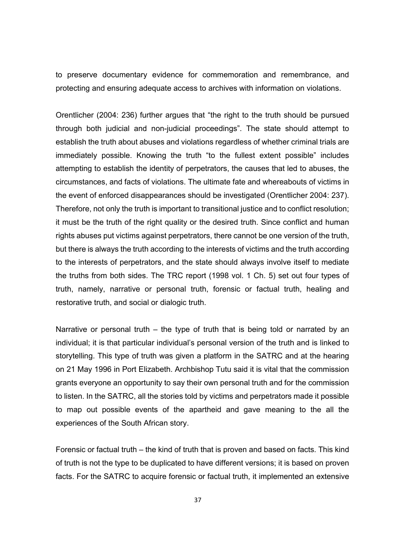to preserve documentary evidence for commemoration and remembrance, and protecting and ensuring adequate access to archives with information on violations.

Orentlicher (2004: 236) further argues that "the right to the truth should be pursued through both judicial and non-judicial proceedings". The state should attempt to establish the truth about abuses and violations regardless of whether criminal trials are immediately possible. Knowing the truth "to the fullest extent possible" includes attempting to establish the identity of perpetrators, the causes that led to abuses, the circumstances, and facts of violations. The ultimate fate and whereabouts of victims in the event of enforced disappearances should be investigated (Orentlicher 2004: 237). Therefore, not only the truth is important to transitional justice and to conflict resolution; it must be the truth of the right quality or the desired truth. Since conflict and human rights abuses put victims against perpetrators, there cannot be one version of the truth, but there is always the truth according to the interests of victims and the truth according to the interests of perpetrators, and the state should always involve itself to mediate the truths from both sides. The TRC report (1998 vol. 1 Ch. 5) set out four types of truth, namely, narrative or personal truth, forensic or factual truth, healing and restorative truth, and social or dialogic truth.

Narrative or personal truth – the type of truth that is being told or narrated by an individual; it is that particular individual's personal version of the truth and is linked to storytelling. This type of truth was given a platform in the SATRC and at the hearing on 21 May 1996 in Port Elizabeth. Archbishop Tutu said it is vital that the commission grants everyone an opportunity to say their own personal truth and for the commission to listen. In the SATRC, all the stories told by victims and perpetrators made it possible to map out possible events of the apartheid and gave meaning to the all the experiences of the South African story.

Forensic or factual truth – the kind of truth that is proven and based on facts. This kind of truth is not the type to be duplicated to have different versions; it is based on proven facts. For the SATRC to acquire forensic or factual truth, it implemented an extensive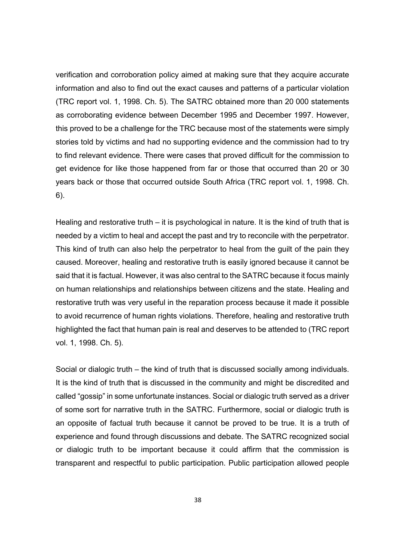verification and corroboration policy aimed at making sure that they acquire accurate information and also to find out the exact causes and patterns of a particular violation (TRC report vol. 1, 1998. Ch. 5). The SATRC obtained more than 20 000 statements as corroborating evidence between December 1995 and December 1997. However, this proved to be a challenge for the TRC because most of the statements were simply stories told by victims and had no supporting evidence and the commission had to try to find relevant evidence. There were cases that proved difficult for the commission to get evidence for like those happened from far or those that occurred than 20 or 30 years back or those that occurred outside South Africa (TRC report vol. 1, 1998. Ch. 6).

Healing and restorative truth – it is psychological in nature. It is the kind of truth that is needed by a victim to heal and accept the past and try to reconcile with the perpetrator. This kind of truth can also help the perpetrator to heal from the guilt of the pain they caused. Moreover, healing and restorative truth is easily ignored because it cannot be said that it is factual. However, it was also central to the SATRC because it focus mainly on human relationships and relationships between citizens and the state. Healing and restorative truth was very useful in the reparation process because it made it possible to avoid recurrence of human rights violations. Therefore, healing and restorative truth highlighted the fact that human pain is real and deserves to be attended to (TRC report vol. 1, 1998. Ch. 5).

Social or dialogic truth – the kind of truth that is discussed socially among individuals. It is the kind of truth that is discussed in the community and might be discredited and called "gossip" in some unfortunate instances. Social or dialogic truth served as a driver of some sort for narrative truth in the SATRC. Furthermore, social or dialogic truth is an opposite of factual truth because it cannot be proved to be true. It is a truth of experience and found through discussions and debate. The SATRC recognized social or dialogic truth to be important because it could affirm that the commission is transparent and respectful to public participation. Public participation allowed people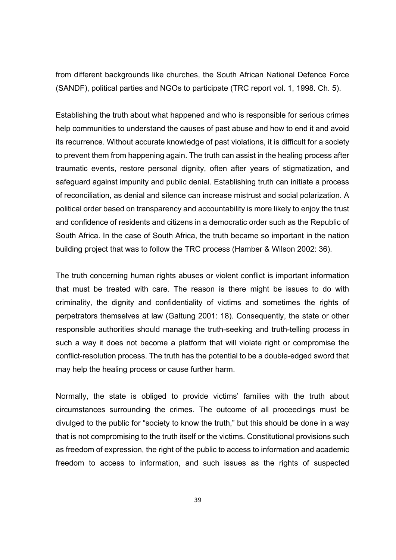from different backgrounds like churches, the South African National Defence Force (SANDF), political parties and NGOs to participate (TRC report vol. 1, 1998. Ch. 5).

Establishing the truth about what happened and who is responsible for serious crimes help communities to understand the causes of past abuse and how to end it and avoid its recurrence. Without accurate knowledge of past violations, it is difficult for a society to prevent them from happening again. The truth can assist in the healing process after traumatic events, restore personal dignity, often after years of stigmatization, and safeguard against impunity and public denial. Establishing truth can initiate a process of reconciliation, as denial and silence can increase mistrust and social polarization. A political order based on transparency and accountability is more likely to enjoy the trust and confidence of residents and citizens in a democratic order such as the Republic of South Africa. In the case of South Africa, the truth became so important in the nation building project that was to follow the TRC process (Hamber & Wilson 2002: 36).

The truth concerning human rights abuses or violent conflict is important information that must be treated with care. The reason is there might be issues to do with criminality, the dignity and confidentiality of victims and sometimes the rights of perpetrators themselves at law (Galtung 2001: 18). Consequently, the state or other responsible authorities should manage the truth-seeking and truth-telling process in such a way it does not become a platform that will violate right or compromise the conflict-resolution process. The truth has the potential to be a double-edged sword that may help the healing process or cause further harm.

Normally, the state is obliged to provide victims' families with the truth about circumstances surrounding the crimes. The outcome of all proceedings must be divulged to the public for "society to know the truth," but this should be done in a way that is not compromising to the truth itself or the victims. Constitutional provisions such as freedom of expression, the right of the public to access to information and academic freedom to access to information, and such issues as the rights of suspected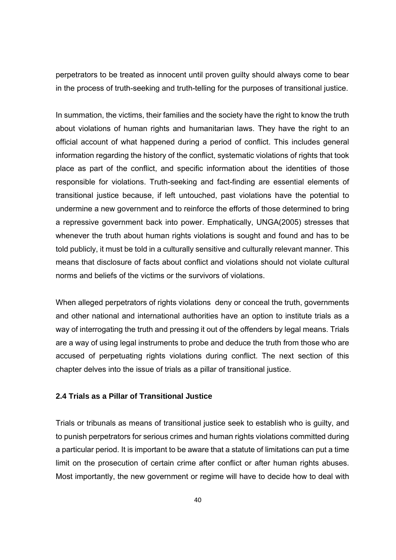perpetrators to be treated as innocent until proven guilty should always come to bear in the process of truth-seeking and truth-telling for the purposes of transitional justice.

In summation, the victims, their families and the society have the right to know the truth about violations of human rights and humanitarian laws. They have the right to an official account of what happened during a period of conflict. This includes general information regarding the history of the conflict, systematic violations of rights that took place as part of the conflict, and specific information about the identities of those responsible for violations. Truth-seeking and fact-finding are essential elements of transitional justice because, if left untouched, past violations have the potential to undermine a new government and to reinforce the efforts of those determined to bring a repressive government back into power. Emphatically, UNGA(2005) stresses that whenever the truth about human rights violations is sought and found and has to be told publicly, it must be told in a culturally sensitive and culturally relevant manner. This means that disclosure of facts about conflict and violations should not violate cultural norms and beliefs of the victims or the survivors of violations.

When alleged perpetrators of rights violations deny or conceal the truth, governments and other national and international authorities have an option to institute trials as a way of interrogating the truth and pressing it out of the offenders by legal means. Trials are a way of using legal instruments to probe and deduce the truth from those who are accused of perpetuating rights violations during conflict. The next section of this chapter delves into the issue of trials as a pillar of transitional justice.

#### **2.4 Trials as a Pillar of Transitional Justice**

Trials or tribunals as means of transitional justice seek to establish who is guilty, and to punish perpetrators for serious crimes and human rights violations committed during a particular period. It is important to be aware that a statute of limitations can put a time limit on the prosecution of certain crime after conflict or after human rights abuses. Most importantly, the new government or regime will have to decide how to deal with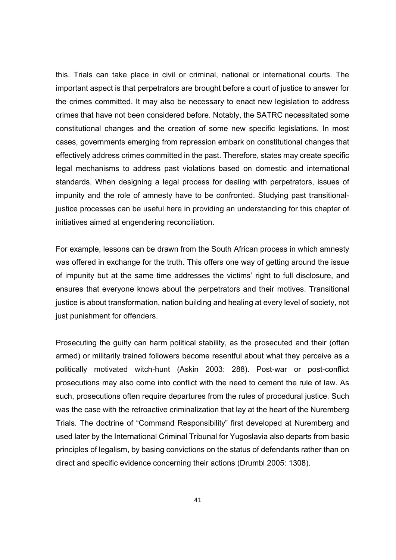this. Trials can take place in civil or criminal, national or international courts. The important aspect is that perpetrators are brought before a court of justice to answer for the crimes committed. It may also be necessary to enact new legislation to address crimes that have not been considered before. Notably, the SATRC necessitated some constitutional changes and the creation of some new specific legislations. In most cases, governments emerging from repression embark on constitutional changes that effectively address crimes committed in the past. Therefore, states may create specific legal mechanisms to address past violations based on domestic and international standards. When designing a legal process for dealing with perpetrators, issues of impunity and the role of amnesty have to be confronted. Studying past transitionaljustice processes can be useful here in providing an understanding for this chapter of initiatives aimed at engendering reconciliation.

For example, lessons can be drawn from the South African process in which amnesty was offered in exchange for the truth. This offers one way of getting around the issue of impunity but at the same time addresses the victims' right to full disclosure, and ensures that everyone knows about the perpetrators and their motives. Transitional justice is about transformation, nation building and healing at every level of society, not just punishment for offenders.

Prosecuting the guilty can harm political stability, as the prosecuted and their (often armed) or militarily trained followers become resentful about what they perceive as a politically motivated witch-hunt (Askin 2003: 288). Post-war or post-conflict prosecutions may also come into conflict with the need to cement the rule of law. As such, prosecutions often require departures from the rules of procedural justice. Such was the case with the retroactive criminalization that lay at the heart of the Nuremberg Trials. The doctrine of "Command Responsibility" first developed at Nuremberg and used later by the International Criminal Tribunal for Yugoslavia also departs from basic principles of legalism, by basing convictions on the status of defendants rather than on direct and specific evidence concerning their actions (Drumbl 2005: 1308).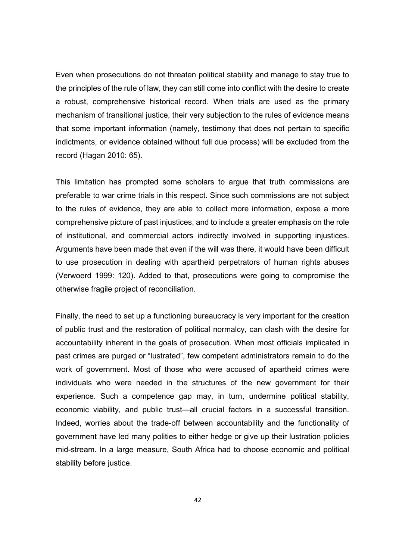Even when prosecutions do not threaten political stability and manage to stay true to the principles of the rule of law, they can still come into conflict with the desire to create a robust, comprehensive historical record. When trials are used as the primary mechanism of transitional justice, their very subjection to the rules of evidence means that some important information (namely, testimony that does not pertain to specific indictments, or evidence obtained without full due process) will be excluded from the record (Hagan 2010: 65).

This limitation has prompted some scholars to argue that truth commissions are preferable to war crime trials in this respect. Since such commissions are not subject to the rules of evidence, they are able to collect more information, expose a more comprehensive picture of past injustices, and to include a greater emphasis on the role of institutional, and commercial actors indirectly involved in supporting injustices. Arguments have been made that even if the will was there, it would have been difficult to use prosecution in dealing with apartheid perpetrators of human rights abuses (Verwoerd 1999: 120). Added to that, prosecutions were going to compromise the otherwise fragile project of reconciliation.

Finally, the need to set up a functioning bureaucracy is very important for the creation of public trust and the restoration of political normalcy, can clash with the desire for accountability inherent in the goals of prosecution. When most officials implicated in past crimes are purged or "lustrated", few competent administrators remain to do the work of government. Most of those who were accused of apartheid crimes were individuals who were needed in the structures of the new government for their experience. Such a competence gap may, in turn, undermine political stability, economic viability, and public trust—all crucial factors in a successful transition. Indeed, worries about the trade-off between accountability and the functionality of government have led many polities to either hedge or give up their lustration policies mid-stream. In a large measure, South Africa had to choose economic and political stability before justice.

42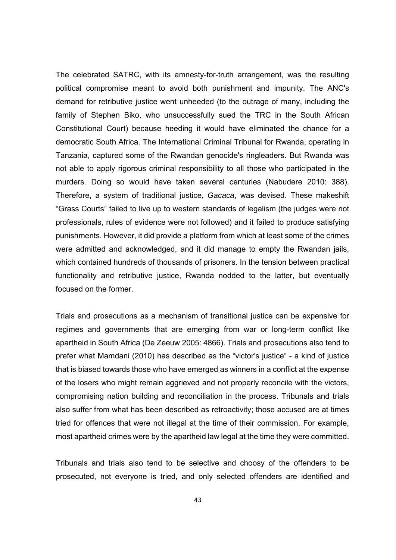The celebrated SATRC, with its amnesty-for-truth arrangement, was the resulting political compromise meant to avoid both punishment and impunity. The ANC's demand for retributive justice went unheeded (to the outrage of many, including the family of Stephen Biko, who unsuccessfully sued the TRC in the South African Constitutional Court) because heeding it would have eliminated the chance for a democratic South Africa. The International Criminal Tribunal for Rwanda, operating in Tanzania, captured some of the Rwandan genocide's ringleaders. But Rwanda was not able to apply rigorous criminal responsibility to all those who participated in the murders. Doing so would have taken several centuries (Nabudere 2010: 388). Therefore, a system of traditional justice, *Gacaca*, was devised. These makeshift "Grass Courts" failed to live up to western standards of legalism (the judges were not professionals, rules of evidence were not followed) and it failed to produce satisfying punishments. However, it did provide a platform from which at least some of the crimes were admitted and acknowledged, and it did manage to empty the Rwandan jails, which contained hundreds of thousands of prisoners. In the tension between practical functionality and retributive justice, Rwanda nodded to the latter, but eventually focused on the former.

Trials and prosecutions as a mechanism of transitional justice can be expensive for regimes and governments that are emerging from war or long-term conflict like apartheid in South Africa (De Zeeuw 2005: 4866). Trials and prosecutions also tend to prefer what Mamdani (2010) has described as the "victor's justice" - a kind of justice that is biased towards those who have emerged as winners in a conflict at the expense of the losers who might remain aggrieved and not properly reconcile with the victors, compromising nation building and reconciliation in the process. Tribunals and trials also suffer from what has been described as retroactivity; those accused are at times tried for offences that were not illegal at the time of their commission. For example, most apartheid crimes were by the apartheid law legal at the time they were committed.

Tribunals and trials also tend to be selective and choosy of the offenders to be prosecuted, not everyone is tried, and only selected offenders are identified and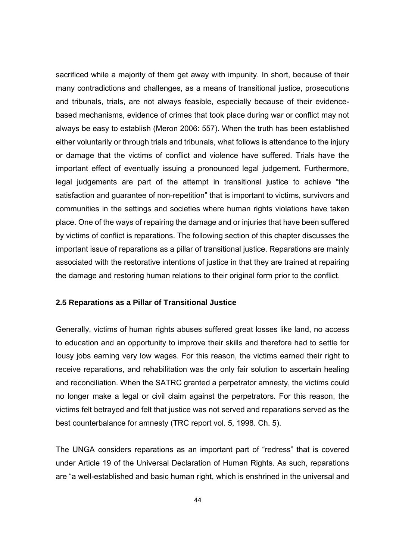sacrificed while a majority of them get away with impunity. In short, because of their many contradictions and challenges, as a means of transitional justice, prosecutions and tribunals, trials, are not always feasible, especially because of their evidencebased mechanisms, evidence of crimes that took place during war or conflict may not always be easy to establish (Meron 2006: 557). When the truth has been established either voluntarily or through trials and tribunals, what follows is attendance to the injury or damage that the victims of conflict and violence have suffered. Trials have the important effect of eventually issuing a pronounced legal judgement. Furthermore, legal judgements are part of the attempt in transitional justice to achieve "the satisfaction and guarantee of non-repetition" that is important to victims, survivors and communities in the settings and societies where human rights violations have taken place. One of the ways of repairing the damage and or injuries that have been suffered by victims of conflict is reparations. The following section of this chapter discusses the important issue of reparations as a pillar of transitional justice. Reparations are mainly associated with the restorative intentions of justice in that they are trained at repairing the damage and restoring human relations to their original form prior to the conflict.

# **2.5 Reparations as a Pillar of Transitional Justice**

Generally, victims of human rights abuses suffered great losses like land, no access to education and an opportunity to improve their skills and therefore had to settle for lousy jobs earning very low wages. For this reason, the victims earned their right to receive reparations, and rehabilitation was the only fair solution to ascertain healing and reconciliation. When the SATRC granted a perpetrator amnesty, the victims could no longer make a legal or civil claim against the perpetrators. For this reason, the victims felt betrayed and felt that justice was not served and reparations served as the best counterbalance for amnesty (TRC report vol. 5, 1998. Ch. 5).

The UNGA considers reparations as an important part of "redress" that is covered under Article 19 of the Universal Declaration of Human Rights. As such, reparations are "a well-established and basic human right, which is enshrined in the universal and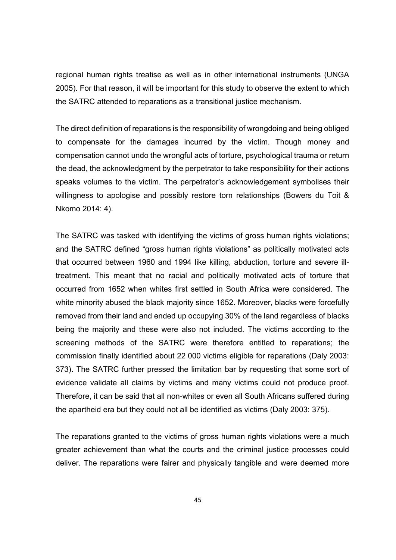regional human rights treatise as well as in other international instruments (UNGA 2005). For that reason, it will be important for this study to observe the extent to which the SATRC attended to reparations as a transitional justice mechanism.

The direct definition of reparations is the responsibility of wrongdoing and being obliged to compensate for the damages incurred by the victim. Though money and compensation cannot undo the wrongful acts of torture, psychological trauma or return the dead, the acknowledgment by the perpetrator to take responsibility for their actions speaks volumes to the victim. The perpetrator's acknowledgement symbolises their willingness to apologise and possibly restore torn relationships (Bowers du Toit & Nkomo 2014: 4).

The SATRC was tasked with identifying the victims of gross human rights violations; and the SATRC defined "gross human rights violations" as politically motivated acts that occurred between 1960 and 1994 like killing, abduction, torture and severe illtreatment. This meant that no racial and politically motivated acts of torture that occurred from 1652 when whites first settled in South Africa were considered. The white minority abused the black majority since 1652. Moreover, blacks were forcefully removed from their land and ended up occupying 30% of the land regardless of blacks being the majority and these were also not included. The victims according to the screening methods of the SATRC were therefore entitled to reparations; the commission finally identified about 22 000 victims eligible for reparations (Daly 2003: 373). The SATRC further pressed the limitation bar by requesting that some sort of evidence validate all claims by victims and many victims could not produce proof. Therefore, it can be said that all non-whites or even all South Africans suffered during the apartheid era but they could not all be identified as victims (Daly 2003: 375).

The reparations granted to the victims of gross human rights violations were a much greater achievement than what the courts and the criminal justice processes could deliver. The reparations were fairer and physically tangible and were deemed more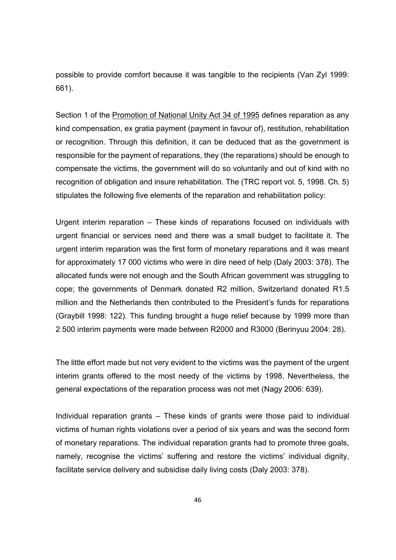possible to provide comfort because it was tangible to the recipients (Van Zyl 1999: 661).

Section 1 of the Promotion of National Unity Act 34 of 1995 defines reparation as any kind compensation, ex gratia payment (payment in favour of), restitution, rehabilitation or recognition. Through this definition, it can be deduced that as the government is responsible for the payment of reparations, they (the reparations) should be enough to compensate the victims, the government will do so voluntarily and out of kind with no recognition of obligation and insure rehabilitation. The (TRC report vol. 5, 1998. Ch. 5) stipulates the following five elements of the reparation and rehabilitation policy:

Urgent interim reparation – These kinds of reparations focused on individuals with urgent financial or services need and there was a small budget to facilitate it. The urgent interim reparation was the first form of monetary reparations and it was meant for approximately 17 000 victims who were in dire need of help (Daly 2003: 378). The allocated funds were not enough and the South African government was struggling to cope; the governments of Denmark donated R2 million, Switzerland donated R1.5 million and the Netherlands then contributed to the President's funds for reparations (Graybill 1998: 122). This funding brought a huge relief because by 1999 more than 2 500 interim payments were made between R2000 and R3000 (Berinyuu 2004: 28).

The little effort made but not very evident to the victims was the payment of the urgent interim grants offered to the most needy of the victims by 1998. Nevertheless, the general expectations of the reparation process was not met (Nagy 2006: 639).

Individual reparation grants – These kinds of grants were those paid to individual victims of human rights violations over a period of six years and was the second form of monetary reparations. The individual reparation grants had to promote three goals, namely, recognise the victims' suffering and restore the victims' individual dignity, facilitate service delivery and subsidise daily living costs (Daly 2003: 378).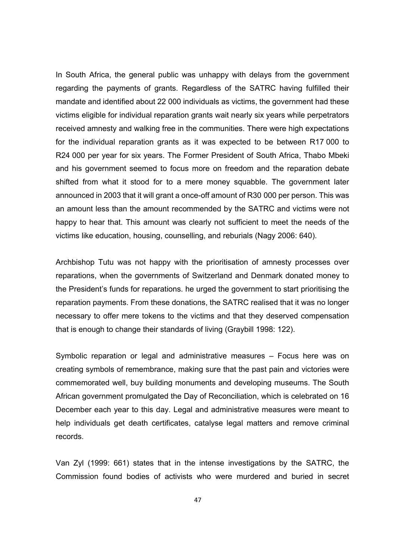In South Africa, the general public was unhappy with delays from the government regarding the payments of grants. Regardless of the SATRC having fulfilled their mandate and identified about 22 000 individuals as victims, the government had these victims eligible for individual reparation grants wait nearly six years while perpetrators received amnesty and walking free in the communities. There were high expectations for the individual reparation grants as it was expected to be between R17 000 to R24 000 per year for six years. The Former President of South Africa, Thabo Mbeki and his government seemed to focus more on freedom and the reparation debate shifted from what it stood for to a mere money squabble. The government later announced in 2003 that it will grant a once-off amount of R30 000 per person. This was an amount less than the amount recommended by the SATRC and victims were not happy to hear that. This amount was clearly not sufficient to meet the needs of the victims like education, housing, counselling, and reburials (Nagy 2006: 640).

Archbishop Tutu was not happy with the prioritisation of amnesty processes over reparations, when the governments of Switzerland and Denmark donated money to the President's funds for reparations. he urged the government to start prioritising the reparation payments. From these donations, the SATRC realised that it was no longer necessary to offer mere tokens to the victims and that they deserved compensation that is enough to change their standards of living (Graybill 1998: 122).

Symbolic reparation or legal and administrative measures – Focus here was on creating symbols of remembrance, making sure that the past pain and victories were commemorated well, buy building monuments and developing museums. The South African government promulgated the Day of Reconciliation, which is celebrated on 16 December each year to this day. Legal and administrative measures were meant to help individuals get death certificates, catalyse legal matters and remove criminal records.

Van Zyl (1999: 661) states that in the intense investigations by the SATRC, the Commission found bodies of activists who were murdered and buried in secret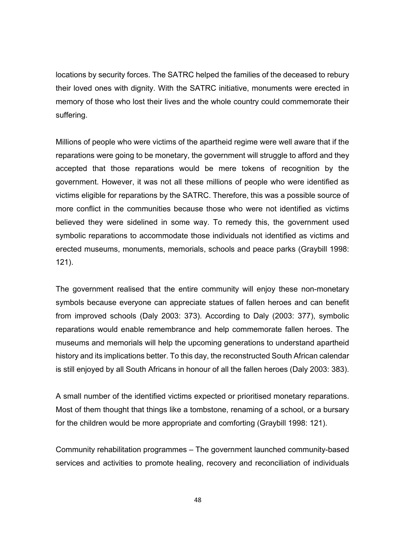locations by security forces. The SATRC helped the families of the deceased to rebury their loved ones with dignity. With the SATRC initiative, monuments were erected in memory of those who lost their lives and the whole country could commemorate their suffering.

Millions of people who were victims of the apartheid regime were well aware that if the reparations were going to be monetary, the government will struggle to afford and they accepted that those reparations would be mere tokens of recognition by the government. However, it was not all these millions of people who were identified as victims eligible for reparations by the SATRC. Therefore, this was a possible source of more conflict in the communities because those who were not identified as victims believed they were sidelined in some way. To remedy this, the government used symbolic reparations to accommodate those individuals not identified as victims and erected museums, monuments, memorials, schools and peace parks (Graybill 1998: 121).

The government realised that the entire community will enjoy these non-monetary symbols because everyone can appreciate statues of fallen heroes and can benefit from improved schools (Daly 2003: 373). According to Daly (2003: 377), symbolic reparations would enable remembrance and help commemorate fallen heroes. The museums and memorials will help the upcoming generations to understand apartheid history and its implications better. To this day, the reconstructed South African calendar is still enjoyed by all South Africans in honour of all the fallen heroes (Daly 2003: 383).

A small number of the identified victims expected or prioritised monetary reparations. Most of them thought that things like a tombstone, renaming of a school, or a bursary for the children would be more appropriate and comforting (Graybill 1998: 121).

Community rehabilitation programmes – The government launched community-based services and activities to promote healing, recovery and reconciliation of individuals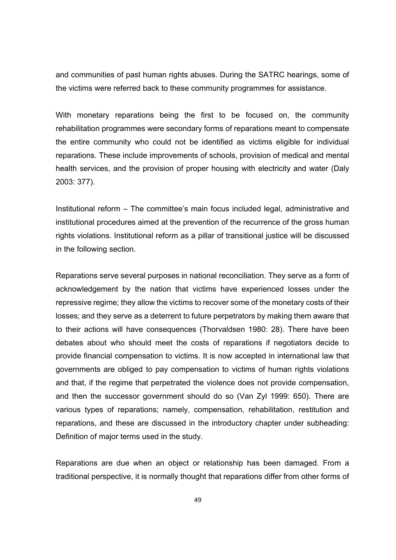and communities of past human rights abuses. During the SATRC hearings, some of the victims were referred back to these community programmes for assistance.

With monetary reparations being the first to be focused on, the community rehabilitation programmes were secondary forms of reparations meant to compensate the entire community who could not be identified as victims eligible for individual reparations. These include improvements of schools, provision of medical and mental health services, and the provision of proper housing with electricity and water (Daly 2003: 377).

Institutional reform – The committee's main focus included legal, administrative and institutional procedures aimed at the prevention of the recurrence of the gross human rights violations. Institutional reform as a pillar of transitional justice will be discussed in the following section.

Reparations serve several purposes in national reconciliation. They serve as a form of acknowledgement by the nation that victims have experienced losses under the repressive regime; they allow the victims to recover some of the monetary costs of their losses; and they serve as a deterrent to future perpetrators by making them aware that to their actions will have consequences (Thorvaldsen 1980: 28). There have been debates about who should meet the costs of reparations if negotiators decide to provide financial compensation to victims. It is now accepted in international law that governments are obliged to pay compensation to victims of human rights violations and that, if the regime that perpetrated the violence does not provide compensation, and then the successor government should do so (Van Zyl 1999: 650). There are various types of reparations; namely, compensation, rehabilitation, restitution and reparations, and these are discussed in the introductory chapter under subheading: Definition of major terms used in the study.

Reparations are due when an object or relationship has been damaged. From a traditional perspective, it is normally thought that reparations differ from other forms of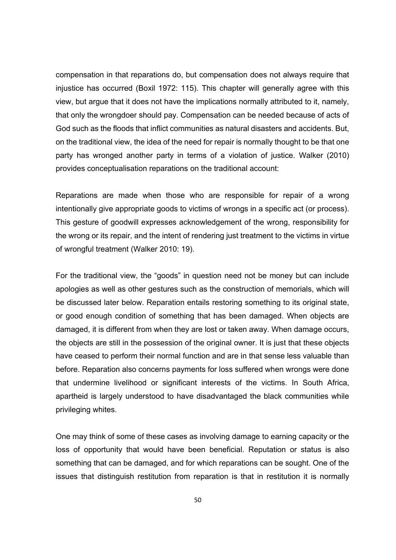compensation in that reparations do, but compensation does not always require that injustice has occurred (Boxil 1972: 115). This chapter will generally agree with this view, but argue that it does not have the implications normally attributed to it, namely, that only the wrongdoer should pay. Compensation can be needed because of acts of God such as the floods that inflict communities as natural disasters and accidents. But, on the traditional view, the idea of the need for repair is normally thought to be that one party has wronged another party in terms of a violation of justice. Walker (2010) provides conceptualisation reparations on the traditional account:

Reparations are made when those who are responsible for repair of a wrong intentionally give appropriate goods to victims of wrongs in a specific act (or process). This gesture of goodwill expresses acknowledgement of the wrong, responsibility for the wrong or its repair, and the intent of rendering just treatment to the victims in virtue of wrongful treatment (Walker 2010: 19).

For the traditional view, the "goods" in question need not be money but can include apologies as well as other gestures such as the construction of memorials, which will be discussed later below. Reparation entails restoring something to its original state, or good enough condition of something that has been damaged. When objects are damaged, it is different from when they are lost or taken away. When damage occurs, the objects are still in the possession of the original owner. It is just that these objects have ceased to perform their normal function and are in that sense less valuable than before. Reparation also concerns payments for loss suffered when wrongs were done that undermine livelihood or significant interests of the victims. In South Africa, apartheid is largely understood to have disadvantaged the black communities while privileging whites.

One may think of some of these cases as involving damage to earning capacity or the loss of opportunity that would have been beneficial. Reputation or status is also something that can be damaged, and for which reparations can be sought. One of the issues that distinguish restitution from reparation is that in restitution it is normally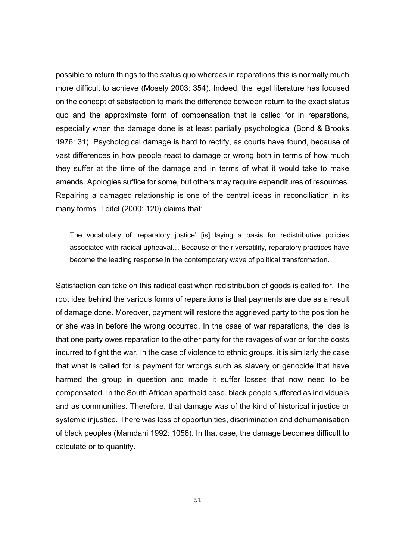possible to return things to the status quo whereas in reparations this is normally much more difficult to achieve (Mosely 2003: 354). Indeed, the legal literature has focused on the concept of satisfaction to mark the difference between return to the exact status quo and the approximate form of compensation that is called for in reparations, especially when the damage done is at least partially psychological (Bond & Brooks 1976: 31). Psychological damage is hard to rectify, as courts have found, because of vast differences in how people react to damage or wrong both in terms of how much they suffer at the time of the damage and in terms of what it would take to make amends. Apologies suffice for some, but others may require expenditures of resources. Repairing a damaged relationship is one of the central ideas in reconciliation in its many forms. Teitel (2000: 120) claims that:

The vocabulary of 'reparatory justice' [is] laying a basis for redistributive policies associated with radical upheaval… Because of their versatility, reparatory practices have become the leading response in the contemporary wave of political transformation.

Satisfaction can take on this radical cast when redistribution of goods is called for. The root idea behind the various forms of reparations is that payments are due as a result of damage done. Moreover, payment will restore the aggrieved party to the position he or she was in before the wrong occurred. In the case of war reparations, the idea is that one party owes reparation to the other party for the ravages of war or for the costs incurred to fight the war. In the case of violence to ethnic groups, it is similarly the case that what is called for is payment for wrongs such as slavery or genocide that have harmed the group in question and made it suffer losses that now need to be compensated. In the South African apartheid case, black people suffered as individuals and as communities. Therefore, that damage was of the kind of historical injustice or systemic injustice. There was loss of opportunities, discrimination and dehumanisation of black peoples (Mamdani 1992: 1056). In that case, the damage becomes difficult to calculate or to quantify.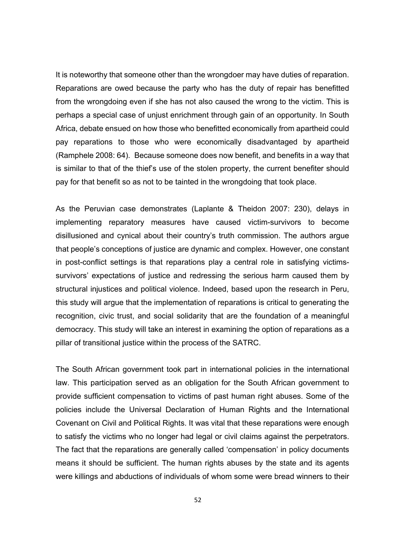It is noteworthy that someone other than the wrongdoer may have duties of reparation. Reparations are owed because the party who has the duty of repair has benefitted from the wrongdoing even if she has not also caused the wrong to the victim. This is perhaps a special case of unjust enrichment through gain of an opportunity. In South Africa, debate ensued on how those who benefitted economically from apartheid could pay reparations to those who were economically disadvantaged by apartheid (Ramphele 2008: 64). Because someone does now benefit, and benefits in a way that is similar to that of the thief's use of the stolen property, the current benefiter should pay for that benefit so as not to be tainted in the wrongdoing that took place.

As the Peruvian case demonstrates (Laplante & Theidon 2007: 230), delays in implementing reparatory measures have caused victim-survivors to become disillusioned and cynical about their country's truth commission. The authors argue that people's conceptions of justice are dynamic and complex. However, one constant in post-conflict settings is that reparations play a central role in satisfying victimssurvivors' expectations of justice and redressing the serious harm caused them by structural injustices and political violence. Indeed, based upon the research in Peru, this study will argue that the implementation of reparations is critical to generating the recognition, civic trust, and social solidarity that are the foundation of a meaningful democracy. This study will take an interest in examining the option of reparations as a pillar of transitional justice within the process of the SATRC.

The South African government took part in international policies in the international law. This participation served as an obligation for the South African government to provide sufficient compensation to victims of past human right abuses. Some of the policies include the Universal Declaration of Human Rights and the International Covenant on Civil and Political Rights. It was vital that these reparations were enough to satisfy the victims who no longer had legal or civil claims against the perpetrators. The fact that the reparations are generally called 'compensation' in policy documents means it should be sufficient. The human rights abuses by the state and its agents were killings and abductions of individuals of whom some were bread winners to their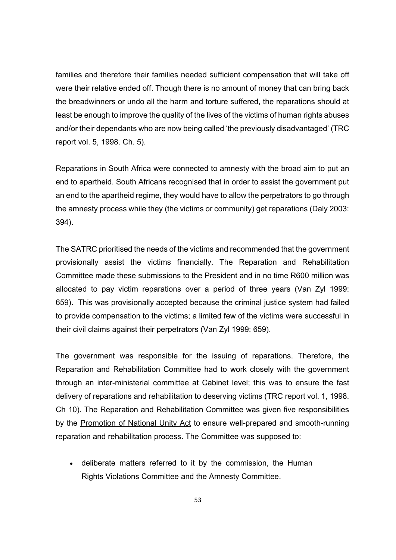families and therefore their families needed sufficient compensation that will take off were their relative ended off. Though there is no amount of money that can bring back the breadwinners or undo all the harm and torture suffered, the reparations should at least be enough to improve the quality of the lives of the victims of human rights abuses and/or their dependants who are now being called 'the previously disadvantaged' (TRC report vol. 5, 1998. Ch. 5).

Reparations in South Africa were connected to amnesty with the broad aim to put an end to apartheid. South Africans recognised that in order to assist the government put an end to the apartheid regime, they would have to allow the perpetrators to go through the amnesty process while they (the victims or community) get reparations (Daly 2003: 394).

The SATRC prioritised the needs of the victims and recommended that the government provisionally assist the victims financially. The Reparation and Rehabilitation Committee made these submissions to the President and in no time R600 million was allocated to pay victim reparations over a period of three years (Van Zyl 1999: 659). This was provisionally accepted because the criminal justice system had failed to provide compensation to the victims; a limited few of the victims were successful in their civil claims against their perpetrators (Van Zyl 1999: 659).

The government was responsible for the issuing of reparations. Therefore, the Reparation and Rehabilitation Committee had to work closely with the government through an inter-ministerial committee at Cabinet level; this was to ensure the fast delivery of reparations and rehabilitation to deserving victims (TRC report vol. 1, 1998. Ch 10). The Reparation and Rehabilitation Committee was given five responsibilities by the Promotion of National Unity Act to ensure well-prepared and smooth-running reparation and rehabilitation process. The Committee was supposed to:

 deliberate matters referred to it by the commission, the Human Rights Violations Committee and the Amnesty Committee.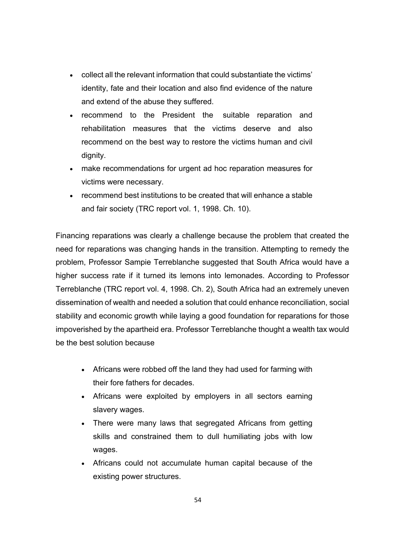- collect all the relevant information that could substantiate the victims' identity, fate and their location and also find evidence of the nature and extend of the abuse they suffered.
- recommend to the President the suitable reparation and rehabilitation measures that the victims deserve and also recommend on the best way to restore the victims human and civil dignity.
- make recommendations for urgent ad hoc reparation measures for victims were necessary.
- recommend best institutions to be created that will enhance a stable and fair society (TRC report vol. 1, 1998. Ch. 10).

Financing reparations was clearly a challenge because the problem that created the need for reparations was changing hands in the transition. Attempting to remedy the problem, Professor Sampie Terreblanche suggested that South Africa would have a higher success rate if it turned its lemons into lemonades. According to Professor Terreblanche (TRC report vol. 4, 1998. Ch. 2), South Africa had an extremely uneven dissemination of wealth and needed a solution that could enhance reconciliation, social stability and economic growth while laying a good foundation for reparations for those impoverished by the apartheid era. Professor Terreblanche thought a wealth tax would be the best solution because

- Africans were robbed off the land they had used for farming with their fore fathers for decades.
- Africans were exploited by employers in all sectors earning slavery wages.
- There were many laws that segregated Africans from getting skills and constrained them to dull humiliating jobs with low wages.
- Africans could not accumulate human capital because of the existing power structures.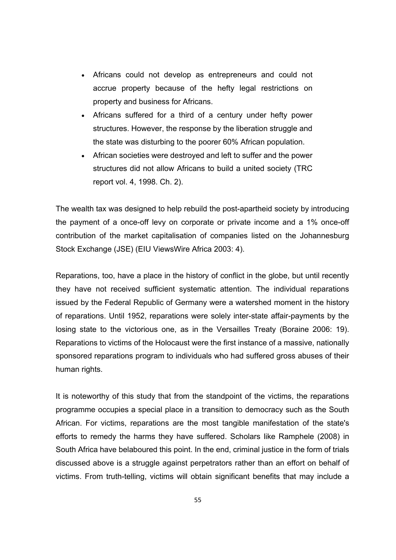- Africans could not develop as entrepreneurs and could not accrue property because of the hefty legal restrictions on property and business for Africans.
- Africans suffered for a third of a century under hefty power structures. However, the response by the liberation struggle and the state was disturbing to the poorer 60% African population.
- African societies were destroyed and left to suffer and the power structures did not allow Africans to build a united society (TRC report vol. 4, 1998. Ch. 2).

The wealth tax was designed to help rebuild the post-apartheid society by introducing the payment of a once-off levy on corporate or private income and a 1% once-off contribution of the market capitalisation of companies listed on the Johannesburg Stock Exchange (JSE) (EIU ViewsWire Africa 2003: 4).

Reparations, too, have a place in the history of conflict in the globe, but until recently they have not received sufficient systematic attention. The individual reparations issued by the Federal Republic of Germany were a watershed moment in the history of reparations. Until 1952, reparations were solely inter-state affair-payments by the losing state to the victorious one, as in the Versailles Treaty (Boraine 2006: 19). Reparations to victims of the Holocaust were the first instance of a massive, nationally sponsored reparations program to individuals who had suffered gross abuses of their human rights.

It is noteworthy of this study that from the standpoint of the victims, the reparations programme occupies a special place in a transition to democracy such as the South African. For victims, reparations are the most tangible manifestation of the state's efforts to remedy the harms they have suffered. Scholars like Ramphele (2008) in South Africa have belaboured this point. In the end, criminal justice in the form of trials discussed above is a struggle against perpetrators rather than an effort on behalf of victims. From truth-telling, victims will obtain significant benefits that may include a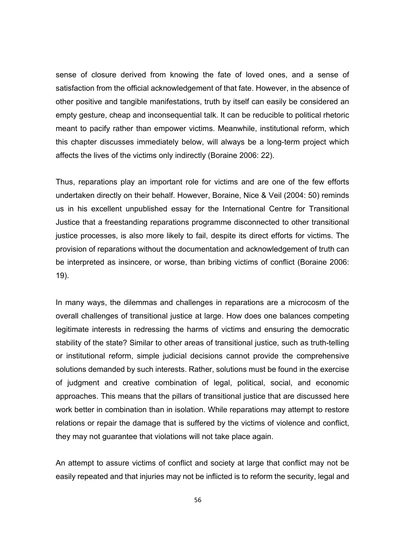sense of closure derived from knowing the fate of loved ones, and a sense of satisfaction from the official acknowledgement of that fate. However, in the absence of other positive and tangible manifestations, truth by itself can easily be considered an empty gesture, cheap and inconsequential talk. It can be reducible to political rhetoric meant to pacify rather than empower victims. Meanwhile, institutional reform, which this chapter discusses immediately below, will always be a long-term project which affects the lives of the victims only indirectly (Boraine 2006: 22).

Thus, reparations play an important role for victims and are one of the few efforts undertaken directly on their behalf. However, Boraine, Nice & Veil (2004: 50) reminds us in his excellent unpublished essay for the International Centre for Transitional Justice that a freestanding reparations programme disconnected to other transitional justice processes, is also more likely to fail, despite its direct efforts for victims. The provision of reparations without the documentation and acknowledgement of truth can be interpreted as insincere, or worse, than bribing victims of conflict (Boraine 2006: 19).

In many ways, the dilemmas and challenges in reparations are a microcosm of the overall challenges of transitional justice at large. How does one balances competing legitimate interests in redressing the harms of victims and ensuring the democratic stability of the state? Similar to other areas of transitional justice, such as truth-telling or institutional reform, simple judicial decisions cannot provide the comprehensive solutions demanded by such interests. Rather, solutions must be found in the exercise of judgment and creative combination of legal, political, social, and economic approaches. This means that the pillars of transitional justice that are discussed here work better in combination than in isolation. While reparations may attempt to restore relations or repair the damage that is suffered by the victims of violence and conflict, they may not guarantee that violations will not take place again.

An attempt to assure victims of conflict and society at large that conflict may not be easily repeated and that injuries may not be inflicted is to reform the security, legal and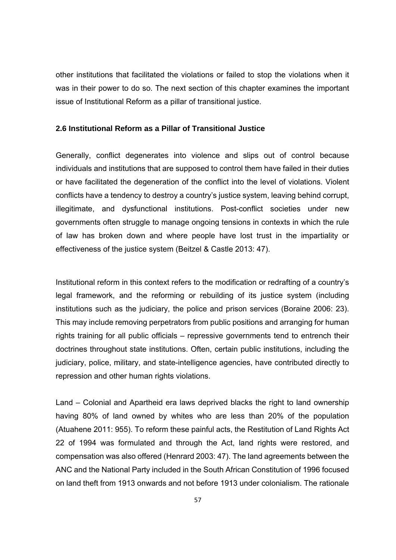other institutions that facilitated the violations or failed to stop the violations when it was in their power to do so. The next section of this chapter examines the important issue of Institutional Reform as a pillar of transitional justice.

# **2.6 Institutional Reform as a Pillar of Transitional Justice**

Generally, conflict degenerates into violence and slips out of control because individuals and institutions that are supposed to control them have failed in their duties or have facilitated the degeneration of the conflict into the level of violations. Violent conflicts have a tendency to destroy a country's justice system, leaving behind corrupt, illegitimate, and dysfunctional institutions. Post-conflict societies under new governments often struggle to manage ongoing tensions in contexts in which the rule of law has broken down and where people have lost trust in the impartiality or effectiveness of the justice system (Beitzel & Castle 2013: 47).

Institutional reform in this context refers to the modification or redrafting of a country's legal framework, and the reforming or rebuilding of its justice system (including institutions such as the judiciary, the police and prison services (Boraine 2006: 23). This may include removing perpetrators from public positions and arranging for human rights training for all public officials – repressive governments tend to entrench their doctrines throughout state institutions. Often, certain public institutions, including the judiciary, police, military, and state-intelligence agencies, have contributed directly to repression and other human rights violations.

Land – Colonial and Apartheid era laws deprived blacks the right to land ownership having 80% of land owned by whites who are less than 20% of the population (Atuahene 2011: 955). To reform these painful acts, the Restitution of Land Rights Act 22 of 1994 was formulated and through the Act, land rights were restored, and compensation was also offered (Henrard 2003: 47). The land agreements between the ANC and the National Party included in the South African Constitution of 1996 focused on land theft from 1913 onwards and not before 1913 under colonialism. The rationale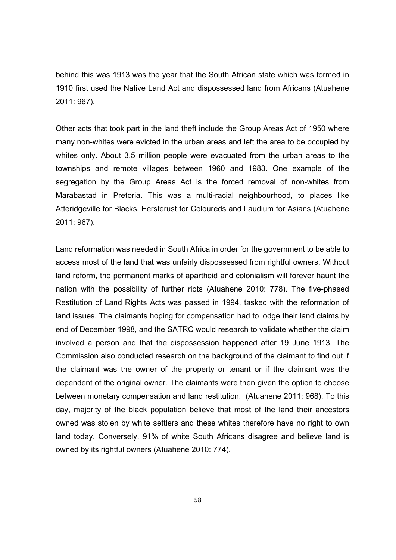behind this was 1913 was the year that the South African state which was formed in 1910 first used the Native Land Act and dispossessed land from Africans (Atuahene 2011: 967).

Other acts that took part in the land theft include the Group Areas Act of 1950 where many non-whites were evicted in the urban areas and left the area to be occupied by whites only. About 3.5 million people were evacuated from the urban areas to the townships and remote villages between 1960 and 1983. One example of the segregation by the Group Areas Act is the forced removal of non-whites from Marabastad in Pretoria. This was a multi-racial neighbourhood, to places like Atteridgeville for Blacks, Eersterust for Coloureds and Laudium for Asians (Atuahene 2011: 967).

Land reformation was needed in South Africa in order for the government to be able to access most of the land that was unfairly dispossessed from rightful owners. Without land reform, the permanent marks of apartheid and colonialism will forever haunt the nation with the possibility of further riots (Atuahene 2010: 778). The five-phased Restitution of Land Rights Acts was passed in 1994, tasked with the reformation of land issues. The claimants hoping for compensation had to lodge their land claims by end of December 1998, and the SATRC would research to validate whether the claim involved a person and that the dispossession happened after 19 June 1913. The Commission also conducted research on the background of the claimant to find out if the claimant was the owner of the property or tenant or if the claimant was the dependent of the original owner. The claimants were then given the option to choose between monetary compensation and land restitution. (Atuahene 2011: 968). To this day, majority of the black population believe that most of the land their ancestors owned was stolen by white settlers and these whites therefore have no right to own land today. Conversely, 91% of white South Africans disagree and believe land is owned by its rightful owners (Atuahene 2010: 774).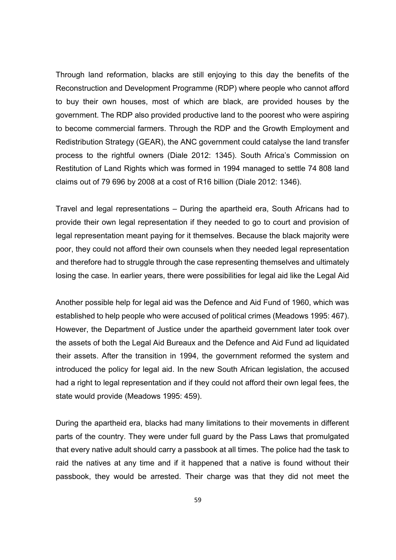Through land reformation, blacks are still enjoying to this day the benefits of the Reconstruction and Development Programme (RDP) where people who cannot afford to buy their own houses, most of which are black, are provided houses by the government. The RDP also provided productive land to the poorest who were aspiring to become commercial farmers. Through the RDP and the Growth Employment and Redistribution Strategy (GEAR), the ANC government could catalyse the land transfer process to the rightful owners (Diale 2012: 1345). South Africa's Commission on Restitution of Land Rights which was formed in 1994 managed to settle 74 808 land claims out of 79 696 by 2008 at a cost of R16 billion (Diale 2012: 1346).

Travel and legal representations – During the apartheid era, South Africans had to provide their own legal representation if they needed to go to court and provision of legal representation meant paying for it themselves. Because the black majority were poor, they could not afford their own counsels when they needed legal representation and therefore had to struggle through the case representing themselves and ultimately losing the case. In earlier years, there were possibilities for legal aid like the Legal Aid

Another possible help for legal aid was the Defence and Aid Fund of 1960, which was established to help people who were accused of political crimes (Meadows 1995: 467). However, the Department of Justice under the apartheid government later took over the assets of both the Legal Aid Bureaux and the Defence and Aid Fund ad liquidated their assets. After the transition in 1994, the government reformed the system and introduced the policy for legal aid. In the new South African legislation, the accused had a right to legal representation and if they could not afford their own legal fees, the state would provide (Meadows 1995: 459).

During the apartheid era, blacks had many limitations to their movements in different parts of the country. They were under full guard by the Pass Laws that promulgated that every native adult should carry a passbook at all times. The police had the task to raid the natives at any time and if it happened that a native is found without their passbook, they would be arrested. Their charge was that they did not meet the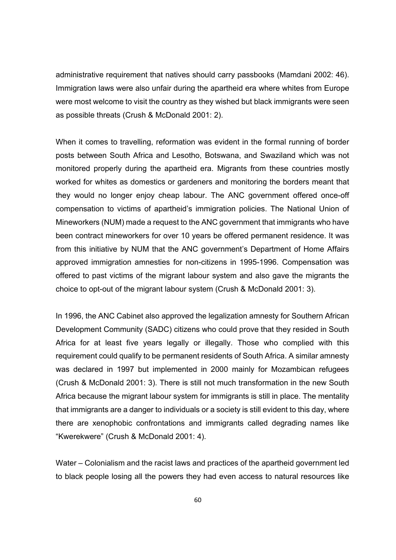administrative requirement that natives should carry passbooks (Mamdani 2002: 46). Immigration laws were also unfair during the apartheid era where whites from Europe were most welcome to visit the country as they wished but black immigrants were seen as possible threats (Crush & McDonald 2001: 2).

When it comes to travelling, reformation was evident in the formal running of border posts between South Africa and Lesotho, Botswana, and Swaziland which was not monitored properly during the apartheid era. Migrants from these countries mostly worked for whites as domestics or gardeners and monitoring the borders meant that they would no longer enjoy cheap labour. The ANC government offered once-off compensation to victims of apartheid's immigration policies. The National Union of Mineworkers (NUM) made a request to the ANC government that immigrants who have been contract mineworkers for over 10 years be offered permanent residence. It was from this initiative by NUM that the ANC government's Department of Home Affairs approved immigration amnesties for non-citizens in 1995-1996. Compensation was offered to past victims of the migrant labour system and also gave the migrants the choice to opt-out of the migrant labour system (Crush & McDonald 2001: 3).

In 1996, the ANC Cabinet also approved the legalization amnesty for Southern African Development Community (SADC) citizens who could prove that they resided in South Africa for at least five years legally or illegally. Those who complied with this requirement could qualify to be permanent residents of South Africa. A similar amnesty was declared in 1997 but implemented in 2000 mainly for Mozambican refugees (Crush & McDonald 2001: 3). There is still not much transformation in the new South Africa because the migrant labour system for immigrants is still in place. The mentality that immigrants are a danger to individuals or a society is still evident to this day, where there are xenophobic confrontations and immigrants called degrading names like "Kwerekwere" (Crush & McDonald 2001: 4).

Water – Colonialism and the racist laws and practices of the apartheid government led to black people losing all the powers they had even access to natural resources like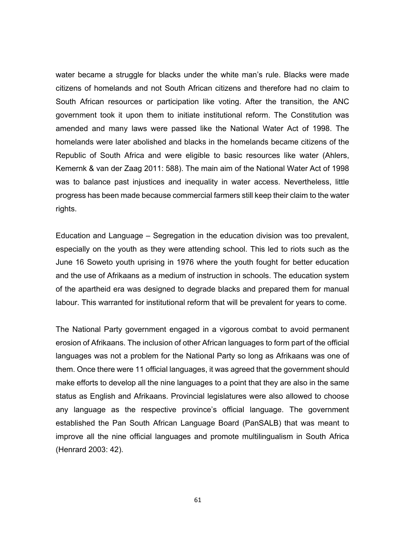water became a struggle for blacks under the white man's rule. Blacks were made citizens of homelands and not South African citizens and therefore had no claim to South African resources or participation like voting. After the transition, the ANC government took it upon them to initiate institutional reform. The Constitution was amended and many laws were passed like the National Water Act of 1998. The homelands were later abolished and blacks in the homelands became citizens of the Republic of South Africa and were eligible to basic resources like water (Ahlers, Kemernk & van der Zaag 2011: 588). The main aim of the National Water Act of 1998 was to balance past injustices and inequality in water access. Nevertheless, little progress has been made because commercial farmers still keep their claim to the water rights.

Education and Language – Segregation in the education division was too prevalent, especially on the youth as they were attending school. This led to riots such as the June 16 Soweto youth uprising in 1976 where the youth fought for better education and the use of Afrikaans as a medium of instruction in schools. The education system of the apartheid era was designed to degrade blacks and prepared them for manual labour. This warranted for institutional reform that will be prevalent for years to come.

The National Party government engaged in a vigorous combat to avoid permanent erosion of Afrikaans. The inclusion of other African languages to form part of the official languages was not a problem for the National Party so long as Afrikaans was one of them. Once there were 11 official languages, it was agreed that the government should make efforts to develop all the nine languages to a point that they are also in the same status as English and Afrikaans. Provincial legislatures were also allowed to choose any language as the respective province's official language. The government established the Pan South African Language Board (PanSALB) that was meant to improve all the nine official languages and promote multilingualism in South Africa (Henrard 2003: 42).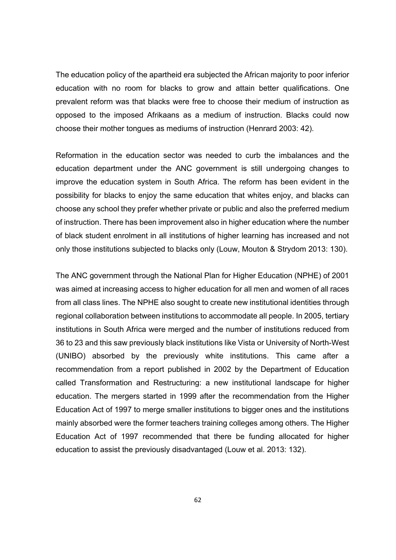The education policy of the apartheid era subjected the African majority to poor inferior education with no room for blacks to grow and attain better qualifications. One prevalent reform was that blacks were free to choose their medium of instruction as opposed to the imposed Afrikaans as a medium of instruction. Blacks could now choose their mother tongues as mediums of instruction (Henrard 2003: 42).

Reformation in the education sector was needed to curb the imbalances and the education department under the ANC government is still undergoing changes to improve the education system in South Africa. The reform has been evident in the possibility for blacks to enjoy the same education that whites enjoy, and blacks can choose any school they prefer whether private or public and also the preferred medium of instruction. There has been improvement also in higher education where the number of black student enrolment in all institutions of higher learning has increased and not only those institutions subjected to blacks only (Louw, Mouton & Strydom 2013: 130).

The ANC government through the National Plan for Higher Education (NPHE) of 2001 was aimed at increasing access to higher education for all men and women of all races from all class lines. The NPHE also sought to create new institutional identities through regional collaboration between institutions to accommodate all people. In 2005, tertiary institutions in South Africa were merged and the number of institutions reduced from 36 to 23 and this saw previously black institutions like Vista or University of North-West (UNIBO) absorbed by the previously white institutions. This came after a recommendation from a report published in 2002 by the Department of Education called Transformation and Restructuring: a new institutional landscape for higher education. The mergers started in 1999 after the recommendation from the Higher Education Act of 1997 to merge smaller institutions to bigger ones and the institutions mainly absorbed were the former teachers training colleges among others. The Higher Education Act of 1997 recommended that there be funding allocated for higher education to assist the previously disadvantaged (Louw et al. 2013: 132).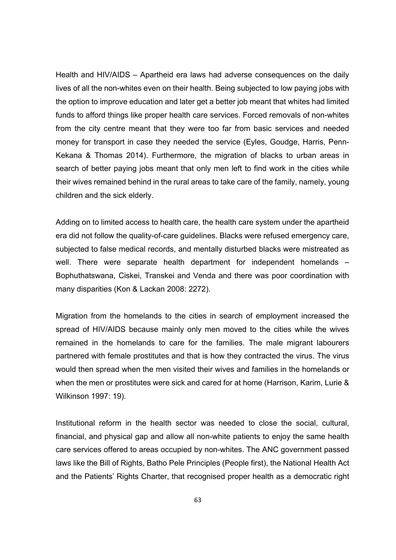Health and HIV/AIDS – Apartheid era laws had adverse consequences on the daily lives of all the non-whites even on their health. Being subjected to low paying jobs with the option to improve education and later get a better job meant that whites had limited funds to afford things like proper health care services. Forced removals of non-whites from the city centre meant that they were too far from basic services and needed money for transport in case they needed the service (Eyles, Goudge, Harris, Penn-Kekana & Thomas 2014). Furthermore, the migration of blacks to urban areas in search of better paying jobs meant that only men left to find work in the cities while their wives remained behind in the rural areas to take care of the family, namely, young children and the sick elderly.

Adding on to limited access to health care, the health care system under the apartheid era did not follow the quality-of-care guidelines. Blacks were refused emergency care, subjected to false medical records, and mentally disturbed blacks were mistreated as well. There were separate health department for independent homelands – Bophuthatswana, Ciskei, Transkei and Venda and there was poor coordination with many disparities (Kon & Lackan 2008: 2272).

Migration from the homelands to the cities in search of employment increased the spread of HIV/AIDS because mainly only men moved to the cities while the wives remained in the homelands to care for the families. The male migrant labourers partnered with female prostitutes and that is how they contracted the virus. The virus would then spread when the men visited their wives and families in the homelands or when the men or prostitutes were sick and cared for at home (Harrison, Karim, Lurie & Wilkinson 1997: 19).

Institutional reform in the health sector was needed to close the social, cultural, financial, and physical gap and allow all non-white patients to enjoy the same health care services offered to areas occupied by non-whites. The ANC government passed laws like the Bill of Rights, Batho Pele Principles (People first), the National Health Act and the Patients' Rights Charter, that recognised proper health as a democratic right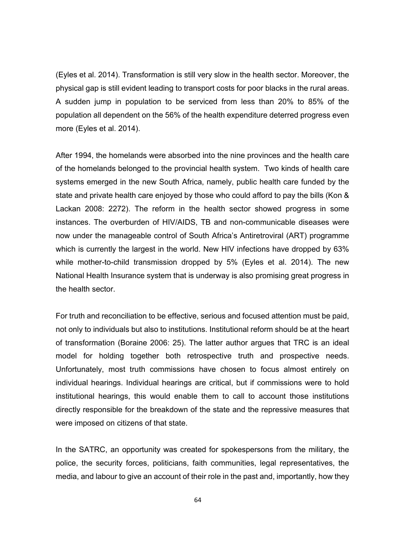(Eyles et al. 2014). Transformation is still very slow in the health sector. Moreover, the physical gap is still evident leading to transport costs for poor blacks in the rural areas. A sudden jump in population to be serviced from less than 20% to 85% of the population all dependent on the 56% of the health expenditure deterred progress even more (Eyles et al. 2014).

After 1994, the homelands were absorbed into the nine provinces and the health care of the homelands belonged to the provincial health system. Two kinds of health care systems emerged in the new South Africa, namely, public health care funded by the state and private health care enjoyed by those who could afford to pay the bills (Kon & Lackan 2008: 2272). The reform in the health sector showed progress in some instances. The overburden of HIV/AIDS, TB and non-communicable diseases were now under the manageable control of South Africa's Antiretroviral (ART) programme which is currently the largest in the world. New HIV infections have dropped by 63% while mother-to-child transmission dropped by 5% (Eyles et al. 2014). The new National Health Insurance system that is underway is also promising great progress in the health sector.

For truth and reconciliation to be effective, serious and focused attention must be paid, not only to individuals but also to institutions. Institutional reform should be at the heart of transformation (Boraine 2006: 25). The latter author argues that TRC is an ideal model for holding together both retrospective truth and prospective needs. Unfortunately, most truth commissions have chosen to focus almost entirely on individual hearings. Individual hearings are critical, but if commissions were to hold institutional hearings, this would enable them to call to account those institutions directly responsible for the breakdown of the state and the repressive measures that were imposed on citizens of that state.

In the SATRC, an opportunity was created for spokespersons from the military, the police, the security forces, politicians, faith communities, legal representatives, the media, and labour to give an account of their role in the past and, importantly, how they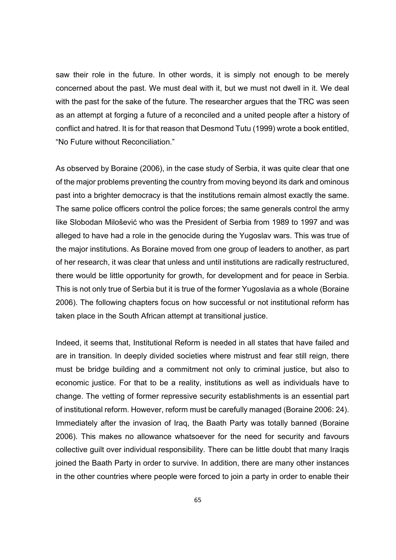saw their role in the future. In other words, it is simply not enough to be merely concerned about the past. We must deal with it, but we must not dwell in it. We deal with the past for the sake of the future. The researcher argues that the TRC was seen as an attempt at forging a future of a reconciled and a united people after a history of conflict and hatred. It is for that reason that Desmond Tutu (1999) wrote a book entitled, "No Future without Reconciliation."

As observed by Boraine (2006), in the case study of Serbia, it was quite clear that one of the major problems preventing the country from moving beyond its dark and ominous past into a brighter democracy is that the institutions remain almost exactly the same. The same police officers control the police forces; the same generals control the army like Slobodan Milošević who was the President of Serbia from 1989 to 1997 and was alleged to have had a role in the genocide during the Yugoslav wars. This was true of the major institutions. As Boraine moved from one group of leaders to another, as part of her research, it was clear that unless and until institutions are radically restructured, there would be little opportunity for growth, for development and for peace in Serbia. This is not only true of Serbia but it is true of the former Yugoslavia as a whole (Boraine 2006). The following chapters focus on how successful or not institutional reform has taken place in the South African attempt at transitional justice.

Indeed, it seems that, Institutional Reform is needed in all states that have failed and are in transition. In deeply divided societies where mistrust and fear still reign, there must be bridge building and a commitment not only to criminal justice, but also to economic justice. For that to be a reality, institutions as well as individuals have to change. The vetting of former repressive security establishments is an essential part of institutional reform. However, reform must be carefully managed (Boraine 2006: 24). Immediately after the invasion of Iraq, the Baath Party was totally banned (Boraine 2006). This makes no allowance whatsoever for the need for security and favours collective guilt over individual responsibility. There can be little doubt that many Iraqis joined the Baath Party in order to survive. In addition, there are many other instances in the other countries where people were forced to join a party in order to enable their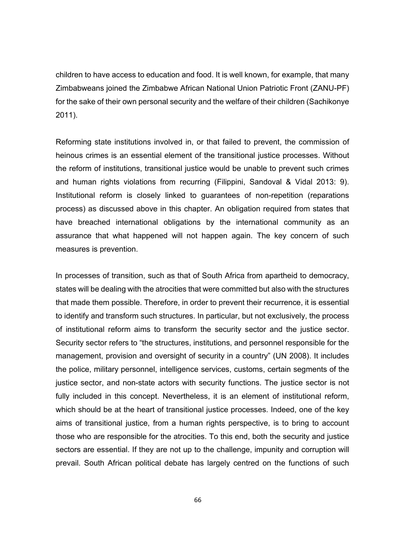children to have access to education and food. It is well known, for example, that many Zimbabweans joined the Zimbabwe African National Union Patriotic Front (ZANU-PF) for the sake of their own personal security and the welfare of their children (Sachikonye 2011).

Reforming state institutions involved in, or that failed to prevent, the commission of heinous crimes is an essential element of the transitional justice processes. Without the reform of institutions, transitional justice would be unable to prevent such crimes and human rights violations from recurring (Filippini, Sandoval & Vidal 2013: 9). Institutional reform is closely linked to guarantees of non-repetition (reparations process) as discussed above in this chapter. An obligation required from states that have breached international obligations by the international community as an assurance that what happened will not happen again. The key concern of such measures is prevention.

In processes of transition, such as that of South Africa from apartheid to democracy, states will be dealing with the atrocities that were committed but also with the structures that made them possible. Therefore, in order to prevent their recurrence, it is essential to identify and transform such structures. In particular, but not exclusively, the process of institutional reform aims to transform the security sector and the justice sector. Security sector refers to "the structures, institutions, and personnel responsible for the management, provision and oversight of security in a country" (UN 2008). It includes the police, military personnel, intelligence services, customs, certain segments of the justice sector, and non-state actors with security functions. The justice sector is not fully included in this concept. Nevertheless, it is an element of institutional reform, which should be at the heart of transitional justice processes. Indeed, one of the key aims of transitional justice, from a human rights perspective, is to bring to account those who are responsible for the atrocities. To this end, both the security and justice sectors are essential. If they are not up to the challenge, impunity and corruption will prevail. South African political debate has largely centred on the functions of such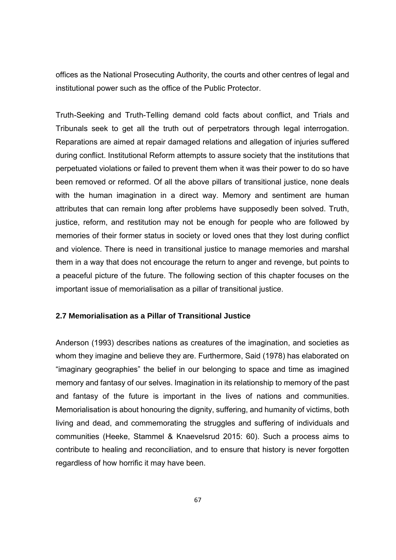offices as the National Prosecuting Authority, the courts and other centres of legal and institutional power such as the office of the Public Protector.

Truth-Seeking and Truth-Telling demand cold facts about conflict, and Trials and Tribunals seek to get all the truth out of perpetrators through legal interrogation. Reparations are aimed at repair damaged relations and allegation of injuries suffered during conflict. Institutional Reform attempts to assure society that the institutions that perpetuated violations or failed to prevent them when it was their power to do so have been removed or reformed. Of all the above pillars of transitional justice, none deals with the human imagination in a direct way. Memory and sentiment are human attributes that can remain long after problems have supposedly been solved. Truth, justice, reform, and restitution may not be enough for people who are followed by memories of their former status in society or loved ones that they lost during conflict and violence. There is need in transitional justice to manage memories and marshal them in a way that does not encourage the return to anger and revenge, but points to a peaceful picture of the future. The following section of this chapter focuses on the important issue of memorialisation as a pillar of transitional justice.

## **2.7 Memorialisation as a Pillar of Transitional Justice**

Anderson (1993) describes nations as creatures of the imagination, and societies as whom they imagine and believe they are. Furthermore, Said (1978) has elaborated on "imaginary geographies" the belief in our belonging to space and time as imagined memory and fantasy of our selves. Imagination in its relationship to memory of the past and fantasy of the future is important in the lives of nations and communities. Memorialisation is about honouring the dignity, suffering, and humanity of victims, both living and dead, and commemorating the struggles and suffering of individuals and communities (Heeke, Stammel & Knaevelsrud 2015: 60). Such a process aims to contribute to healing and reconciliation, and to ensure that history is never forgotten regardless of how horrific it may have been.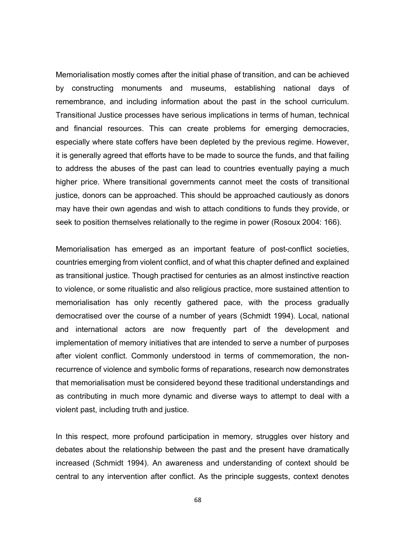Memorialisation mostly comes after the initial phase of transition, and can be achieved by constructing monuments and museums, establishing national days of remembrance, and including information about the past in the school curriculum. Transitional Justice processes have serious implications in terms of human, technical and financial resources. This can create problems for emerging democracies, especially where state coffers have been depleted by the previous regime. However, it is generally agreed that efforts have to be made to source the funds, and that failing to address the abuses of the past can lead to countries eventually paying a much higher price. Where transitional governments cannot meet the costs of transitional justice, donors can be approached. This should be approached cautiously as donors may have their own agendas and wish to attach conditions to funds they provide, or seek to position themselves relationally to the regime in power (Rosoux 2004: 166).

Memorialisation has emerged as an important feature of post-conflict societies, countries emerging from violent conflict, and of what this chapter defined and explained as transitional justice. Though practised for centuries as an almost instinctive reaction to violence, or some ritualistic and also religious practice, more sustained attention to memorialisation has only recently gathered pace, with the process gradually democratised over the course of a number of years (Schmidt 1994). Local, national and international actors are now frequently part of the development and implementation of memory initiatives that are intended to serve a number of purposes after violent conflict. Commonly understood in terms of commemoration, the nonrecurrence of violence and symbolic forms of reparations, research now demonstrates that memorialisation must be considered beyond these traditional understandings and as contributing in much more dynamic and diverse ways to attempt to deal with a violent past, including truth and justice.

In this respect, more profound participation in memory, struggles over history and debates about the relationship between the past and the present have dramatically increased (Schmidt 1994). An awareness and understanding of context should be central to any intervention after conflict. As the principle suggests, context denotes

68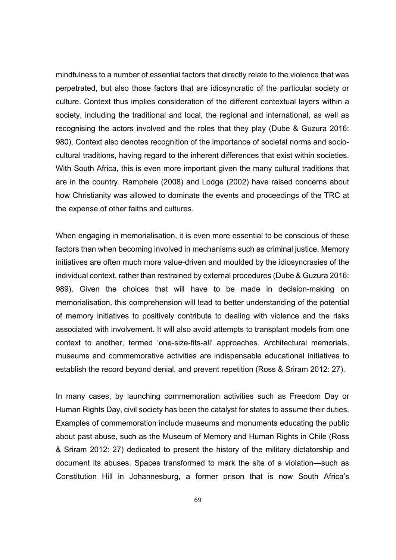mindfulness to a number of essential factors that directly relate to the violence that was perpetrated, but also those factors that are idiosyncratic of the particular society or culture. Context thus implies consideration of the different contextual layers within a society, including the traditional and local, the regional and international, as well as recognising the actors involved and the roles that they play (Dube & Guzura 2016: 980). Context also denotes recognition of the importance of societal norms and sociocultural traditions, having regard to the inherent differences that exist within societies. With South Africa, this is even more important given the many cultural traditions that are in the country. Ramphele (2008) and Lodge (2002) have raised concerns about how Christianity was allowed to dominate the events and proceedings of the TRC at the expense of other faiths and cultures.

When engaging in memorialisation, it is even more essential to be conscious of these factors than when becoming involved in mechanisms such as criminal justice. Memory initiatives are often much more value-driven and moulded by the idiosyncrasies of the individual context, rather than restrained by external procedures (Dube & Guzura 2016: 989). Given the choices that will have to be made in decision-making on memorialisation, this comprehension will lead to better understanding of the potential of memory initiatives to positively contribute to dealing with violence and the risks associated with involvement. It will also avoid attempts to transplant models from one context to another, termed 'one-size-fits-all' approaches. Architectural memorials, museums and commemorative activities are indispensable educational initiatives to establish the record beyond denial, and prevent repetition (Ross & Sriram 2012: 27).

In many cases, by launching commemoration activities such as Freedom Day or Human Rights Day, civil society has been the catalyst for states to assume their duties. Examples of commemoration include museums and monuments educating the public about past abuse, such as the Museum of Memory and Human Rights in Chile (Ross & Sriram 2012: 27) dedicated to present the history of the military dictatorship and document its abuses. Spaces transformed to mark the site of a violation—such as Constitution Hill in Johannesburg, a former prison that is now South Africa's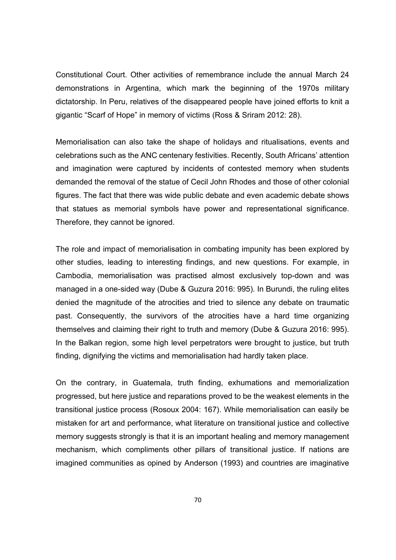Constitutional Court. Other activities of remembrance include the annual March 24 demonstrations in Argentina, which mark the beginning of the 1970s military dictatorship. In Peru, relatives of the disappeared people have joined efforts to knit a gigantic "Scarf of Hope" in memory of victims (Ross & Sriram 2012: 28).

Memorialisation can also take the shape of holidays and ritualisations, events and celebrations such as the ANC centenary festivities. Recently, South Africans' attention and imagination were captured by incidents of contested memory when students demanded the removal of the statue of Cecil John Rhodes and those of other colonial figures. The fact that there was wide public debate and even academic debate shows that statues as memorial symbols have power and representational significance. Therefore, they cannot be ignored.

The role and impact of memorialisation in combating impunity has been explored by other studies, leading to interesting findings, and new questions. For example, in Cambodia, memorialisation was practised almost exclusively top-down and was managed in a one-sided way (Dube & Guzura 2016: 995). In Burundi, the ruling elites denied the magnitude of the atrocities and tried to silence any debate on traumatic past. Consequently, the survivors of the atrocities have a hard time organizing themselves and claiming their right to truth and memory (Dube & Guzura 2016: 995). In the Balkan region, some high level perpetrators were brought to justice, but truth finding, dignifying the victims and memorialisation had hardly taken place.

On the contrary, in Guatemala, truth finding, exhumations and memorialization progressed, but here justice and reparations proved to be the weakest elements in the transitional justice process (Rosoux 2004: 167). While memorialisation can easily be mistaken for art and performance, what literature on transitional justice and collective memory suggests strongly is that it is an important healing and memory management mechanism, which compliments other pillars of transitional justice. If nations are imagined communities as opined by Anderson (1993) and countries are imaginative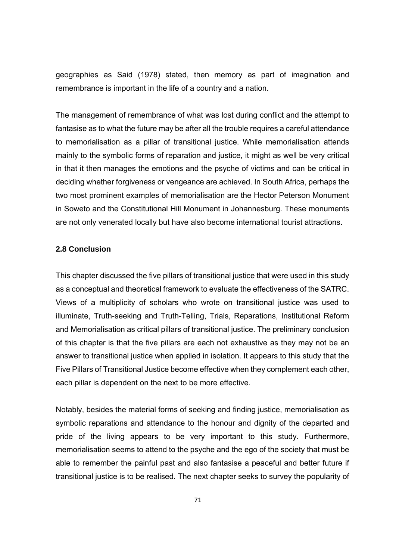geographies as Said (1978) stated, then memory as part of imagination and remembrance is important in the life of a country and a nation.

The management of remembrance of what was lost during conflict and the attempt to fantasise as to what the future may be after all the trouble requires a careful attendance to memorialisation as a pillar of transitional justice. While memorialisation attends mainly to the symbolic forms of reparation and justice, it might as well be very critical in that it then manages the emotions and the psyche of victims and can be critical in deciding whether forgiveness or vengeance are achieved. In South Africa, perhaps the two most prominent examples of memorialisation are the Hector Peterson Monument in Soweto and the Constitutional Hill Monument in Johannesburg. These monuments are not only venerated locally but have also become international tourist attractions.

#### **2.8 Conclusion**

This chapter discussed the five pillars of transitional justice that were used in this study as a conceptual and theoretical framework to evaluate the effectiveness of the SATRC. Views of a multiplicity of scholars who wrote on transitional justice was used to illuminate, Truth-seeking and Truth-Telling, Trials, Reparations, Institutional Reform and Memorialisation as critical pillars of transitional justice. The preliminary conclusion of this chapter is that the five pillars are each not exhaustive as they may not be an answer to transitional justice when applied in isolation. It appears to this study that the Five Pillars of Transitional Justice become effective when they complement each other, each pillar is dependent on the next to be more effective.

Notably, besides the material forms of seeking and finding justice, memorialisation as symbolic reparations and attendance to the honour and dignity of the departed and pride of the living appears to be very important to this study. Furthermore, memorialisation seems to attend to the psyche and the ego of the society that must be able to remember the painful past and also fantasise a peaceful and better future if transitional justice is to be realised. The next chapter seeks to survey the popularity of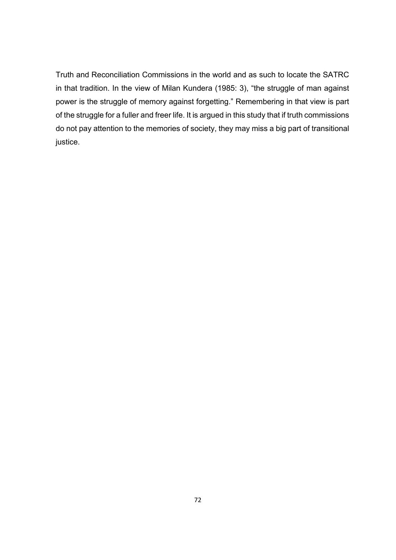Truth and Reconciliation Commissions in the world and as such to locate the SATRC in that tradition. In the view of Milan Kundera (1985: 3), "the struggle of man against power is the struggle of memory against forgetting." Remembering in that view is part of the struggle for a fuller and freer life. It is argued in this study that if truth commissions do not pay attention to the memories of society, they may miss a big part of transitional justice.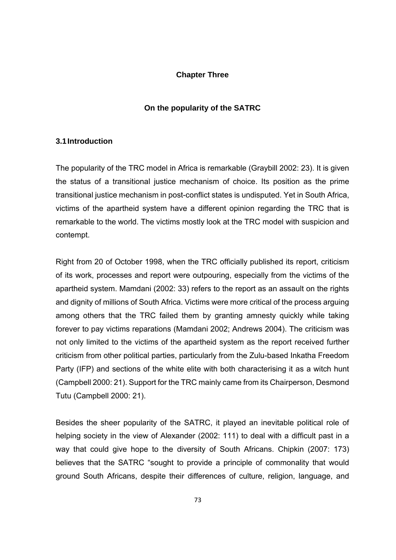# **Chapter Three**

# **On the popularity of the SATRC**

## **3.1 Introduction**

The popularity of the TRC model in Africa is remarkable (Graybill 2002: 23). It is given the status of a transitional justice mechanism of choice. Its position as the prime transitional justice mechanism in post-conflict states is undisputed. Yet in South Africa, victims of the apartheid system have a different opinion regarding the TRC that is remarkable to the world. The victims mostly look at the TRC model with suspicion and contempt.

Right from 20 of October 1998, when the TRC officially published its report, criticism of its work, processes and report were outpouring, especially from the victims of the apartheid system. Mamdani (2002: 33) refers to the report as an assault on the rights and dignity of millions of South Africa. Victims were more critical of the process arguing among others that the TRC failed them by granting amnesty quickly while taking forever to pay victims reparations (Mamdani 2002; Andrews 2004). The criticism was not only limited to the victims of the apartheid system as the report received further criticism from other political parties, particularly from the Zulu-based Inkatha Freedom Party (IFP) and sections of the white elite with both characterising it as a witch hunt (Campbell 2000: 21). Support for the TRC mainly came from its Chairperson, Desmond Tutu (Campbell 2000: 21).

Besides the sheer popularity of the SATRC, it played an inevitable political role of helping society in the view of Alexander (2002: 111) to deal with a difficult past in a way that could give hope to the diversity of South Africans. Chipkin (2007: 173) believes that the SATRC "sought to provide a principle of commonality that would ground South Africans, despite their differences of culture, religion, language, and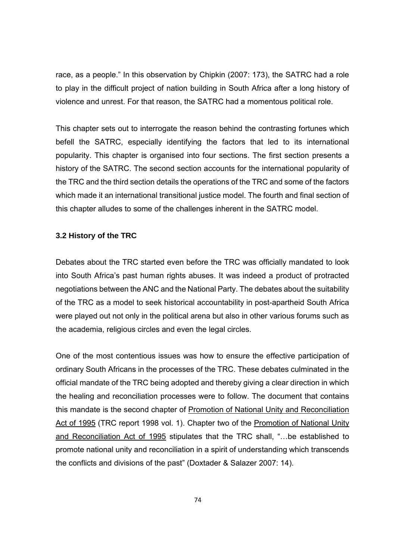race, as a people." In this observation by Chipkin (2007: 173), the SATRC had a role to play in the difficult project of nation building in South Africa after a long history of violence and unrest. For that reason, the SATRC had a momentous political role.

This chapter sets out to interrogate the reason behind the contrasting fortunes which befell the SATRC, especially identifying the factors that led to its international popularity. This chapter is organised into four sections. The first section presents a history of the SATRC. The second section accounts for the international popularity of the TRC and the third section details the operations of the TRC and some of the factors which made it an international transitional justice model. The fourth and final section of this chapter alludes to some of the challenges inherent in the SATRC model.

### **3.2 History of the TRC**

Debates about the TRC started even before the TRC was officially mandated to look into South Africa's past human rights abuses. It was indeed a product of protracted negotiations between the ANC and the National Party. The debates about the suitability of the TRC as a model to seek historical accountability in post-apartheid South Africa were played out not only in the political arena but also in other various forums such as the academia, religious circles and even the legal circles.

One of the most contentious issues was how to ensure the effective participation of ordinary South Africans in the processes of the TRC. These debates culminated in the official mandate of the TRC being adopted and thereby giving a clear direction in which the healing and reconciliation processes were to follow. The document that contains this mandate is the second chapter of Promotion of National Unity and Reconciliation Act of 1995 (TRC report 1998 vol. 1). Chapter two of the Promotion of National Unity and Reconciliation Act of 1995 stipulates that the TRC shall, "…be established to promote national unity and reconciliation in a spirit of understanding which transcends the conflicts and divisions of the past" (Doxtader & Salazer 2007: 14).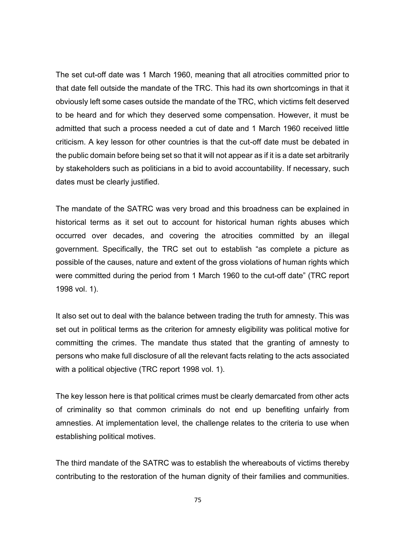The set cut-off date was 1 March 1960, meaning that all atrocities committed prior to that date fell outside the mandate of the TRC. This had its own shortcomings in that it obviously left some cases outside the mandate of the TRC, which victims felt deserved to be heard and for which they deserved some compensation. However, it must be admitted that such a process needed a cut of date and 1 March 1960 received little criticism. A key lesson for other countries is that the cut-off date must be debated in the public domain before being set so that it will not appear as if it is a date set arbitrarily by stakeholders such as politicians in a bid to avoid accountability. If necessary, such dates must be clearly justified.

The mandate of the SATRC was very broad and this broadness can be explained in historical terms as it set out to account for historical human rights abuses which occurred over decades, and covering the atrocities committed by an illegal government. Specifically, the TRC set out to establish "as complete a picture as possible of the causes, nature and extent of the gross violations of human rights which were committed during the period from 1 March 1960 to the cut-off date" (TRC report 1998 vol. 1).

It also set out to deal with the balance between trading the truth for amnesty. This was set out in political terms as the criterion for amnesty eligibility was political motive for committing the crimes. The mandate thus stated that the granting of amnesty to persons who make full disclosure of all the relevant facts relating to the acts associated with a political objective (TRC report 1998 vol. 1).

The key lesson here is that political crimes must be clearly demarcated from other acts of criminality so that common criminals do not end up benefiting unfairly from amnesties. At implementation level, the challenge relates to the criteria to use when establishing political motives.

The third mandate of the SATRC was to establish the whereabouts of victims thereby contributing to the restoration of the human dignity of their families and communities.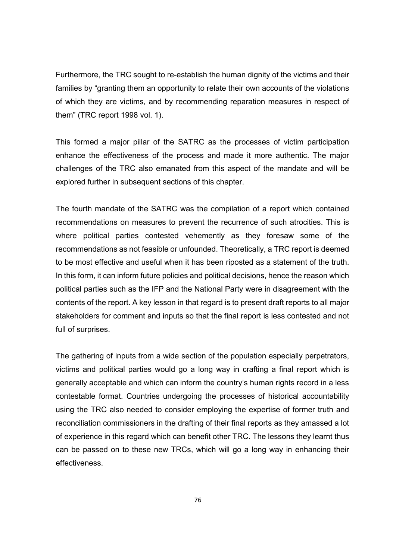Furthermore, the TRC sought to re-establish the human dignity of the victims and their families by "granting them an opportunity to relate their own accounts of the violations of which they are victims, and by recommending reparation measures in respect of them" (TRC report 1998 vol. 1).

This formed a major pillar of the SATRC as the processes of victim participation enhance the effectiveness of the process and made it more authentic. The major challenges of the TRC also emanated from this aspect of the mandate and will be explored further in subsequent sections of this chapter.

The fourth mandate of the SATRC was the compilation of a report which contained recommendations on measures to prevent the recurrence of such atrocities. This is where political parties contested vehemently as they foresaw some of the recommendations as not feasible or unfounded. Theoretically, a TRC report is deemed to be most effective and useful when it has been riposted as a statement of the truth. In this form, it can inform future policies and political decisions, hence the reason which political parties such as the IFP and the National Party were in disagreement with the contents of the report. A key lesson in that regard is to present draft reports to all major stakeholders for comment and inputs so that the final report is less contested and not full of surprises.

The gathering of inputs from a wide section of the population especially perpetrators, victims and political parties would go a long way in crafting a final report which is generally acceptable and which can inform the country's human rights record in a less contestable format. Countries undergoing the processes of historical accountability using the TRC also needed to consider employing the expertise of former truth and reconciliation commissioners in the drafting of their final reports as they amassed a lot of experience in this regard which can benefit other TRC. The lessons they learnt thus can be passed on to these new TRCs, which will go a long way in enhancing their effectiveness.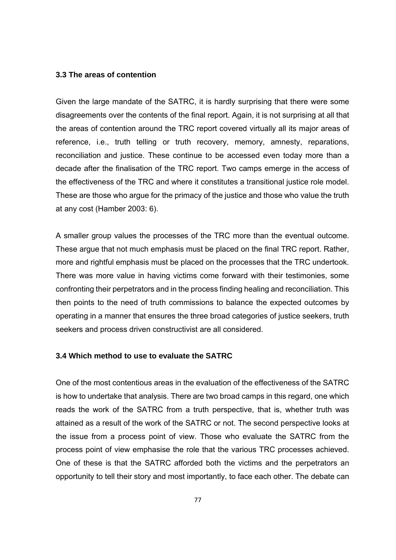#### **3.3 The areas of contention**

Given the large mandate of the SATRC, it is hardly surprising that there were some disagreements over the contents of the final report. Again, it is not surprising at all that the areas of contention around the TRC report covered virtually all its major areas of reference, i.e., truth telling or truth recovery, memory, amnesty, reparations, reconciliation and justice. These continue to be accessed even today more than a decade after the finalisation of the TRC report. Two camps emerge in the access of the effectiveness of the TRC and where it constitutes a transitional justice role model. These are those who argue for the primacy of the justice and those who value the truth at any cost (Hamber 2003: 6).

A smaller group values the processes of the TRC more than the eventual outcome. These argue that not much emphasis must be placed on the final TRC report. Rather, more and rightful emphasis must be placed on the processes that the TRC undertook. There was more value in having victims come forward with their testimonies, some confronting their perpetrators and in the process finding healing and reconciliation. This then points to the need of truth commissions to balance the expected outcomes by operating in a manner that ensures the three broad categories of justice seekers, truth seekers and process driven constructivist are all considered.

# **3.4 Which method to use to evaluate the SATRC**

One of the most contentious areas in the evaluation of the effectiveness of the SATRC is how to undertake that analysis. There are two broad camps in this regard, one which reads the work of the SATRC from a truth perspective, that is, whether truth was attained as a result of the work of the SATRC or not. The second perspective looks at the issue from a process point of view. Those who evaluate the SATRC from the process point of view emphasise the role that the various TRC processes achieved. One of these is that the SATRC afforded both the victims and the perpetrators an opportunity to tell their story and most importantly, to face each other. The debate can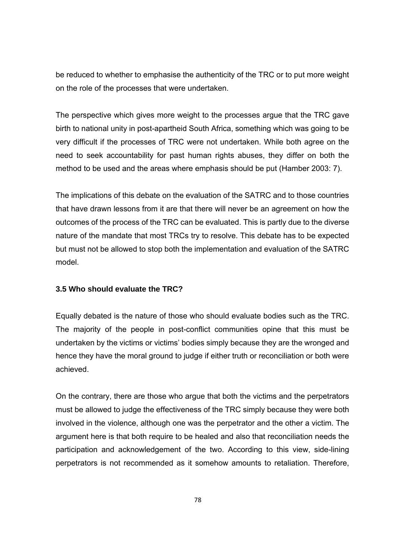be reduced to whether to emphasise the authenticity of the TRC or to put more weight on the role of the processes that were undertaken.

The perspective which gives more weight to the processes argue that the TRC gave birth to national unity in post-apartheid South Africa, something which was going to be very difficult if the processes of TRC were not undertaken. While both agree on the need to seek accountability for past human rights abuses, they differ on both the method to be used and the areas where emphasis should be put (Hamber 2003: 7).

The implications of this debate on the evaluation of the SATRC and to those countries that have drawn lessons from it are that there will never be an agreement on how the outcomes of the process of the TRC can be evaluated. This is partly due to the diverse nature of the mandate that most TRCs try to resolve. This debate has to be expected but must not be allowed to stop both the implementation and evaluation of the SATRC model.

# **3.5 Who should evaluate the TRC?**

Equally debated is the nature of those who should evaluate bodies such as the TRC. The majority of the people in post-conflict communities opine that this must be undertaken by the victims or victims' bodies simply because they are the wronged and hence they have the moral ground to judge if either truth or reconciliation or both were achieved.

On the contrary, there are those who argue that both the victims and the perpetrators must be allowed to judge the effectiveness of the TRC simply because they were both involved in the violence, although one was the perpetrator and the other a victim. The argument here is that both require to be healed and also that reconciliation needs the participation and acknowledgement of the two. According to this view, side-lining perpetrators is not recommended as it somehow amounts to retaliation. Therefore,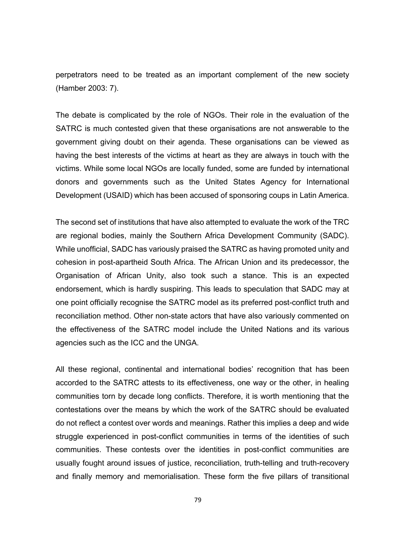perpetrators need to be treated as an important complement of the new society (Hamber 2003: 7).

The debate is complicated by the role of NGOs. Their role in the evaluation of the SATRC is much contested given that these organisations are not answerable to the government giving doubt on their agenda. These organisations can be viewed as having the best interests of the victims at heart as they are always in touch with the victims. While some local NGOs are locally funded, some are funded by international donors and governments such as the United States Agency for International Development (USAID) which has been accused of sponsoring coups in Latin America.

The second set of institutions that have also attempted to evaluate the work of the TRC are regional bodies, mainly the Southern Africa Development Community (SADC). While unofficial, SADC has variously praised the SATRC as having promoted unity and cohesion in post-apartheid South Africa. The African Union and its predecessor, the Organisation of African Unity, also took such a stance. This is an expected endorsement, which is hardly suspiring. This leads to speculation that SADC may at one point officially recognise the SATRC model as its preferred post-conflict truth and reconciliation method. Other non-state actors that have also variously commented on the effectiveness of the SATRC model include the United Nations and its various agencies such as the ICC and the UNGA.

All these regional, continental and international bodies' recognition that has been accorded to the SATRC attests to its effectiveness, one way or the other, in healing communities torn by decade long conflicts. Therefore, it is worth mentioning that the contestations over the means by which the work of the SATRC should be evaluated do not reflect a contest over words and meanings. Rather this implies a deep and wide struggle experienced in post-conflict communities in terms of the identities of such communities. These contests over the identities in post-conflict communities are usually fought around issues of justice, reconciliation, truth-telling and truth-recovery and finally memory and memorialisation. These form the five pillars of transitional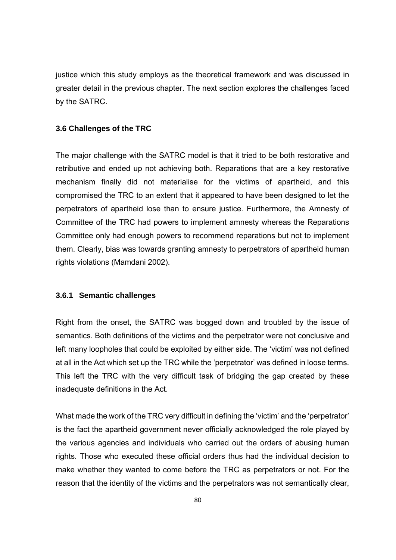justice which this study employs as the theoretical framework and was discussed in greater detail in the previous chapter. The next section explores the challenges faced by the SATRC.

## **3.6 Challenges of the TRC**

The major challenge with the SATRC model is that it tried to be both restorative and retributive and ended up not achieving both. Reparations that are a key restorative mechanism finally did not materialise for the victims of apartheid, and this compromised the TRC to an extent that it appeared to have been designed to let the perpetrators of apartheid lose than to ensure justice. Furthermore, the Amnesty of Committee of the TRC had powers to implement amnesty whereas the Reparations Committee only had enough powers to recommend reparations but not to implement them. Clearly, bias was towards granting amnesty to perpetrators of apartheid human rights violations (Mamdani 2002).

# **3.6.1 Semantic challenges**

Right from the onset, the SATRC was bogged down and troubled by the issue of semantics. Both definitions of the victims and the perpetrator were not conclusive and left many loopholes that could be exploited by either side. The 'victim' was not defined at all in the Act which set up the TRC while the 'perpetrator' was defined in loose terms. This left the TRC with the very difficult task of bridging the gap created by these inadequate definitions in the Act.

What made the work of the TRC very difficult in defining the 'victim' and the 'perpetrator' is the fact the apartheid government never officially acknowledged the role played by the various agencies and individuals who carried out the orders of abusing human rights. Those who executed these official orders thus had the individual decision to make whether they wanted to come before the TRC as perpetrators or not. For the reason that the identity of the victims and the perpetrators was not semantically clear,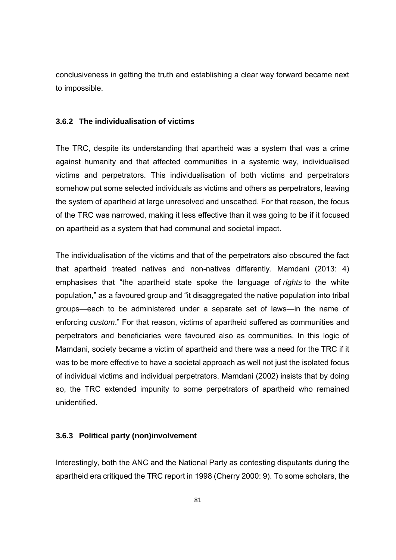conclusiveness in getting the truth and establishing a clear way forward became next to impossible.

#### **3.6.2 The individualisation of victims**

The TRC, despite its understanding that apartheid was a system that was a crime against humanity and that affected communities in a systemic way, individualised victims and perpetrators. This individualisation of both victims and perpetrators somehow put some selected individuals as victims and others as perpetrators, leaving the system of apartheid at large unresolved and unscathed. For that reason, the focus of the TRC was narrowed, making it less effective than it was going to be if it focused on apartheid as a system that had communal and societal impact.

The individualisation of the victims and that of the perpetrators also obscured the fact that apartheid treated natives and non-natives differently. Mamdani (2013: 4) emphasises that "the apartheid state spoke the language of *rights* to the white population," as a favoured group and "it disaggregated the native population into tribal groups—each to be administered under a separate set of laws—in the name of enforcing *custom*." For that reason, victims of apartheid suffered as communities and perpetrators and beneficiaries were favoured also as communities. In this logic of Mamdani, society became a victim of apartheid and there was a need for the TRC if it was to be more effective to have a societal approach as well not just the isolated focus of individual victims and individual perpetrators. Mamdani (2002) insists that by doing so, the TRC extended impunity to some perpetrators of apartheid who remained unidentified.

### **3.6.3 Political party (non)involvement**

Interestingly, both the ANC and the National Party as contesting disputants during the apartheid era critiqued the TRC report in 1998 (Cherry 2000: 9). To some scholars, the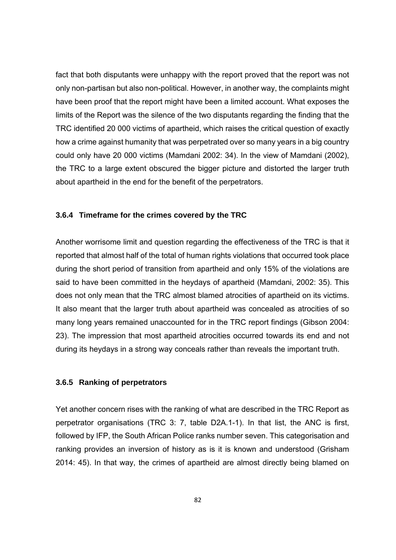fact that both disputants were unhappy with the report proved that the report was not only non-partisan but also non-political. However, in another way, the complaints might have been proof that the report might have been a limited account. What exposes the limits of the Report was the silence of the two disputants regarding the finding that the TRC identified 20 000 victims of apartheid, which raises the critical question of exactly how a crime against humanity that was perpetrated over so many years in a big country could only have 20 000 victims (Mamdani 2002: 34). In the view of Mamdani (2002), the TRC to a large extent obscured the bigger picture and distorted the larger truth about apartheid in the end for the benefit of the perpetrators.

# **3.6.4 Timeframe for the crimes covered by the TRC**

Another worrisome limit and question regarding the effectiveness of the TRC is that it reported that almost half of the total of human rights violations that occurred took place during the short period of transition from apartheid and only 15% of the violations are said to have been committed in the heydays of apartheid (Mamdani, 2002: 35). This does not only mean that the TRC almost blamed atrocities of apartheid on its victims. It also meant that the larger truth about apartheid was concealed as atrocities of so many long years remained unaccounted for in the TRC report findings (Gibson 2004: 23). The impression that most apartheid atrocities occurred towards its end and not during its heydays in a strong way conceals rather than reveals the important truth.

## **3.6.5 Ranking of perpetrators**

Yet another concern rises with the ranking of what are described in the TRC Report as perpetrator organisations (TRC 3: 7, table D2A.1-1). In that list, the ANC is first, followed by IFP, the South African Police ranks number seven. This categorisation and ranking provides an inversion of history as is it is known and understood (Grisham 2014: 45). In that way, the crimes of apartheid are almost directly being blamed on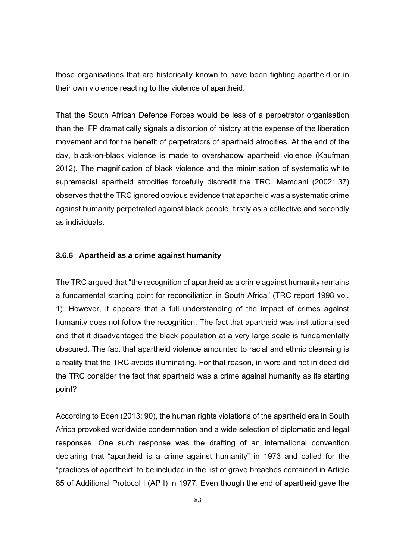those organisations that are historically known to have been fighting apartheid or in their own violence reacting to the violence of apartheid.

That the South African Defence Forces would be less of a perpetrator organisation than the IFP dramatically signals a distortion of history at the expense of the liberation movement and for the benefit of perpetrators of apartheid atrocities. At the end of the day, black-on-black violence is made to overshadow apartheid violence (Kaufman 2012). The magnification of black violence and the minimisation of systematic white supremacist apartheid atrocities forcefully discredit the TRC. Mamdani (2002: 37) observes that the TRC ignored obvious evidence that apartheid was a systematic crime against humanity perpetrated against black people, firstly as a collective and secondly as individuals.

#### **3.6.6 Apartheid as a crime against humanity**

The TRC argued that "the recognition of apartheid as a crime against humanity remains a fundamental starting point for reconciliation in South Africa" (TRC report 1998 vol. 1). However, it appears that a full understanding of the impact of crimes against humanity does not follow the recognition. The fact that apartheid was institutionalised and that it disadvantaged the black population at a very large scale is fundamentally obscured. The fact that apartheid violence amounted to racial and ethnic cleansing is a reality that the TRC avoids illuminating. For that reason, in word and not in deed did the TRC consider the fact that apartheid was a crime against humanity as its starting point?

According to Eden (2013: 90), the human rights violations of the apartheid era in South Africa provoked worldwide condemnation and a wide selection of diplomatic and legal responses. One such response was the drafting of an international convention declaring that "apartheid is a crime against humanity" in 1973 and called for the "practices of apartheid" to be included in the list of grave breaches contained in Article 85 of Additional Protocol I (AP I) in 1977. Even though the end of apartheid gave the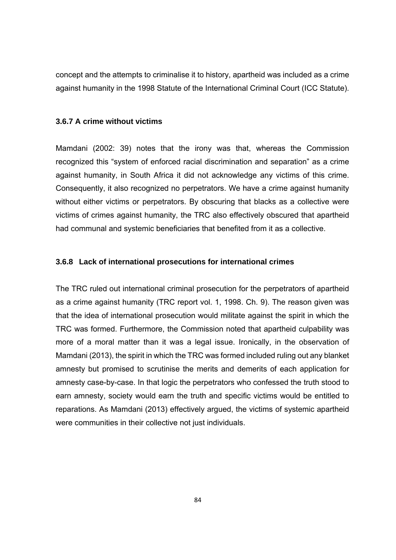concept and the attempts to criminalise it to history, apartheid was included as a crime against humanity in the 1998 Statute of the International Criminal Court (ICC Statute).

# **3.6.7 A crime without victims**

Mamdani (2002: 39) notes that the irony was that, whereas the Commission recognized this "system of enforced racial discrimination and separation" as a crime against humanity, in South Africa it did not acknowledge any victims of this crime. Consequently, it also recognized no perpetrators. We have a crime against humanity without either victims or perpetrators. By obscuring that blacks as a collective were victims of crimes against humanity, the TRC also effectively obscured that apartheid had communal and systemic beneficiaries that benefited from it as a collective.

# **3.6.8 Lack of international prosecutions for international crimes**

The TRC ruled out international criminal prosecution for the perpetrators of apartheid as a crime against humanity (TRC report vol. 1, 1998. Ch. 9). The reason given was that the idea of international prosecution would militate against the spirit in which the TRC was formed. Furthermore, the Commission noted that apartheid culpability was more of a moral matter than it was a legal issue. Ironically, in the observation of Mamdani (2013), the spirit in which the TRC was formed included ruling out any blanket amnesty but promised to scrutinise the merits and demerits of each application for amnesty case-by-case. In that logic the perpetrators who confessed the truth stood to earn amnesty, society would earn the truth and specific victims would be entitled to reparations. As Mamdani (2013) effectively argued, the victims of systemic apartheid were communities in their collective not just individuals.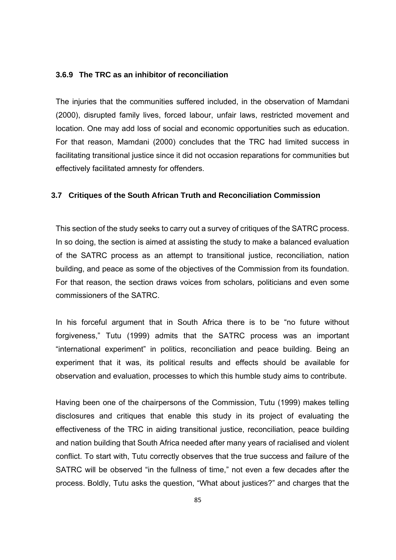#### **3.6.9 The TRC as an inhibitor of reconciliation**

The injuries that the communities suffered included, in the observation of Mamdani (2000), disrupted family lives, forced labour, unfair laws, restricted movement and location. One may add loss of social and economic opportunities such as education. For that reason, Mamdani (2000) concludes that the TRC had limited success in facilitating transitional justice since it did not occasion reparations for communities but effectively facilitated amnesty for offenders.

## **3.7 Critiques of the South African Truth and Reconciliation Commission**

This section of the study seeks to carry out a survey of critiques of the SATRC process. In so doing, the section is aimed at assisting the study to make a balanced evaluation of the SATRC process as an attempt to transitional justice, reconciliation, nation building, and peace as some of the objectives of the Commission from its foundation. For that reason, the section draws voices from scholars, politicians and even some commissioners of the SATRC.

In his forceful argument that in South Africa there is to be "no future without forgiveness," Tutu (1999) admits that the SATRC process was an important "international experiment" in politics, reconciliation and peace building. Being an experiment that it was, its political results and effects should be available for observation and evaluation, processes to which this humble study aims to contribute.

Having been one of the chairpersons of the Commission, Tutu (1999) makes telling disclosures and critiques that enable this study in its project of evaluating the effectiveness of the TRC in aiding transitional justice, reconciliation, peace building and nation building that South Africa needed after many years of racialised and violent conflict. To start with, Tutu correctly observes that the true success and failure of the SATRC will be observed "in the fullness of time," not even a few decades after the process. Boldly, Tutu asks the question, "What about justices?" and charges that the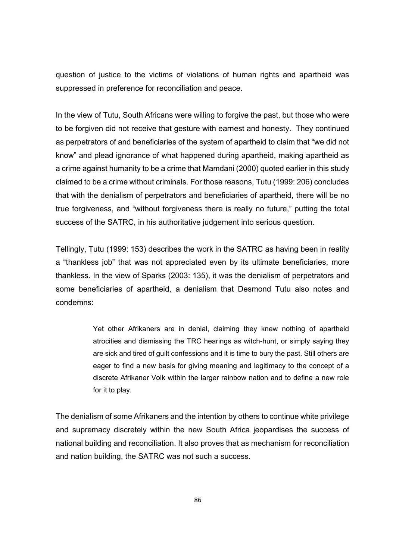question of justice to the victims of violations of human rights and apartheid was suppressed in preference for reconciliation and peace.

In the view of Tutu, South Africans were willing to forgive the past, but those who were to be forgiven did not receive that gesture with earnest and honesty. They continued as perpetrators of and beneficiaries of the system of apartheid to claim that "we did not know" and plead ignorance of what happened during apartheid, making apartheid as a crime against humanity to be a crime that Mamdani (2000) quoted earlier in this study claimed to be a crime without criminals. For those reasons, Tutu (1999: 206) concludes that with the denialism of perpetrators and beneficiaries of apartheid, there will be no true forgiveness, and "without forgiveness there is really no future," putting the total success of the SATRC, in his authoritative judgement into serious question.

Tellingly, Tutu (1999: 153) describes the work in the SATRC as having been in reality a "thankless job" that was not appreciated even by its ultimate beneficiaries, more thankless. In the view of Sparks (2003: 135), it was the denialism of perpetrators and some beneficiaries of apartheid, a denialism that Desmond Tutu also notes and condemns:

> Yet other Afrikaners are in denial, claiming they knew nothing of apartheid atrocities and dismissing the TRC hearings as witch-hunt, or simply saying they are sick and tired of guilt confessions and it is time to bury the past. Still others are eager to find a new basis for giving meaning and legitimacy to the concept of a discrete Afrikaner Volk within the larger rainbow nation and to define a new role for it to play.

The denialism of some Afrikaners and the intention by others to continue white privilege and supremacy discretely within the new South Africa jeopardises the success of national building and reconciliation. It also proves that as mechanism for reconciliation and nation building, the SATRC was not such a success.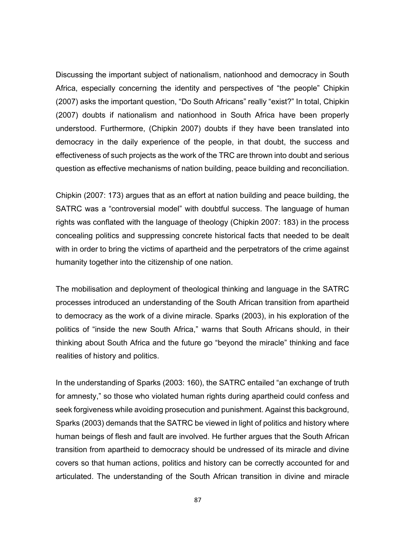Discussing the important subject of nationalism, nationhood and democracy in South Africa, especially concerning the identity and perspectives of "the people" Chipkin (2007) asks the important question, "Do South Africans" really "exist?" In total, Chipkin (2007) doubts if nationalism and nationhood in South Africa have been properly understood. Furthermore, (Chipkin 2007) doubts if they have been translated into democracy in the daily experience of the people, in that doubt, the success and effectiveness of such projects as the work of the TRC are thrown into doubt and serious question as effective mechanisms of nation building, peace building and reconciliation.

Chipkin (2007: 173) argues that as an effort at nation building and peace building, the SATRC was a "controversial model" with doubtful success. The language of human rights was conflated with the language of theology (Chipkin 2007: 183) in the process concealing politics and suppressing concrete historical facts that needed to be dealt with in order to bring the victims of apartheid and the perpetrators of the crime against humanity together into the citizenship of one nation.

The mobilisation and deployment of theological thinking and language in the SATRC processes introduced an understanding of the South African transition from apartheid to democracy as the work of a divine miracle. Sparks (2003), in his exploration of the politics of "inside the new South Africa," warns that South Africans should, in their thinking about South Africa and the future go "beyond the miracle" thinking and face realities of history and politics.

In the understanding of Sparks (2003: 160), the SATRC entailed "an exchange of truth for amnesty," so those who violated human rights during apartheid could confess and seek forgiveness while avoiding prosecution and punishment. Against this background, Sparks (2003) demands that the SATRC be viewed in light of politics and history where human beings of flesh and fault are involved. He further argues that the South African transition from apartheid to democracy should be undressed of its miracle and divine covers so that human actions, politics and history can be correctly accounted for and articulated. The understanding of the South African transition in divine and miracle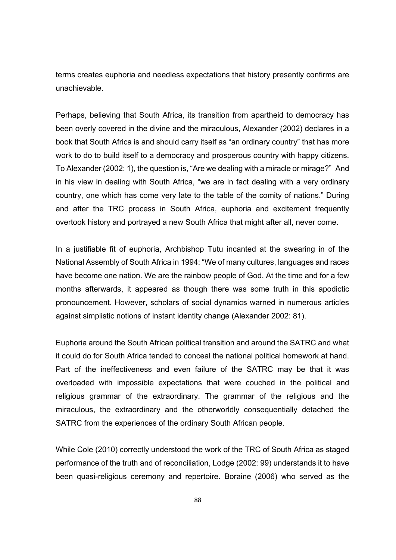terms creates euphoria and needless expectations that history presently confirms are unachievable.

Perhaps, believing that South Africa, its transition from apartheid to democracy has been overly covered in the divine and the miraculous, Alexander (2002) declares in a book that South Africa is and should carry itself as "an ordinary country" that has more work to do to build itself to a democracy and prosperous country with happy citizens. To Alexander (2002: 1), the question is, "Are we dealing with a miracle or mirage?" And in his view in dealing with South Africa, "we are in fact dealing with a very ordinary country, one which has come very late to the table of the comity of nations." During and after the TRC process in South Africa, euphoria and excitement frequently overtook history and portrayed a new South Africa that might after all, never come.

In a justifiable fit of euphoria, Archbishop Tutu incanted at the swearing in of the National Assembly of South Africa in 1994: "We of many cultures, languages and races have become one nation. We are the rainbow people of God. At the time and for a few months afterwards, it appeared as though there was some truth in this apodictic pronouncement. However, scholars of social dynamics warned in numerous articles against simplistic notions of instant identity change (Alexander 2002: 81).

Euphoria around the South African political transition and around the SATRC and what it could do for South Africa tended to conceal the national political homework at hand. Part of the ineffectiveness and even failure of the SATRC may be that it was overloaded with impossible expectations that were couched in the political and religious grammar of the extraordinary. The grammar of the religious and the miraculous, the extraordinary and the otherworldly consequentially detached the SATRC from the experiences of the ordinary South African people.

While Cole (2010) correctly understood the work of the TRC of South Africa as staged performance of the truth and of reconciliation, Lodge (2002: 99) understands it to have been quasi-religious ceremony and repertoire. Boraine (2006) who served as the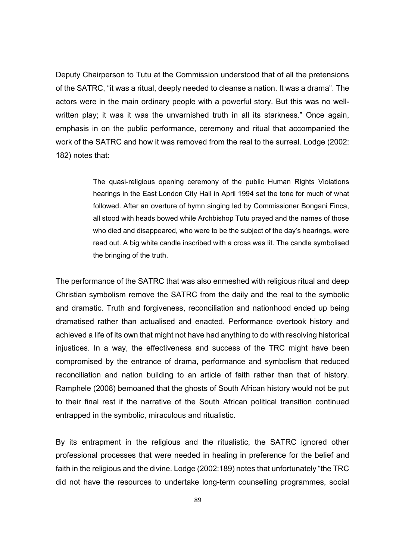Deputy Chairperson to Tutu at the Commission understood that of all the pretensions of the SATRC, "it was a ritual, deeply needed to cleanse a nation. It was a drama". The actors were in the main ordinary people with a powerful story. But this was no wellwritten play; it was it was the unvarnished truth in all its starkness." Once again, emphasis in on the public performance, ceremony and ritual that accompanied the work of the SATRC and how it was removed from the real to the surreal. Lodge (2002: 182) notes that:

> The quasi-religious opening ceremony of the public Human Rights Violations hearings in the East London City Hall in April 1994 set the tone for much of what followed. After an overture of hymn singing led by Commissioner Bongani Finca, all stood with heads bowed while Archbishop Tutu prayed and the names of those who died and disappeared, who were to be the subject of the day's hearings, were read out. A big white candle inscribed with a cross was lit. The candle symbolised the bringing of the truth.

The performance of the SATRC that was also enmeshed with religious ritual and deep Christian symbolism remove the SATRC from the daily and the real to the symbolic and dramatic. Truth and forgiveness, reconciliation and nationhood ended up being dramatised rather than actualised and enacted. Performance overtook history and achieved a life of its own that might not have had anything to do with resolving historical injustices. In a way, the effectiveness and success of the TRC might have been compromised by the entrance of drama, performance and symbolism that reduced reconciliation and nation building to an article of faith rather than that of history. Ramphele (2008) bemoaned that the ghosts of South African history would not be put to their final rest if the narrative of the South African political transition continued entrapped in the symbolic, miraculous and ritualistic.

By its entrapment in the religious and the ritualistic, the SATRC ignored other professional processes that were needed in healing in preference for the belief and faith in the religious and the divine. Lodge (2002:189) notes that unfortunately "the TRC did not have the resources to undertake long-term counselling programmes, social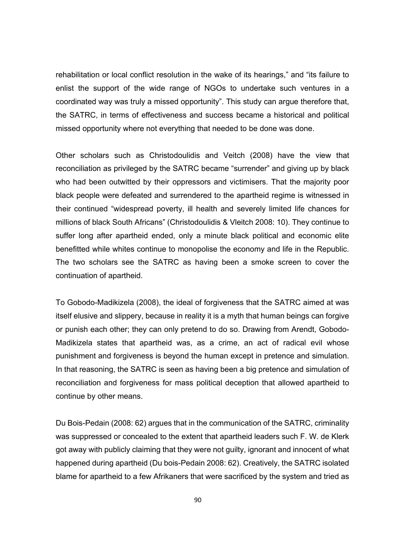rehabilitation or local conflict resolution in the wake of its hearings," and "its failure to enlist the support of the wide range of NGOs to undertake such ventures in a coordinated way was truly a missed opportunity". This study can argue therefore that, the SATRC, in terms of effectiveness and success became a historical and political missed opportunity where not everything that needed to be done was done.

Other scholars such as Christodoulidis and Veitch (2008) have the view that reconciliation as privileged by the SATRC became "surrender" and giving up by black who had been outwitted by their oppressors and victimisers. That the majority poor black people were defeated and surrendered to the apartheid regime is witnessed in their continued "widespread poverty, ill health and severely limited life chances for millions of black South Africans" (Christodoulidis & Vleitch 2008: 10). They continue to suffer long after apartheid ended, only a minute black political and economic elite benefitted while whites continue to monopolise the economy and life in the Republic. The two scholars see the SATRC as having been a smoke screen to cover the continuation of apartheid.

To Gobodo-Madikizela (2008), the ideal of forgiveness that the SATRC aimed at was itself elusive and slippery, because in reality it is a myth that human beings can forgive or punish each other; they can only pretend to do so. Drawing from Arendt, Gobodo-Madikizela states that apartheid was, as a crime, an act of radical evil whose punishment and forgiveness is beyond the human except in pretence and simulation. In that reasoning, the SATRC is seen as having been a big pretence and simulation of reconciliation and forgiveness for mass political deception that allowed apartheid to continue by other means.

Du Bois-Pedain (2008: 62) argues that in the communication of the SATRC, criminality was suppressed or concealed to the extent that apartheid leaders such F. W. de Klerk got away with publicly claiming that they were not guilty, ignorant and innocent of what happened during apartheid (Du bois-Pedain 2008: 62). Creatively, the SATRC isolated blame for apartheid to a few Afrikaners that were sacrificed by the system and tried as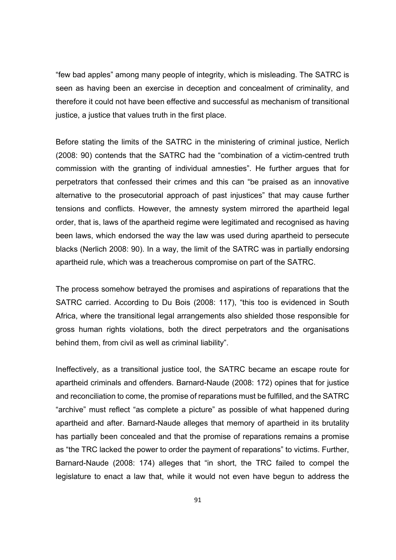"few bad apples" among many people of integrity, which is misleading. The SATRC is seen as having been an exercise in deception and concealment of criminality, and therefore it could not have been effective and successful as mechanism of transitional justice, a justice that values truth in the first place.

Before stating the limits of the SATRC in the ministering of criminal justice, Nerlich (2008: 90) contends that the SATRC had the "combination of a victim-centred truth commission with the granting of individual amnesties". He further argues that for perpetrators that confessed their crimes and this can "be praised as an innovative alternative to the prosecutorial approach of past injustices" that may cause further tensions and conflicts. However, the amnesty system mirrored the apartheid legal order, that is, laws of the apartheid regime were legitimated and recognised as having been laws, which endorsed the way the law was used during apartheid to persecute blacks (Nerlich 2008: 90). In a way, the limit of the SATRC was in partially endorsing apartheid rule, which was a treacherous compromise on part of the SATRC.

The process somehow betrayed the promises and aspirations of reparations that the SATRC carried. According to Du Bois (2008: 117), "this too is evidenced in South Africa, where the transitional legal arrangements also shielded those responsible for gross human rights violations, both the direct perpetrators and the organisations behind them, from civil as well as criminal liability".

Ineffectively, as a transitional justice tool, the SATRC became an escape route for apartheid criminals and offenders. Barnard-Naude (2008: 172) opines that for justice and reconciliation to come, the promise of reparations must be fulfilled, and the SATRC "archive" must reflect "as complete a picture" as possible of what happened during apartheid and after. Barnard-Naude alleges that memory of apartheid in its brutality has partially been concealed and that the promise of reparations remains a promise as "the TRC lacked the power to order the payment of reparations" to victims. Further, Barnard-Naude (2008: 174) alleges that "in short, the TRC failed to compel the legislature to enact a law that, while it would not even have begun to address the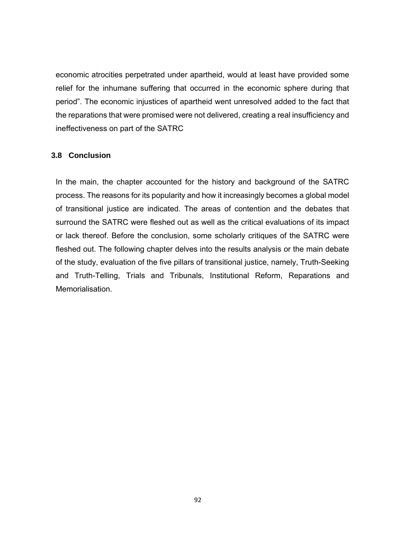economic atrocities perpetrated under apartheid, would at least have provided some relief for the inhumane suffering that occurred in the economic sphere during that period". The economic injustices of apartheid went unresolved added to the fact that the reparations that were promised were not delivered, creating a real insufficiency and ineffectiveness on part of the SATRC

## **3.8 Conclusion**

In the main, the chapter accounted for the history and background of the SATRC process. The reasons for its popularity and how it increasingly becomes a global model of transitional justice are indicated. The areas of contention and the debates that surround the SATRC were fleshed out as well as the critical evaluations of its impact or lack thereof. Before the conclusion, some scholarly critiques of the SATRC were fleshed out. The following chapter delves into the results analysis or the main debate of the study, evaluation of the five pillars of transitional justice, namely, Truth-Seeking and Truth-Telling, Trials and Tribunals, Institutional Reform, Reparations and Memorialisation.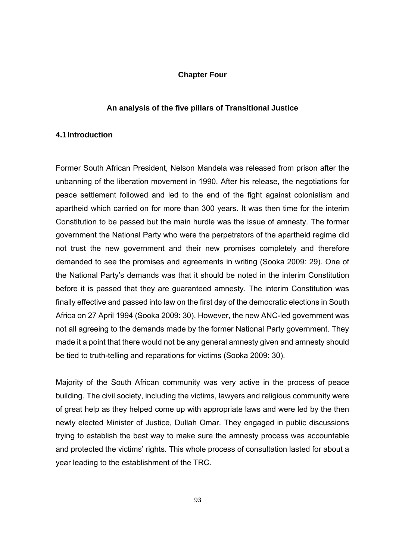### **Chapter Four**

### **An analysis of the five pillars of Transitional Justice**

# **4.1 Introduction**

Former South African President, Nelson Mandela was released from prison after the unbanning of the liberation movement in 1990. After his release, the negotiations for peace settlement followed and led to the end of the fight against colonialism and apartheid which carried on for more than 300 years. It was then time for the interim Constitution to be passed but the main hurdle was the issue of amnesty. The former government the National Party who were the perpetrators of the apartheid regime did not trust the new government and their new promises completely and therefore demanded to see the promises and agreements in writing (Sooka 2009: 29). One of the National Party's demands was that it should be noted in the interim Constitution before it is passed that they are guaranteed amnesty. The interim Constitution was finally effective and passed into law on the first day of the democratic elections in South Africa on 27 April 1994 (Sooka 2009: 30). However, the new ANC-led government was not all agreeing to the demands made by the former National Party government. They made it a point that there would not be any general amnesty given and amnesty should be tied to truth-telling and reparations for victims (Sooka 2009: 30).

Majority of the South African community was very active in the process of peace building. The civil society, including the victims, lawyers and religious community were of great help as they helped come up with appropriate laws and were led by the then newly elected Minister of Justice, Dullah Omar. They engaged in public discussions trying to establish the best way to make sure the amnesty process was accountable and protected the victims' rights. This whole process of consultation lasted for about a year leading to the establishment of the TRC.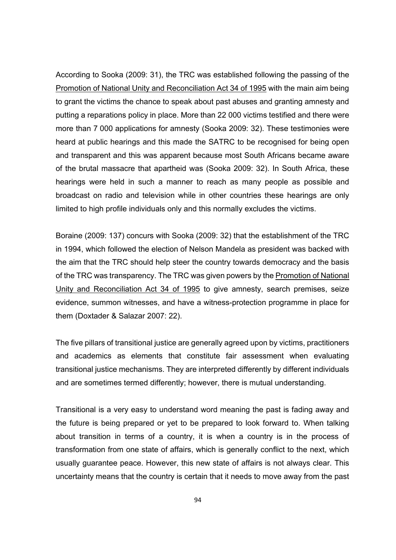According to Sooka (2009: 31), the TRC was established following the passing of the Promotion of National Unity and Reconciliation Act 34 of 1995 with the main aim being to grant the victims the chance to speak about past abuses and granting amnesty and putting a reparations policy in place. More than 22 000 victims testified and there were more than 7 000 applications for amnesty (Sooka 2009: 32). These testimonies were heard at public hearings and this made the SATRC to be recognised for being open and transparent and this was apparent because most South Africans became aware of the brutal massacre that apartheid was (Sooka 2009: 32). In South Africa, these hearings were held in such a manner to reach as many people as possible and broadcast on radio and television while in other countries these hearings are only limited to high profile individuals only and this normally excludes the victims.

Boraine (2009: 137) concurs with Sooka (2009: 32) that the establishment of the TRC in 1994, which followed the election of Nelson Mandela as president was backed with the aim that the TRC should help steer the country towards democracy and the basis of the TRC was transparency. The TRC was given powers by the Promotion of National Unity and Reconciliation Act 34 of 1995 to give amnesty, search premises, seize evidence, summon witnesses, and have a witness-protection programme in place for them (Doxtader & Salazar 2007: 22).

The five pillars of transitional justice are generally agreed upon by victims, practitioners and academics as elements that constitute fair assessment when evaluating transitional justice mechanisms. They are interpreted differently by different individuals and are sometimes termed differently; however, there is mutual understanding.

Transitional is a very easy to understand word meaning the past is fading away and the future is being prepared or yet to be prepared to look forward to. When talking about transition in terms of a country, it is when a country is in the process of transformation from one state of affairs, which is generally conflict to the next, which usually guarantee peace. However, this new state of affairs is not always clear. This uncertainty means that the country is certain that it needs to move away from the past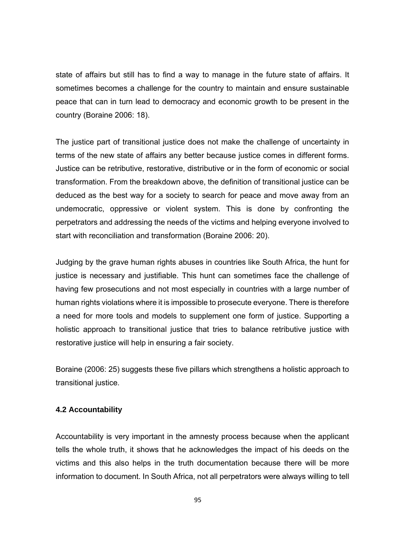state of affairs but still has to find a way to manage in the future state of affairs. It sometimes becomes a challenge for the country to maintain and ensure sustainable peace that can in turn lead to democracy and economic growth to be present in the country (Boraine 2006: 18).

The justice part of transitional justice does not make the challenge of uncertainty in terms of the new state of affairs any better because justice comes in different forms. Justice can be retributive, restorative, distributive or in the form of economic or social transformation. From the breakdown above, the definition of transitional justice can be deduced as the best way for a society to search for peace and move away from an undemocratic, oppressive or violent system. This is done by confronting the perpetrators and addressing the needs of the victims and helping everyone involved to start with reconciliation and transformation (Boraine 2006: 20).

Judging by the grave human rights abuses in countries like South Africa, the hunt for justice is necessary and justifiable. This hunt can sometimes face the challenge of having few prosecutions and not most especially in countries with a large number of human rights violations where it is impossible to prosecute everyone. There is therefore a need for more tools and models to supplement one form of justice. Supporting a holistic approach to transitional justice that tries to balance retributive justice with restorative justice will help in ensuring a fair society.

Boraine (2006: 25) suggests these five pillars which strengthens a holistic approach to transitional justice.

## **4.2 Accountability**

Accountability is very important in the amnesty process because when the applicant tells the whole truth, it shows that he acknowledges the impact of his deeds on the victims and this also helps in the truth documentation because there will be more information to document. In South Africa, not all perpetrators were always willing to tell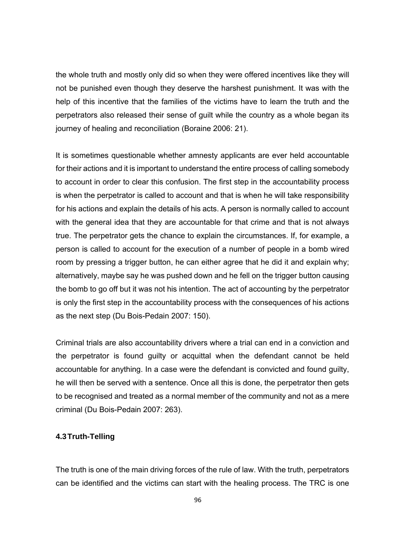the whole truth and mostly only did so when they were offered incentives like they will not be punished even though they deserve the harshest punishment. It was with the help of this incentive that the families of the victims have to learn the truth and the perpetrators also released their sense of guilt while the country as a whole began its journey of healing and reconciliation (Boraine 2006: 21).

It is sometimes questionable whether amnesty applicants are ever held accountable for their actions and it is important to understand the entire process of calling somebody to account in order to clear this confusion. The first step in the accountability process is when the perpetrator is called to account and that is when he will take responsibility for his actions and explain the details of his acts. A person is normally called to account with the general idea that they are accountable for that crime and that is not always true. The perpetrator gets the chance to explain the circumstances. If, for example, a person is called to account for the execution of a number of people in a bomb wired room by pressing a trigger button, he can either agree that he did it and explain why; alternatively, maybe say he was pushed down and he fell on the trigger button causing the bomb to go off but it was not his intention. The act of accounting by the perpetrator is only the first step in the accountability process with the consequences of his actions as the next step (Du Bois-Pedain 2007: 150).

Criminal trials are also accountability drivers where a trial can end in a conviction and the perpetrator is found guilty or acquittal when the defendant cannot be held accountable for anything. In a case were the defendant is convicted and found guilty, he will then be served with a sentence. Once all this is done, the perpetrator then gets to be recognised and treated as a normal member of the community and not as a mere criminal (Du Bois-Pedain 2007: 263).

### **4.3 Truth-Telling**

The truth is one of the main driving forces of the rule of law. With the truth, perpetrators can be identified and the victims can start with the healing process. The TRC is one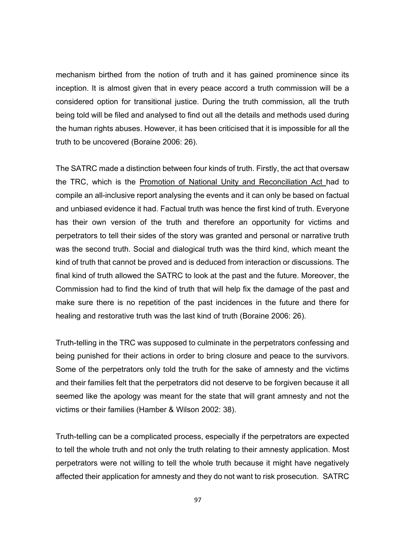mechanism birthed from the notion of truth and it has gained prominence since its inception. It is almost given that in every peace accord a truth commission will be a considered option for transitional justice. During the truth commission, all the truth being told will be filed and analysed to find out all the details and methods used during the human rights abuses. However, it has been criticised that it is impossible for all the truth to be uncovered (Boraine 2006: 26).

The SATRC made a distinction between four kinds of truth. Firstly, the act that oversaw the TRC, which is the Promotion of National Unity and Reconciliation Act had to compile an all-inclusive report analysing the events and it can only be based on factual and unbiased evidence it had. Factual truth was hence the first kind of truth. Everyone has their own version of the truth and therefore an opportunity for victims and perpetrators to tell their sides of the story was granted and personal or narrative truth was the second truth. Social and dialogical truth was the third kind, which meant the kind of truth that cannot be proved and is deduced from interaction or discussions. The final kind of truth allowed the SATRC to look at the past and the future. Moreover, the Commission had to find the kind of truth that will help fix the damage of the past and make sure there is no repetition of the past incidences in the future and there for healing and restorative truth was the last kind of truth (Boraine 2006: 26).

Truth-telling in the TRC was supposed to culminate in the perpetrators confessing and being punished for their actions in order to bring closure and peace to the survivors. Some of the perpetrators only told the truth for the sake of amnesty and the victims and their families felt that the perpetrators did not deserve to be forgiven because it all seemed like the apology was meant for the state that will grant amnesty and not the victims or their families (Hamber & Wilson 2002: 38).

Truth-telling can be a complicated process, especially if the perpetrators are expected to tell the whole truth and not only the truth relating to their amnesty application. Most perpetrators were not willing to tell the whole truth because it might have negatively affected their application for amnesty and they do not want to risk prosecution. SATRC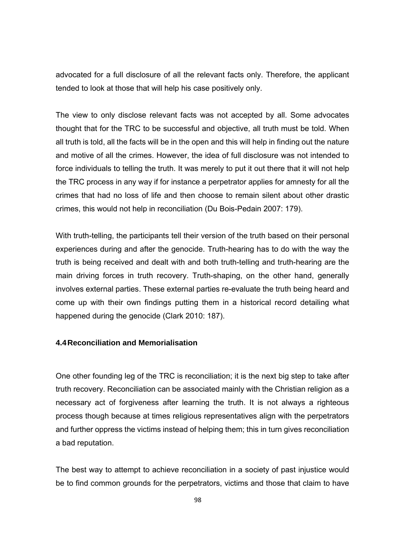advocated for a full disclosure of all the relevant facts only. Therefore, the applicant tended to look at those that will help his case positively only.

The view to only disclose relevant facts was not accepted by all. Some advocates thought that for the TRC to be successful and objective, all truth must be told. When all truth is told, all the facts will be in the open and this will help in finding out the nature and motive of all the crimes. However, the idea of full disclosure was not intended to force individuals to telling the truth. It was merely to put it out there that it will not help the TRC process in any way if for instance a perpetrator applies for amnesty for all the crimes that had no loss of life and then choose to remain silent about other drastic crimes, this would not help in reconciliation (Du Bois-Pedain 2007: 179).

With truth-telling, the participants tell their version of the truth based on their personal experiences during and after the genocide. Truth-hearing has to do with the way the truth is being received and dealt with and both truth-telling and truth-hearing are the main driving forces in truth recovery. Truth-shaping, on the other hand, generally involves external parties. These external parties re-evaluate the truth being heard and come up with their own findings putting them in a historical record detailing what happened during the genocide (Clark 2010: 187).

# **4.4 Reconciliation and Memorialisation**

One other founding leg of the TRC is reconciliation; it is the next big step to take after truth recovery. Reconciliation can be associated mainly with the Christian religion as a necessary act of forgiveness after learning the truth. It is not always a righteous process though because at times religious representatives align with the perpetrators and further oppress the victims instead of helping them; this in turn gives reconciliation a bad reputation.

The best way to attempt to achieve reconciliation in a society of past injustice would be to find common grounds for the perpetrators, victims and those that claim to have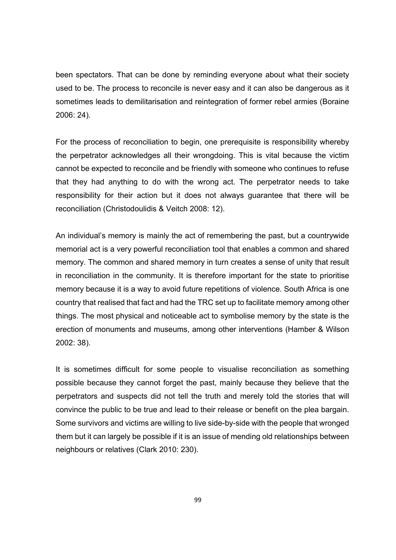been spectators. That can be done by reminding everyone about what their society used to be. The process to reconcile is never easy and it can also be dangerous as it sometimes leads to demilitarisation and reintegration of former rebel armies (Boraine 2006: 24).

For the process of reconciliation to begin, one prerequisite is responsibility whereby the perpetrator acknowledges all their wrongdoing. This is vital because the victim cannot be expected to reconcile and be friendly with someone who continues to refuse that they had anything to do with the wrong act. The perpetrator needs to take responsibility for their action but it does not always guarantee that there will be reconciliation (Christodoulidis & Veitch 2008: 12).

An individual's memory is mainly the act of remembering the past, but a countrywide memorial act is a very powerful reconciliation tool that enables a common and shared memory. The common and shared memory in turn creates a sense of unity that result in reconciliation in the community. It is therefore important for the state to prioritise memory because it is a way to avoid future repetitions of violence. South Africa is one country that realised that fact and had the TRC set up to facilitate memory among other things. The most physical and noticeable act to symbolise memory by the state is the erection of monuments and museums, among other interventions (Hamber & Wilson 2002: 38).

It is sometimes difficult for some people to visualise reconciliation as something possible because they cannot forget the past, mainly because they believe that the perpetrators and suspects did not tell the truth and merely told the stories that will convince the public to be true and lead to their release or benefit on the plea bargain. Some survivors and victims are willing to live side-by-side with the people that wronged them but it can largely be possible if it is an issue of mending old relationships between neighbours or relatives (Clark 2010: 230).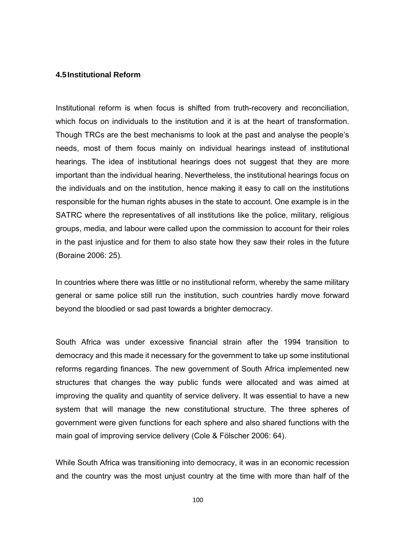#### **4.5 Institutional Reform**

Institutional reform is when focus is shifted from truth-recovery and reconciliation, which focus on individuals to the institution and it is at the heart of transformation. Though TRCs are the best mechanisms to look at the past and analyse the people's needs, most of them focus mainly on individual hearings instead of institutional hearings. The idea of institutional hearings does not suggest that they are more important than the individual hearing. Nevertheless, the institutional hearings focus on the individuals and on the institution, hence making it easy to call on the institutions responsible for the human rights abuses in the state to account. One example is in the SATRC where the representatives of all institutions like the police, military, religious groups, media, and labour were called upon the commission to account for their roles in the past injustice and for them to also state how they saw their roles in the future (Boraine 2006: 25).

In countries where there was little or no institutional reform, whereby the same military general or same police still run the institution, such countries hardly move forward beyond the bloodied or sad past towards a brighter democracy.

South Africa was under excessive financial strain after the 1994 transition to democracy and this made it necessary for the government to take up some institutional reforms regarding finances. The new government of South Africa implemented new structures that changes the way public funds were allocated and was aimed at improving the quality and quantity of service delivery. It was essential to have a new system that will manage the new constitutional structure. The three spheres of government were given functions for each sphere and also shared functions with the main goal of improving service delivery (Cole & Fölscher 2006: 64).

While South Africa was transitioning into democracy, it was in an economic recession and the country was the most unjust country at the time with more than half of the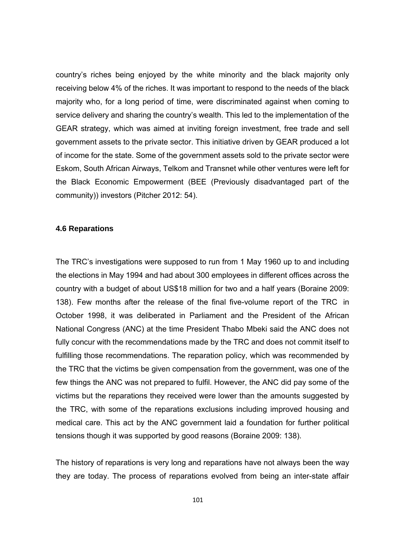country's riches being enjoyed by the white minority and the black majority only receiving below 4% of the riches. It was important to respond to the needs of the black majority who, for a long period of time, were discriminated against when coming to service delivery and sharing the country's wealth. This led to the implementation of the GEAR strategy, which was aimed at inviting foreign investment, free trade and sell government assets to the private sector. This initiative driven by GEAR produced a lot of income for the state. Some of the government assets sold to the private sector were Eskom, South African Airways, Telkom and Transnet while other ventures were left for the Black Economic Empowerment (BEE (Previously disadvantaged part of the community)) investors (Pitcher 2012: 54).

### **4.6 Reparations**

The TRC's investigations were supposed to run from 1 May 1960 up to and including the elections in May 1994 and had about 300 employees in different offices across the country with a budget of about US\$18 million for two and a half years (Boraine 2009: 138). Few months after the release of the final five-volume report of the TRC in October 1998, it was deliberated in Parliament and the President of the African National Congress (ANC) at the time President Thabo Mbeki said the ANC does not fully concur with the recommendations made by the TRC and does not commit itself to fulfilling those recommendations. The reparation policy, which was recommended by the TRC that the victims be given compensation from the government, was one of the few things the ANC was not prepared to fulfil. However, the ANC did pay some of the victims but the reparations they received were lower than the amounts suggested by the TRC, with some of the reparations exclusions including improved housing and medical care. This act by the ANC government laid a foundation for further political tensions though it was supported by good reasons (Boraine 2009: 138).

The history of reparations is very long and reparations have not always been the way they are today. The process of reparations evolved from being an inter-state affair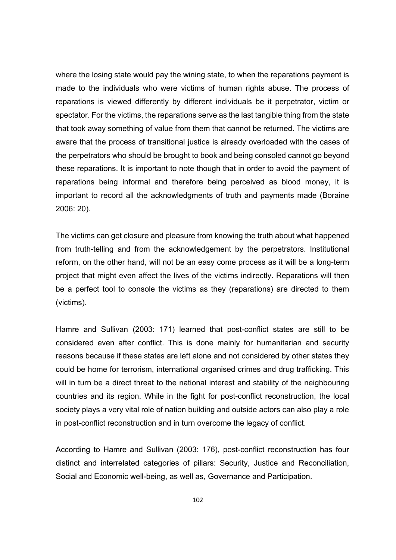where the losing state would pay the wining state, to when the reparations payment is made to the individuals who were victims of human rights abuse. The process of reparations is viewed differently by different individuals be it perpetrator, victim or spectator. For the victims, the reparations serve as the last tangible thing from the state that took away something of value from them that cannot be returned. The victims are aware that the process of transitional justice is already overloaded with the cases of the perpetrators who should be brought to book and being consoled cannot go beyond these reparations. It is important to note though that in order to avoid the payment of reparations being informal and therefore being perceived as blood money, it is important to record all the acknowledgments of truth and payments made (Boraine 2006: 20).

The victims can get closure and pleasure from knowing the truth about what happened from truth-telling and from the acknowledgement by the perpetrators. Institutional reform, on the other hand, will not be an easy come process as it will be a long-term project that might even affect the lives of the victims indirectly. Reparations will then be a perfect tool to console the victims as they (reparations) are directed to them (victims).

Hamre and Sullivan (2003: 171) learned that post-conflict states are still to be considered even after conflict. This is done mainly for humanitarian and security reasons because if these states are left alone and not considered by other states they could be home for terrorism, international organised crimes and drug trafficking. This will in turn be a direct threat to the national interest and stability of the neighbouring countries and its region. While in the fight for post-conflict reconstruction, the local society plays a very vital role of nation building and outside actors can also play a role in post-conflict reconstruction and in turn overcome the legacy of conflict.

According to Hamre and Sullivan (2003: 176), post-conflict reconstruction has four distinct and interrelated categories of pillars: Security, Justice and Reconciliation, Social and Economic well-being, as well as, Governance and Participation.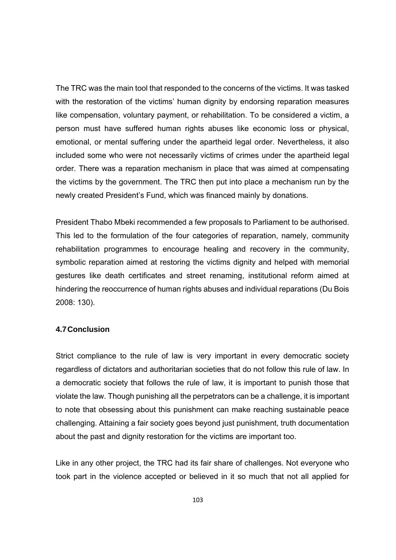The TRC was the main tool that responded to the concerns of the victims. It was tasked with the restoration of the victims' human dignity by endorsing reparation measures like compensation, voluntary payment, or rehabilitation. To be considered a victim, a person must have suffered human rights abuses like economic loss or physical, emotional, or mental suffering under the apartheid legal order. Nevertheless, it also included some who were not necessarily victims of crimes under the apartheid legal order. There was a reparation mechanism in place that was aimed at compensating the victims by the government. The TRC then put into place a mechanism run by the newly created President's Fund, which was financed mainly by donations.

President Thabo Mbeki recommended a few proposals to Parliament to be authorised. This led to the formulation of the four categories of reparation, namely, community rehabilitation programmes to encourage healing and recovery in the community, symbolic reparation aimed at restoring the victims dignity and helped with memorial gestures like death certificates and street renaming, institutional reform aimed at hindering the reoccurrence of human rights abuses and individual reparations (Du Bois 2008: 130).

### **4.7 Conclusion**

Strict compliance to the rule of law is very important in every democratic society regardless of dictators and authoritarian societies that do not follow this rule of law. In a democratic society that follows the rule of law, it is important to punish those that violate the law. Though punishing all the perpetrators can be a challenge, it is important to note that obsessing about this punishment can make reaching sustainable peace challenging. Attaining a fair society goes beyond just punishment, truth documentation about the past and dignity restoration for the victims are important too.

Like in any other project, the TRC had its fair share of challenges. Not everyone who took part in the violence accepted or believed in it so much that not all applied for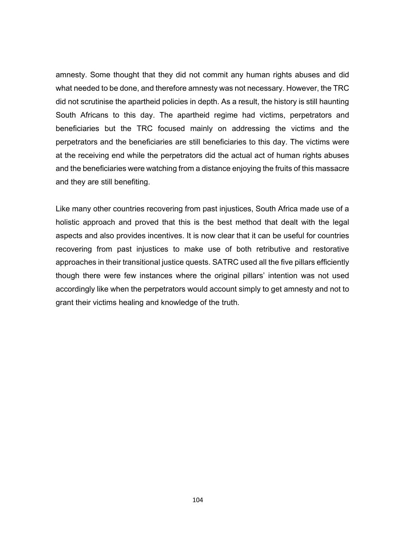amnesty. Some thought that they did not commit any human rights abuses and did what needed to be done, and therefore amnesty was not necessary. However, the TRC did not scrutinise the apartheid policies in depth. As a result, the history is still haunting South Africans to this day. The apartheid regime had victims, perpetrators and beneficiaries but the TRC focused mainly on addressing the victims and the perpetrators and the beneficiaries are still beneficiaries to this day. The victims were at the receiving end while the perpetrators did the actual act of human rights abuses and the beneficiaries were watching from a distance enjoying the fruits of this massacre and they are still benefiting.

Like many other countries recovering from past injustices, South Africa made use of a holistic approach and proved that this is the best method that dealt with the legal aspects and also provides incentives. It is now clear that it can be useful for countries recovering from past injustices to make use of both retributive and restorative approaches in their transitional justice quests. SATRC used all the five pillars efficiently though there were few instances where the original pillars' intention was not used accordingly like when the perpetrators would account simply to get amnesty and not to grant their victims healing and knowledge of the truth.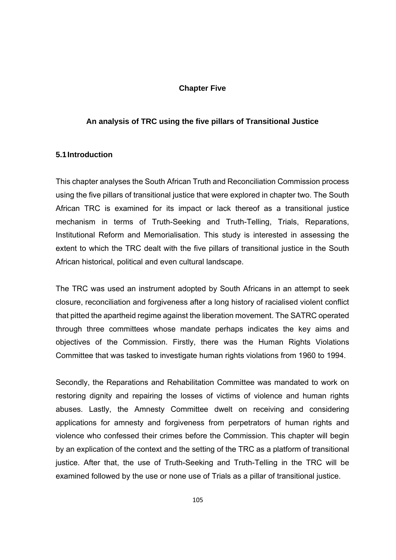## **Chapter Five**

## **An analysis of TRC using the five pillars of Transitional Justice**

#### **5.1 Introduction**

This chapter analyses the South African Truth and Reconciliation Commission process using the five pillars of transitional justice that were explored in chapter two. The South African TRC is examined for its impact or lack thereof as a transitional justice mechanism in terms of Truth-Seeking and Truth-Telling, Trials, Reparations, Institutional Reform and Memorialisation. This study is interested in assessing the extent to which the TRC dealt with the five pillars of transitional justice in the South African historical, political and even cultural landscape.

The TRC was used an instrument adopted by South Africans in an attempt to seek closure, reconciliation and forgiveness after a long history of racialised violent conflict that pitted the apartheid regime against the liberation movement. The SATRC operated through three committees whose mandate perhaps indicates the key aims and objectives of the Commission. Firstly, there was the Human Rights Violations Committee that was tasked to investigate human rights violations from 1960 to 1994.

Secondly, the Reparations and Rehabilitation Committee was mandated to work on restoring dignity and repairing the losses of victims of violence and human rights abuses. Lastly, the Amnesty Committee dwelt on receiving and considering applications for amnesty and forgiveness from perpetrators of human rights and violence who confessed their crimes before the Commission. This chapter will begin by an explication of the context and the setting of the TRC as a platform of transitional justice. After that, the use of Truth-Seeking and Truth-Telling in the TRC will be examined followed by the use or none use of Trials as a pillar of transitional justice.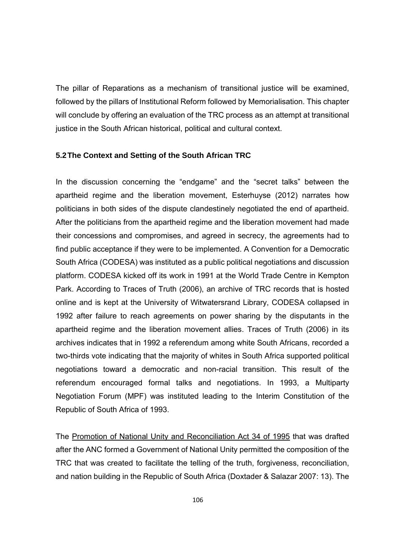The pillar of Reparations as a mechanism of transitional justice will be examined, followed by the pillars of Institutional Reform followed by Memorialisation. This chapter will conclude by offering an evaluation of the TRC process as an attempt at transitional justice in the South African historical, political and cultural context.

#### **5.2 The Context and Setting of the South African TRC**

In the discussion concerning the "endgame" and the "secret talks" between the apartheid regime and the liberation movement, Esterhuyse (2012) narrates how politicians in both sides of the dispute clandestinely negotiated the end of apartheid. After the politicians from the apartheid regime and the liberation movement had made their concessions and compromises, and agreed in secrecy, the agreements had to find public acceptance if they were to be implemented. A Convention for a Democratic South Africa (CODESA) was instituted as a public political negotiations and discussion platform. CODESA kicked off its work in 1991 at the World Trade Centre in Kempton Park. According to Traces of Truth (2006), an archive of TRC records that is hosted online and is kept at the University of Witwatersrand Library, CODESA collapsed in 1992 after failure to reach agreements on power sharing by the disputants in the apartheid regime and the liberation movement allies. Traces of Truth (2006) in its archives indicates that in 1992 a referendum among white South Africans, recorded a two-thirds vote indicating that the majority of whites in South Africa supported political negotiations toward a democratic and non-racial transition. This result of the referendum encouraged formal talks and negotiations. In 1993, a Multiparty Negotiation Forum (MPF) was instituted leading to the Interim Constitution of the Republic of South Africa of 1993.

The Promotion of National Unity and Reconciliation Act 34 of 1995 that was drafted after the ANC formed a Government of National Unity permitted the composition of the TRC that was created to facilitate the telling of the truth, forgiveness, reconciliation, and nation building in the Republic of South Africa (Doxtader & Salazar 2007: 13). The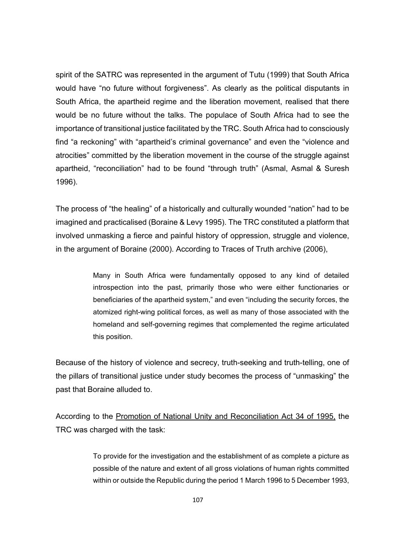spirit of the SATRC was represented in the argument of Tutu (1999) that South Africa would have "no future without forgiveness". As clearly as the political disputants in South Africa, the apartheid regime and the liberation movement, realised that there would be no future without the talks. The populace of South Africa had to see the importance of transitional justice facilitated by the TRC. South Africa had to consciously find "a reckoning" with "apartheid's criminal governance" and even the "violence and atrocities" committed by the liberation movement in the course of the struggle against apartheid, "reconciliation" had to be found "through truth" (Asmal, Asmal & Suresh 1996).

The process of "the healing" of a historically and culturally wounded "nation" had to be imagined and practicalised (Boraine & Levy 1995). The TRC constituted a platform that involved unmasking a fierce and painful history of oppression, struggle and violence, in the argument of Boraine (2000). According to Traces of Truth archive (2006),

> Many in South Africa were fundamentally opposed to any kind of detailed introspection into the past, primarily those who were either functionaries or beneficiaries of the apartheid system," and even "including the security forces, the atomized right-wing political forces, as well as many of those associated with the homeland and self-governing regimes that complemented the regime articulated this position.

Because of the history of violence and secrecy, truth-seeking and truth-telling, one of the pillars of transitional justice under study becomes the process of "unmasking" the past that Boraine alluded to.

According to the Promotion of National Unity and Reconciliation Act 34 of 1995, the TRC was charged with the task:

> To provide for the investigation and the establishment of as complete a picture as possible of the nature and extent of all gross violations of human rights committed within or outside the Republic during the period 1 March 1996 to 5 December 1993,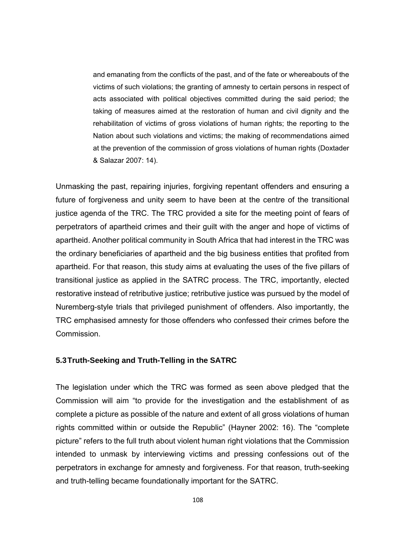and emanating from the conflicts of the past, and of the fate or whereabouts of the victims of such violations; the granting of amnesty to certain persons in respect of acts associated with political objectives committed during the said period; the taking of measures aimed at the restoration of human and civil dignity and the rehabilitation of victims of gross violations of human rights; the reporting to the Nation about such violations and victims; the making of recommendations aimed at the prevention of the commission of gross violations of human rights (Doxtader & Salazar 2007: 14).

Unmasking the past, repairing injuries, forgiving repentant offenders and ensuring a future of forgiveness and unity seem to have been at the centre of the transitional justice agenda of the TRC. The TRC provided a site for the meeting point of fears of perpetrators of apartheid crimes and their guilt with the anger and hope of victims of apartheid. Another political community in South Africa that had interest in the TRC was the ordinary beneficiaries of apartheid and the big business entities that profited from apartheid. For that reason, this study aims at evaluating the uses of the five pillars of transitional justice as applied in the SATRC process. The TRC, importantly, elected restorative instead of retributive justice; retributive justice was pursued by the model of Nuremberg-style trials that privileged punishment of offenders. Also importantly, the TRC emphasised amnesty for those offenders who confessed their crimes before the Commission.

## **5.3 Truth-Seeking and Truth-Telling in the SATRC**

The legislation under which the TRC was formed as seen above pledged that the Commission will aim "to provide for the investigation and the establishment of as complete a picture as possible of the nature and extent of all gross violations of human rights committed within or outside the Republic" (Hayner 2002: 16). The "complete picture" refers to the full truth about violent human right violations that the Commission intended to unmask by interviewing victims and pressing confessions out of the perpetrators in exchange for amnesty and forgiveness. For that reason, truth-seeking and truth-telling became foundationally important for the SATRC.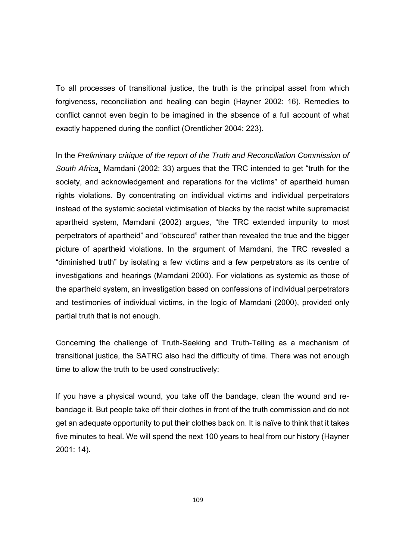To all processes of transitional justice, the truth is the principal asset from which forgiveness, reconciliation and healing can begin (Hayner 2002: 16). Remedies to conflict cannot even begin to be imagined in the absence of a full account of what exactly happened during the conflict (Orentlicher 2004: 223).

In the *Preliminary critique of the report of the Truth and Reconciliation Commission of South Africa*, Mamdani (2002: 33) argues that the TRC intended to get "truth for the society, and acknowledgement and reparations for the victims" of apartheid human rights violations. By concentrating on individual victims and individual perpetrators instead of the systemic societal victimisation of blacks by the racist white supremacist apartheid system, Mamdani (2002) argues, "the TRC extended impunity to most perpetrators of apartheid" and "obscured" rather than revealed the true and the bigger picture of apartheid violations. In the argument of Mamdani, the TRC revealed a "diminished truth" by isolating a few victims and a few perpetrators as its centre of investigations and hearings (Mamdani 2000). For violations as systemic as those of the apartheid system, an investigation based on confessions of individual perpetrators and testimonies of individual victims, in the logic of Mamdani (2000), provided only partial truth that is not enough.

Concerning the challenge of Truth-Seeking and Truth-Telling as a mechanism of transitional justice, the SATRC also had the difficulty of time. There was not enough time to allow the truth to be used constructively:

If you have a physical wound, you take off the bandage, clean the wound and rebandage it. But people take off their clothes in front of the truth commission and do not get an adequate opportunity to put their clothes back on. It is naïve to think that it takes five minutes to heal. We will spend the next 100 years to heal from our history (Hayner 2001: 14).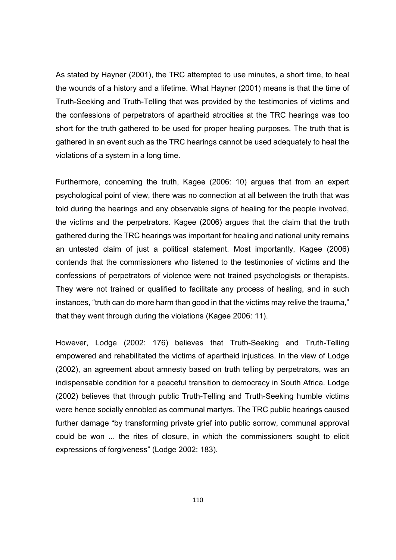As stated by Hayner (2001), the TRC attempted to use minutes, a short time, to heal the wounds of a history and a lifetime. What Hayner (2001) means is that the time of Truth-Seeking and Truth-Telling that was provided by the testimonies of victims and the confessions of perpetrators of apartheid atrocities at the TRC hearings was too short for the truth gathered to be used for proper healing purposes. The truth that is gathered in an event such as the TRC hearings cannot be used adequately to heal the violations of a system in a long time.

Furthermore, concerning the truth, Kagee (2006: 10) argues that from an expert psychological point of view, there was no connection at all between the truth that was told during the hearings and any observable signs of healing for the people involved, the victims and the perpetrators. Kagee (2006) argues that the claim that the truth gathered during the TRC hearings was important for healing and national unity remains an untested claim of just a political statement. Most importantly, Kagee (2006) contends that the commissioners who listened to the testimonies of victims and the confessions of perpetrators of violence were not trained psychologists or therapists. They were not trained or qualified to facilitate any process of healing, and in such instances, "truth can do more harm than good in that the victims may relive the trauma," that they went through during the violations (Kagee 2006: 11).

However, Lodge (2002: 176) believes that Truth-Seeking and Truth-Telling empowered and rehabilitated the victims of apartheid injustices. In the view of Lodge (2002), an agreement about amnesty based on truth telling by perpetrators, was an indispensable condition for a peaceful transition to democracy in South Africa. Lodge (2002) believes that through public Truth-Telling and Truth-Seeking humble victims were hence socially ennobled as communal martyrs. The TRC public hearings caused further damage "by transforming private grief into public sorrow, communal approval could be won ... the rites of closure, in which the commissioners sought to elicit expressions of forgiveness" (Lodge 2002: 183).

110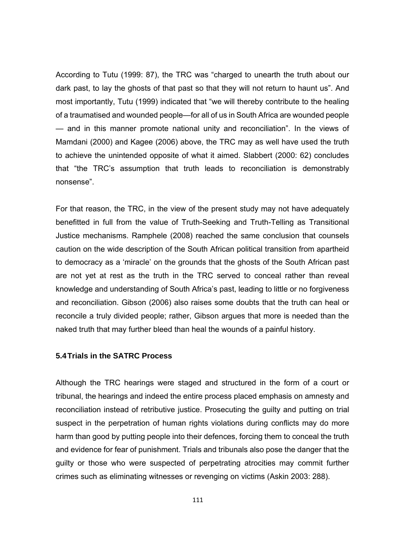According to Tutu (1999: 87), the TRC was "charged to unearth the truth about our dark past, to lay the ghosts of that past so that they will not return to haunt us". And most importantly, Tutu (1999) indicated that "we will thereby contribute to the healing of a traumatised and wounded people—for all of us in South Africa are wounded people — and in this manner promote national unity and reconciliation". In the views of Mamdani (2000) and Kagee (2006) above, the TRC may as well have used the truth to achieve the unintended opposite of what it aimed. Slabbert (2000: 62) concludes that "the TRC's assumption that truth leads to reconciliation is demonstrably nonsense".

For that reason, the TRC, in the view of the present study may not have adequately benefitted in full from the value of Truth-Seeking and Truth-Telling as Transitional Justice mechanisms. Ramphele (2008) reached the same conclusion that counsels caution on the wide description of the South African political transition from apartheid to democracy as a 'miracle' on the grounds that the ghosts of the South African past are not yet at rest as the truth in the TRC served to conceal rather than reveal knowledge and understanding of South Africa's past, leading to little or no forgiveness and reconciliation. Gibson (2006) also raises some doubts that the truth can heal or reconcile a truly divided people; rather, Gibson argues that more is needed than the naked truth that may further bleed than heal the wounds of a painful history.

## **5.4 Trials in the SATRC Process**

Although the TRC hearings were staged and structured in the form of a court or tribunal, the hearings and indeed the entire process placed emphasis on amnesty and reconciliation instead of retributive justice. Prosecuting the guilty and putting on trial suspect in the perpetration of human rights violations during conflicts may do more harm than good by putting people into their defences, forcing them to conceal the truth and evidence for fear of punishment. Trials and tribunals also pose the danger that the guilty or those who were suspected of perpetrating atrocities may commit further crimes such as eliminating witnesses or revenging on victims (Askin 2003: 288).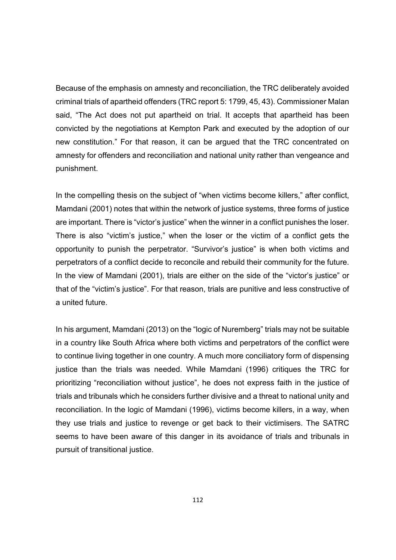Because of the emphasis on amnesty and reconciliation, the TRC deliberately avoided criminal trials of apartheid offenders (TRC report 5: 1799, 45, 43). Commissioner Malan said, "The Act does not put apartheid on trial. It accepts that apartheid has been convicted by the negotiations at Kempton Park and executed by the adoption of our new constitution." For that reason, it can be argued that the TRC concentrated on amnesty for offenders and reconciliation and national unity rather than vengeance and punishment.

In the compelling thesis on the subject of "when victims become killers," after conflict, Mamdani (2001) notes that within the network of justice systems, three forms of justice are important. There is "victor's justice" when the winner in a conflict punishes the loser. There is also "victim's justice," when the loser or the victim of a conflict gets the opportunity to punish the perpetrator. "Survivor's justice" is when both victims and perpetrators of a conflict decide to reconcile and rebuild their community for the future. In the view of Mamdani (2001), trials are either on the side of the "victor's justice" or that of the "victim's justice". For that reason, trials are punitive and less constructive of a united future.

In his argument, Mamdani (2013) on the "logic of Nuremberg" trials may not be suitable in a country like South Africa where both victims and perpetrators of the conflict were to continue living together in one country. A much more conciliatory form of dispensing justice than the trials was needed. While Mamdani (1996) critiques the TRC for prioritizing "reconciliation without justice", he does not express faith in the justice of trials and tribunals which he considers further divisive and a threat to national unity and reconciliation. In the logic of Mamdani (1996), victims become killers, in a way, when they use trials and justice to revenge or get back to their victimisers. The SATRC seems to have been aware of this danger in its avoidance of trials and tribunals in pursuit of transitional justice.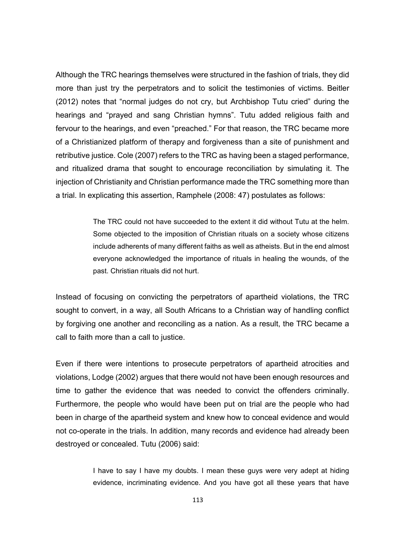Although the TRC hearings themselves were structured in the fashion of trials, they did more than just try the perpetrators and to solicit the testimonies of victims. Beitler (2012) notes that "normal judges do not cry, but Archbishop Tutu cried" during the hearings and "prayed and sang Christian hymns". Tutu added religious faith and fervour to the hearings, and even "preached." For that reason, the TRC became more of a Christianized platform of therapy and forgiveness than a site of punishment and retributive justice. Cole (2007) refers to the TRC as having been a staged performance, and ritualized drama that sought to encourage reconciliation by simulating it. The injection of Christianity and Christian performance made the TRC something more than a trial. In explicating this assertion, Ramphele (2008: 47) postulates as follows:

> The TRC could not have succeeded to the extent it did without Tutu at the helm. Some objected to the imposition of Christian rituals on a society whose citizens include adherents of many different faiths as well as atheists. But in the end almost everyone acknowledged the importance of rituals in healing the wounds, of the past. Christian rituals did not hurt.

Instead of focusing on convicting the perpetrators of apartheid violations, the TRC sought to convert, in a way, all South Africans to a Christian way of handling conflict by forgiving one another and reconciling as a nation. As a result, the TRC became a call to faith more than a call to justice.

Even if there were intentions to prosecute perpetrators of apartheid atrocities and violations, Lodge (2002) argues that there would not have been enough resources and time to gather the evidence that was needed to convict the offenders criminally. Furthermore, the people who would have been put on trial are the people who had been in charge of the apartheid system and knew how to conceal evidence and would not co-operate in the trials. In addition, many records and evidence had already been destroyed or concealed. Tutu (2006) said:

> I have to say I have my doubts. I mean these guys were very adept at hiding evidence, incriminating evidence. And you have got all these years that have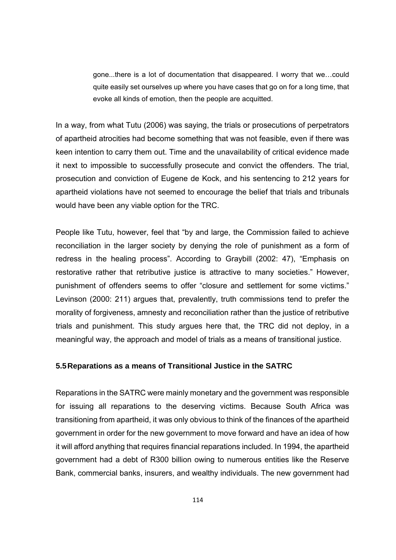gone...there is a lot of documentation that disappeared. I worry that we…could quite easily set ourselves up where you have cases that go on for a long time, that evoke all kinds of emotion, then the people are acquitted.

In a way, from what Tutu (2006) was saying, the trials or prosecutions of perpetrators of apartheid atrocities had become something that was not feasible, even if there was keen intention to carry them out. Time and the unavailability of critical evidence made it next to impossible to successfully prosecute and convict the offenders. The trial, prosecution and conviction of Eugene de Kock, and his sentencing to 212 years for apartheid violations have not seemed to encourage the belief that trials and tribunals would have been any viable option for the TRC.

People like Tutu, however, feel that "by and large, the Commission failed to achieve reconciliation in the larger society by denying the role of punishment as a form of redress in the healing process". According to Graybill (2002: 47), "Emphasis on restorative rather that retributive justice is attractive to many societies." However, punishment of offenders seems to offer "closure and settlement for some victims." Levinson (2000: 211) argues that, prevalently, truth commissions tend to prefer the morality of forgiveness, amnesty and reconciliation rather than the justice of retributive trials and punishment. This study argues here that, the TRC did not deploy, in a meaningful way, the approach and model of trials as a means of transitional justice.

#### **5.5 Reparations as a means of Transitional Justice in the SATRC**

Reparations in the SATRC were mainly monetary and the government was responsible for issuing all reparations to the deserving victims. Because South Africa was transitioning from apartheid, it was only obvious to think of the finances of the apartheid government in order for the new government to move forward and have an idea of how it will afford anything that requires financial reparations included. In 1994, the apartheid government had a debt of R300 billion owing to numerous entities like the Reserve Bank, commercial banks, insurers, and wealthy individuals. The new government had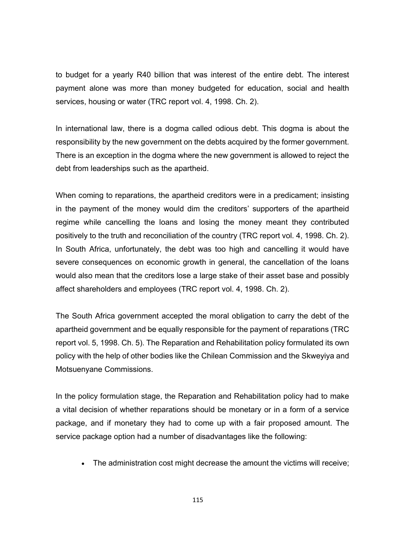to budget for a yearly R40 billion that was interest of the entire debt. The interest payment alone was more than money budgeted for education, social and health services, housing or water (TRC report vol. 4, 1998. Ch. 2).

In international law, there is a dogma called odious debt. This dogma is about the responsibility by the new government on the debts acquired by the former government. There is an exception in the dogma where the new government is allowed to reject the debt from leaderships such as the apartheid.

When coming to reparations, the apartheid creditors were in a predicament; insisting in the payment of the money would dim the creditors' supporters of the apartheid regime while cancelling the loans and losing the money meant they contributed positively to the truth and reconciliation of the country (TRC report vol. 4, 1998. Ch. 2). In South Africa, unfortunately, the debt was too high and cancelling it would have severe consequences on economic growth in general, the cancellation of the loans would also mean that the creditors lose a large stake of their asset base and possibly affect shareholders and employees (TRC report vol. 4, 1998. Ch. 2).

The South Africa government accepted the moral obligation to carry the debt of the apartheid government and be equally responsible for the payment of reparations (TRC report vol. 5, 1998. Ch. 5). The Reparation and Rehabilitation policy formulated its own policy with the help of other bodies like the Chilean Commission and the Skweyiya and Motsuenyane Commissions.

In the policy formulation stage, the Reparation and Rehabilitation policy had to make a vital decision of whether reparations should be monetary or in a form of a service package, and if monetary they had to come up with a fair proposed amount. The service package option had a number of disadvantages like the following:

The administration cost might decrease the amount the victims will receive;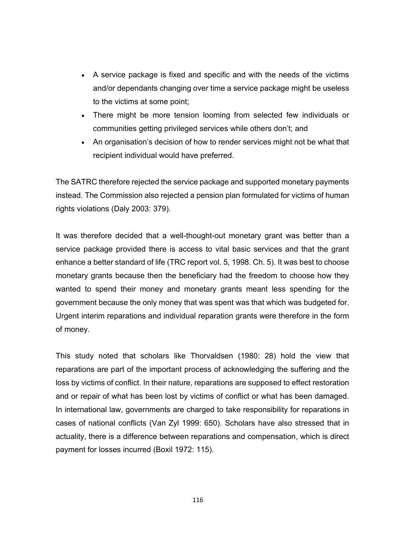- A service package is fixed and specific and with the needs of the victims and/or dependants changing over time a service package might be useless to the victims at some point;
- There might be more tension looming from selected few individuals or communities getting privileged services while others don't; and
- An organisation's decision of how to render services might not be what that recipient individual would have preferred.

The SATRC therefore rejected the service package and supported monetary payments instead. The Commission also rejected a pension plan formulated for victims of human rights violations (Daly 2003: 379).

It was therefore decided that a well-thought-out monetary grant was better than a service package provided there is access to vital basic services and that the grant enhance a better standard of life (TRC report vol. 5, 1998. Ch. 5). It was best to choose monetary grants because then the beneficiary had the freedom to choose how they wanted to spend their money and monetary grants meant less spending for the government because the only money that was spent was that which was budgeted for. Urgent interim reparations and individual reparation grants were therefore in the form of money.

This study noted that scholars like Thorvaldsen (1980: 28) hold the view that reparations are part of the important process of acknowledging the suffering and the loss by victims of conflict. In their nature, reparations are supposed to effect restoration and or repair of what has been lost by victims of conflict or what has been damaged. In international law, governments are charged to take responsibility for reparations in cases of national conflicts (Van Zyl 1999: 650). Scholars have also stressed that in actuality, there is a difference between reparations and compensation, which is direct payment for losses incurred (Boxil 1972: 115).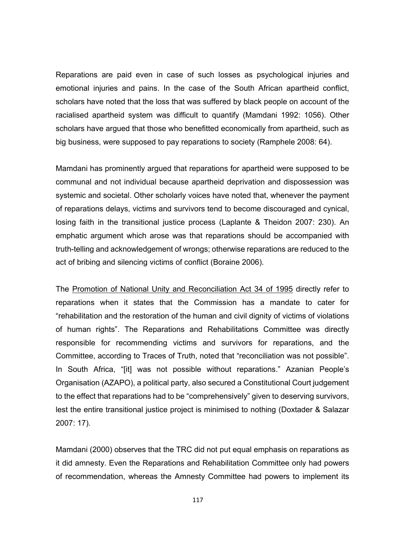Reparations are paid even in case of such losses as psychological injuries and emotional injuries and pains. In the case of the South African apartheid conflict, scholars have noted that the loss that was suffered by black people on account of the racialised apartheid system was difficult to quantify (Mamdani 1992: 1056). Other scholars have argued that those who benefitted economically from apartheid, such as big business, were supposed to pay reparations to society (Ramphele 2008: 64).

Mamdani has prominently argued that reparations for apartheid were supposed to be communal and not individual because apartheid deprivation and dispossession was systemic and societal. Other scholarly voices have noted that, whenever the payment of reparations delays, victims and survivors tend to become discouraged and cynical, losing faith in the transitional justice process (Laplante & Theidon 2007: 230). An emphatic argument which arose was that reparations should be accompanied with truth-telling and acknowledgement of wrongs; otherwise reparations are reduced to the act of bribing and silencing victims of conflict (Boraine 2006).

The Promotion of National Unity and Reconciliation Act 34 of 1995 directly refer to reparations when it states that the Commission has a mandate to cater for "rehabilitation and the restoration of the human and civil dignity of victims of violations of human rights". The Reparations and Rehabilitations Committee was directly responsible for recommending victims and survivors for reparations, and the Committee, according to Traces of Truth, noted that "reconciliation was not possible". In South Africa, "[it] was not possible without reparations." Azanian People's Organisation (AZAPO), a political party, also secured a Constitutional Court judgement to the effect that reparations had to be "comprehensively" given to deserving survivors, lest the entire transitional justice project is minimised to nothing (Doxtader & Salazar 2007: 17).

Mamdani (2000) observes that the TRC did not put equal emphasis on reparations as it did amnesty. Even the Reparations and Rehabilitation Committee only had powers of recommendation, whereas the Amnesty Committee had powers to implement its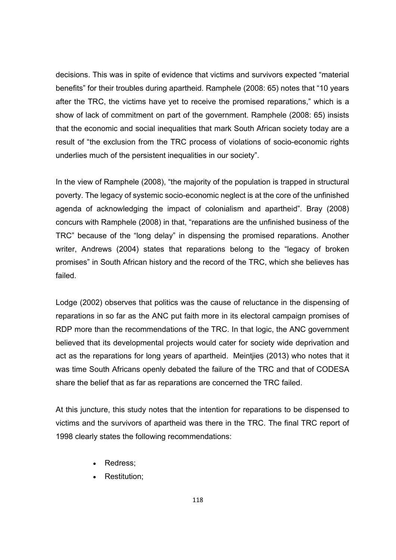decisions. This was in spite of evidence that victims and survivors expected "material benefits" for their troubles during apartheid. Ramphele (2008: 65) notes that "10 years after the TRC, the victims have yet to receive the promised reparations," which is a show of lack of commitment on part of the government. Ramphele (2008: 65) insists that the economic and social inequalities that mark South African society today are a result of "the exclusion from the TRC process of violations of socio-economic rights underlies much of the persistent inequalities in our society".

In the view of Ramphele (2008), "the majority of the population is trapped in structural poverty. The legacy of systemic socio-economic neglect is at the core of the unfinished agenda of acknowledging the impact of colonialism and apartheid". Bray (2008) concurs with Ramphele (2008) in that, "reparations are the unfinished business of the TRC" because of the "long delay" in dispensing the promised reparations. Another writer, Andrews (2004) states that reparations belong to the "legacy of broken promises" in South African history and the record of the TRC, which she believes has failed.

Lodge (2002) observes that politics was the cause of reluctance in the dispensing of reparations in so far as the ANC put faith more in its electoral campaign promises of RDP more than the recommendations of the TRC. In that logic, the ANC government believed that its developmental projects would cater for society wide deprivation and act as the reparations for long years of apartheid. Meintjies (2013) who notes that it was time South Africans openly debated the failure of the TRC and that of CODESA share the belief that as far as reparations are concerned the TRC failed.

At this juncture, this study notes that the intention for reparations to be dispensed to victims and the survivors of apartheid was there in the TRC. The final TRC report of 1998 clearly states the following recommendations:

- Redress:
- Restitution;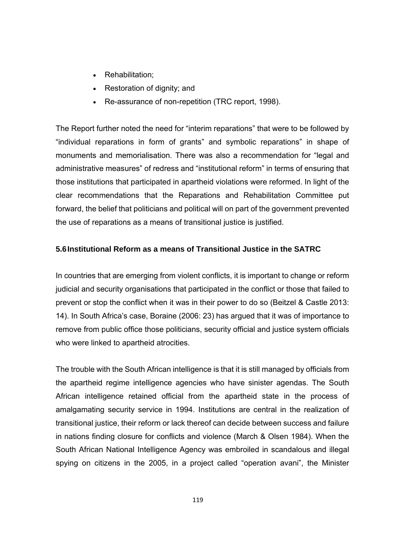- Rehabilitation;
- Restoration of dignity; and
- Re-assurance of non-repetition (TRC report, 1998).

The Report further noted the need for "interim reparations" that were to be followed by "individual reparations in form of grants" and symbolic reparations" in shape of monuments and memorialisation. There was also a recommendation for "legal and administrative measures" of redress and "institutional reform" in terms of ensuring that those institutions that participated in apartheid violations were reformed. In light of the clear recommendations that the Reparations and Rehabilitation Committee put forward, the belief that politicians and political will on part of the government prevented the use of reparations as a means of transitional justice is justified.

# **5.6 Institutional Reform as a means of Transitional Justice in the SATRC**

In countries that are emerging from violent conflicts, it is important to change or reform judicial and security organisations that participated in the conflict or those that failed to prevent or stop the conflict when it was in their power to do so (Beitzel & Castle 2013: 14). In South Africa's case, Boraine (2006: 23) has argued that it was of importance to remove from public office those politicians, security official and justice system officials who were linked to apartheid atrocities.

The trouble with the South African intelligence is that it is still managed by officials from the apartheid regime intelligence agencies who have sinister agendas. The South African intelligence retained official from the apartheid state in the process of amalgamating security service in 1994. Institutions are central in the realization of transitional justice, their reform or lack thereof can decide between success and failure in nations finding closure for conflicts and violence (March & Olsen 1984). When the South African National Intelligence Agency was embroiled in scandalous and illegal spying on citizens in the 2005, in a project called "operation avani", the Minister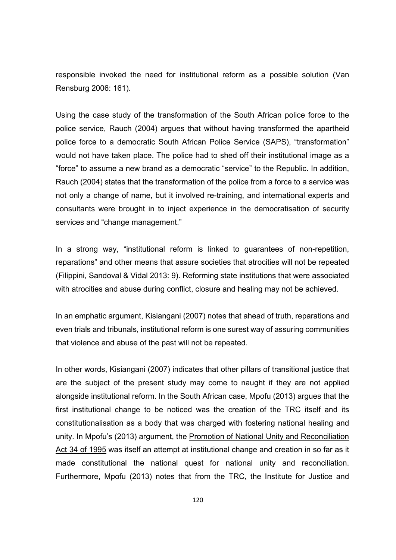responsible invoked the need for institutional reform as a possible solution (Van Rensburg 2006: 161).

Using the case study of the transformation of the South African police force to the police service, Rauch (2004) argues that without having transformed the apartheid police force to a democratic South African Police Service (SAPS), "transformation" would not have taken place. The police had to shed off their institutional image as a "force" to assume a new brand as a democratic "service" to the Republic. In addition, Rauch (2004) states that the transformation of the police from a force to a service was not only a change of name, but it involved re-training, and international experts and consultants were brought in to inject experience in the democratisation of security services and "change management."

In a strong way, "institutional reform is linked to guarantees of non-repetition, reparations" and other means that assure societies that atrocities will not be repeated (Filippini, Sandoval & Vidal 2013: 9). Reforming state institutions that were associated with atrocities and abuse during conflict, closure and healing may not be achieved.

In an emphatic argument, Kisiangani (2007) notes that ahead of truth, reparations and even trials and tribunals, institutional reform is one surest way of assuring communities that violence and abuse of the past will not be repeated.

In other words, Kisiangani (2007) indicates that other pillars of transitional justice that are the subject of the present study may come to naught if they are not applied alongside institutional reform. In the South African case, Mpofu (2013) argues that the first institutional change to be noticed was the creation of the TRC itself and its constitutionalisation as a body that was charged with fostering national healing and unity. In Mpofu's (2013) argument, the Promotion of National Unity and Reconciliation Act 34 of 1995 was itself an attempt at institutional change and creation in so far as it made constitutional the national quest for national unity and reconciliation. Furthermore, Mpofu (2013) notes that from the TRC, the Institute for Justice and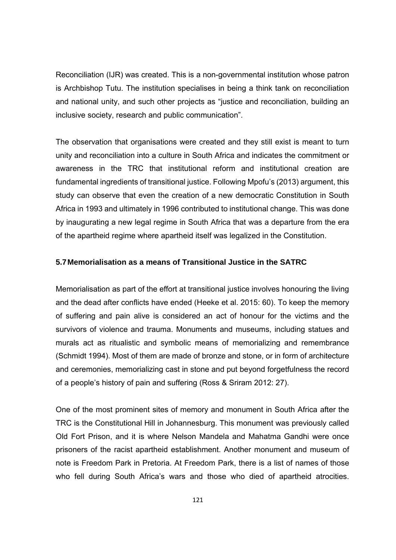Reconciliation (IJR) was created. This is a non-governmental institution whose patron is Archbishop Tutu. The institution specialises in being a think tank on reconciliation and national unity, and such other projects as "justice and reconciliation, building an inclusive society, research and public communication".

The observation that organisations were created and they still exist is meant to turn unity and reconciliation into a culture in South Africa and indicates the commitment or awareness in the TRC that institutional reform and institutional creation are fundamental ingredients of transitional justice. Following Mpofu's (2013) argument, this study can observe that even the creation of a new democratic Constitution in South Africa in 1993 and ultimately in 1996 contributed to institutional change. This was done by inaugurating a new legal regime in South Africa that was a departure from the era of the apartheid regime where apartheid itself was legalized in the Constitution.

## **5.7 Memorialisation as a means of Transitional Justice in the SATRC**

Memorialisation as part of the effort at transitional justice involves honouring the living and the dead after conflicts have ended (Heeke et al. 2015: 60). To keep the memory of suffering and pain alive is considered an act of honour for the victims and the survivors of violence and trauma. Monuments and museums, including statues and murals act as ritualistic and symbolic means of memorializing and remembrance (Schmidt 1994). Most of them are made of bronze and stone, or in form of architecture and ceremonies, memorializing cast in stone and put beyond forgetfulness the record of a people's history of pain and suffering (Ross & Sriram 2012: 27).

One of the most prominent sites of memory and monument in South Africa after the TRC is the Constitutional Hill in Johannesburg. This monument was previously called Old Fort Prison, and it is where Nelson Mandela and Mahatma Gandhi were once prisoners of the racist apartheid establishment. Another monument and museum of note is Freedom Park in Pretoria. At Freedom Park, there is a list of names of those who fell during South Africa's wars and those who died of apartheid atrocities.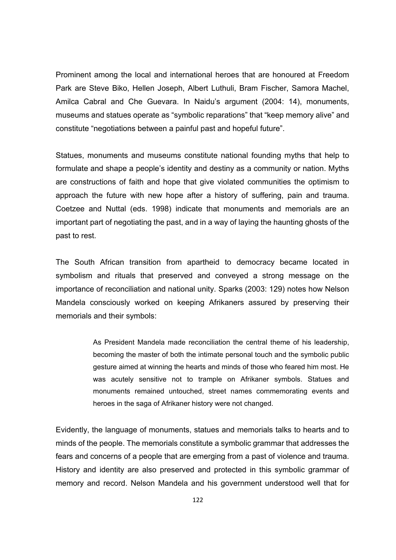Prominent among the local and international heroes that are honoured at Freedom Park are Steve Biko, Hellen Joseph, Albert Luthuli, Bram Fischer, Samora Machel, Amilca Cabral and Che Guevara. In Naidu's argument (2004: 14), monuments, museums and statues operate as "symbolic reparations" that "keep memory alive" and constitute "negotiations between a painful past and hopeful future".

Statues, monuments and museums constitute national founding myths that help to formulate and shape a people's identity and destiny as a community or nation. Myths are constructions of faith and hope that give violated communities the optimism to approach the future with new hope after a history of suffering, pain and trauma. Coetzee and Nuttal (eds. 1998) indicate that monuments and memorials are an important part of negotiating the past, and in a way of laying the haunting ghosts of the past to rest.

The South African transition from apartheid to democracy became located in symbolism and rituals that preserved and conveyed a strong message on the importance of reconciliation and national unity. Sparks (2003: 129) notes how Nelson Mandela consciously worked on keeping Afrikaners assured by preserving their memorials and their symbols:

> As President Mandela made reconciliation the central theme of his leadership, becoming the master of both the intimate personal touch and the symbolic public gesture aimed at winning the hearts and minds of those who feared him most. He was acutely sensitive not to trample on Afrikaner symbols. Statues and monuments remained untouched, street names commemorating events and heroes in the saga of Afrikaner history were not changed.

Evidently, the language of monuments, statues and memorials talks to hearts and to minds of the people. The memorials constitute a symbolic grammar that addresses the fears and concerns of a people that are emerging from a past of violence and trauma. History and identity are also preserved and protected in this symbolic grammar of memory and record. Nelson Mandela and his government understood well that for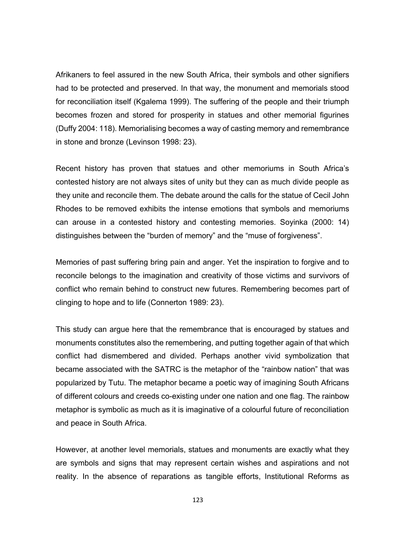Afrikaners to feel assured in the new South Africa, their symbols and other signifiers had to be protected and preserved. In that way, the monument and memorials stood for reconciliation itself (Kgalema 1999). The suffering of the people and their triumph becomes frozen and stored for prosperity in statues and other memorial figurines (Duffy 2004: 118). Memorialising becomes a way of casting memory and remembrance in stone and bronze (Levinson 1998: 23).

Recent history has proven that statues and other memoriums in South Africa's contested history are not always sites of unity but they can as much divide people as they unite and reconcile them. The debate around the calls for the statue of Cecil John Rhodes to be removed exhibits the intense emotions that symbols and memoriums can arouse in a contested history and contesting memories. Soyinka (2000: 14) distinguishes between the "burden of memory" and the "muse of forgiveness".

Memories of past suffering bring pain and anger. Yet the inspiration to forgive and to reconcile belongs to the imagination and creativity of those victims and survivors of conflict who remain behind to construct new futures. Remembering becomes part of clinging to hope and to life (Connerton 1989: 23).

This study can argue here that the remembrance that is encouraged by statues and monuments constitutes also the remembering, and putting together again of that which conflict had dismembered and divided. Perhaps another vivid symbolization that became associated with the SATRC is the metaphor of the "rainbow nation" that was popularized by Tutu. The metaphor became a poetic way of imagining South Africans of different colours and creeds co-existing under one nation and one flag. The rainbow metaphor is symbolic as much as it is imaginative of a colourful future of reconciliation and peace in South Africa.

However, at another level memorials, statues and monuments are exactly what they are symbols and signs that may represent certain wishes and aspirations and not reality. In the absence of reparations as tangible efforts, Institutional Reforms as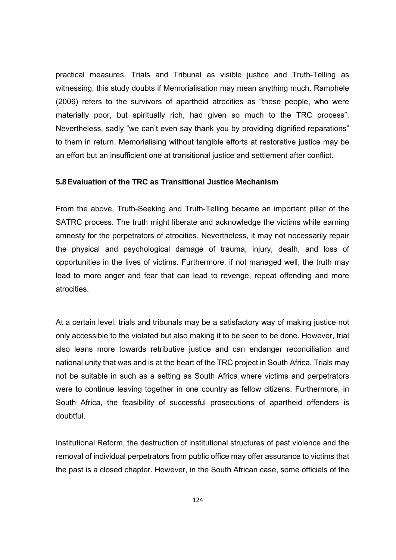practical measures, Trials and Tribunal as visible justice and Truth-Telling as witnessing, this study doubts if Memorialisation may mean anything much. Ramphele (2006) refers to the survivors of apartheid atrocities as "these people, who were materially poor, but spiritually rich, had given so much to the TRC process". Nevertheless, sadly "we can't even say thank you by providing dignified reparations" to them in return. Memorialising without tangible efforts at restorative justice may be an effort but an insufficient one at transitional justice and settlement after conflict.

### **5.8 Evaluation of the TRC as Transitional Justice Mechanism**

From the above, Truth-Seeking and Truth-Telling became an important pillar of the SATRC process. The truth might liberate and acknowledge the victims while earning amnesty for the perpetrators of atrocities. Nevertheless, it may not necessarily repair the physical and psychological damage of trauma, injury, death, and loss of opportunities in the lives of victims. Furthermore, if not managed well, the truth may lead to more anger and fear that can lead to revenge, repeat offending and more atrocities.

At a certain level, trials and tribunals may be a satisfactory way of making justice not only accessible to the violated but also making it to be seen to be done. However, trial also leans more towards retributive justice and can endanger reconciliation and national unity that was and is at the heart of the TRC project in South Africa. Trials may not be suitable in such as a setting as South Africa where victims and perpetrators were to continue leaving together in one country as fellow citizens. Furthermore, in South Africa, the feasibility of successful prosecutions of apartheid offenders is doubtful.

Institutional Reform, the destruction of institutional structures of past violence and the removal of individual perpetrators from public office may offer assurance to victims that the past is a closed chapter. However, in the South African case, some officials of the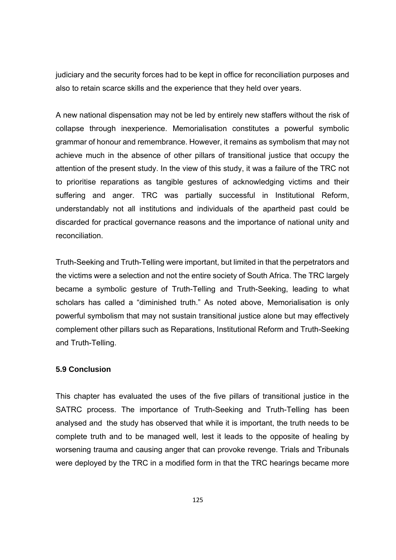judiciary and the security forces had to be kept in office for reconciliation purposes and also to retain scarce skills and the experience that they held over years.

A new national dispensation may not be led by entirely new staffers without the risk of collapse through inexperience. Memorialisation constitutes a powerful symbolic grammar of honour and remembrance. However, it remains as symbolism that may not achieve much in the absence of other pillars of transitional justice that occupy the attention of the present study. In the view of this study, it was a failure of the TRC not to prioritise reparations as tangible gestures of acknowledging victims and their suffering and anger. TRC was partially successful in Institutional Reform, understandably not all institutions and individuals of the apartheid past could be discarded for practical governance reasons and the importance of national unity and reconciliation.

Truth-Seeking and Truth-Telling were important, but limited in that the perpetrators and the victims were a selection and not the entire society of South Africa. The TRC largely became a symbolic gesture of Truth-Telling and Truth-Seeking, leading to what scholars has called a "diminished truth." As noted above, Memorialisation is only powerful symbolism that may not sustain transitional justice alone but may effectively complement other pillars such as Reparations, Institutional Reform and Truth-Seeking and Truth-Telling.

### **5.9 Conclusion**

This chapter has evaluated the uses of the five pillars of transitional justice in the SATRC process. The importance of Truth-Seeking and Truth-Telling has been analysed and the study has observed that while it is important, the truth needs to be complete truth and to be managed well, lest it leads to the opposite of healing by worsening trauma and causing anger that can provoke revenge. Trials and Tribunals were deployed by the TRC in a modified form in that the TRC hearings became more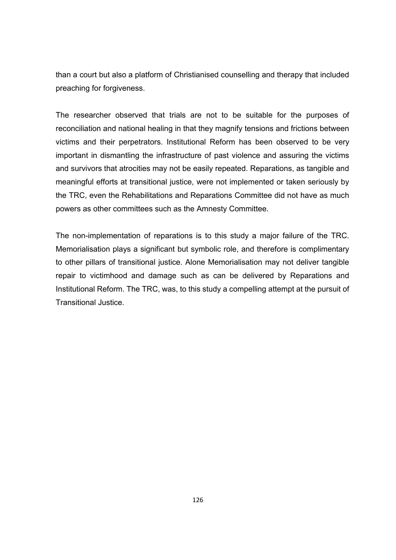than a court but also a platform of Christianised counselling and therapy that included preaching for forgiveness.

The researcher observed that trials are not to be suitable for the purposes of reconciliation and national healing in that they magnify tensions and frictions between victims and their perpetrators. Institutional Reform has been observed to be very important in dismantling the infrastructure of past violence and assuring the victims and survivors that atrocities may not be easily repeated. Reparations, as tangible and meaningful efforts at transitional justice, were not implemented or taken seriously by the TRC, even the Rehabilitations and Reparations Committee did not have as much powers as other committees such as the Amnesty Committee.

The non-implementation of reparations is to this study a major failure of the TRC. Memorialisation plays a significant but symbolic role, and therefore is complimentary to other pillars of transitional justice. Alone Memorialisation may not deliver tangible repair to victimhood and damage such as can be delivered by Reparations and Institutional Reform. The TRC, was, to this study a compelling attempt at the pursuit of Transitional Justice.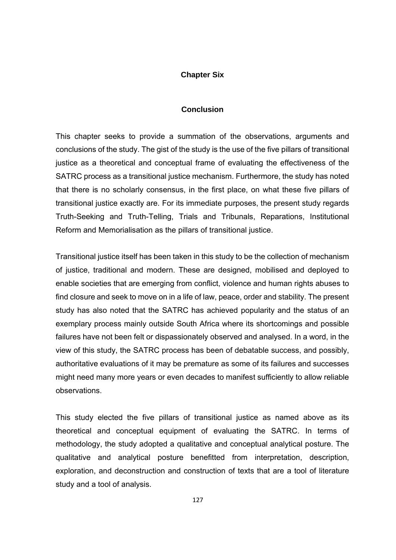## **Chapter Six**

### **Conclusion**

This chapter seeks to provide a summation of the observations, arguments and conclusions of the study. The gist of the study is the use of the five pillars of transitional justice as a theoretical and conceptual frame of evaluating the effectiveness of the SATRC process as a transitional justice mechanism. Furthermore, the study has noted that there is no scholarly consensus, in the first place, on what these five pillars of transitional justice exactly are. For its immediate purposes, the present study regards Truth-Seeking and Truth-Telling, Trials and Tribunals, Reparations, Institutional Reform and Memorialisation as the pillars of transitional justice.

Transitional justice itself has been taken in this study to be the collection of mechanism of justice, traditional and modern. These are designed, mobilised and deployed to enable societies that are emerging from conflict, violence and human rights abuses to find closure and seek to move on in a life of law, peace, order and stability. The present study has also noted that the SATRC has achieved popularity and the status of an exemplary process mainly outside South Africa where its shortcomings and possible failures have not been felt or dispassionately observed and analysed. In a word, in the view of this study, the SATRC process has been of debatable success, and possibly, authoritative evaluations of it may be premature as some of its failures and successes might need many more years or even decades to manifest sufficiently to allow reliable observations.

This study elected the five pillars of transitional justice as named above as its theoretical and conceptual equipment of evaluating the SATRC. In terms of methodology, the study adopted a qualitative and conceptual analytical posture. The qualitative and analytical posture benefitted from interpretation, description, exploration, and deconstruction and construction of texts that are a tool of literature study and a tool of analysis.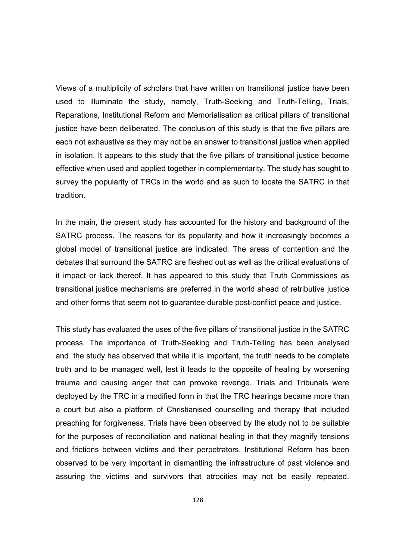Views of a multiplicity of scholars that have written on transitional justice have been used to illuminate the study, namely, Truth-Seeking and Truth-Telling, Trials, Reparations, Institutional Reform and Memorialisation as critical pillars of transitional justice have been deliberated. The conclusion of this study is that the five pillars are each not exhaustive as they may not be an answer to transitional justice when applied in isolation. It appears to this study that the five pillars of transitional justice become effective when used and applied together in complementarity. The study has sought to survey the popularity of TRCs in the world and as such to locate the SATRC in that tradition.

In the main, the present study has accounted for the history and background of the SATRC process. The reasons for its popularity and how it increasingly becomes a global model of transitional justice are indicated. The areas of contention and the debates that surround the SATRC are fleshed out as well as the critical evaluations of it impact or lack thereof. It has appeared to this study that Truth Commissions as transitional justice mechanisms are preferred in the world ahead of retributive justice and other forms that seem not to guarantee durable post-conflict peace and justice.

This study has evaluated the uses of the five pillars of transitional justice in the SATRC process. The importance of Truth-Seeking and Truth-Telling has been analysed and the study has observed that while it is important, the truth needs to be complete truth and to be managed well, lest it leads to the opposite of healing by worsening trauma and causing anger that can provoke revenge. Trials and Tribunals were deployed by the TRC in a modified form in that the TRC hearings became more than a court but also a platform of Christianised counselling and therapy that included preaching for forgiveness. Trials have been observed by the study not to be suitable for the purposes of reconciliation and national healing in that they magnify tensions and frictions between victims and their perpetrators. Institutional Reform has been observed to be very important in dismantling the infrastructure of past violence and assuring the victims and survivors that atrocities may not be easily repeated.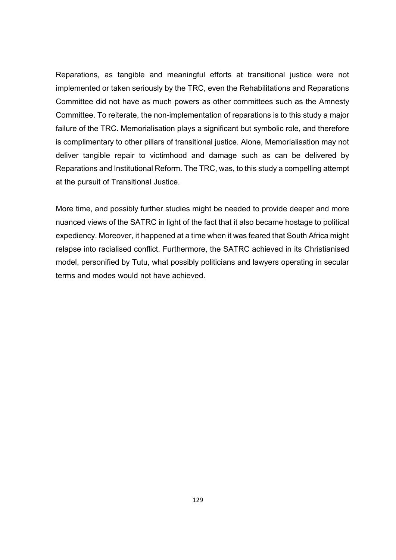Reparations, as tangible and meaningful efforts at transitional justice were not implemented or taken seriously by the TRC, even the Rehabilitations and Reparations Committee did not have as much powers as other committees such as the Amnesty Committee. To reiterate, the non-implementation of reparations is to this study a major failure of the TRC. Memorialisation plays a significant but symbolic role, and therefore is complimentary to other pillars of transitional justice. Alone, Memorialisation may not deliver tangible repair to victimhood and damage such as can be delivered by Reparations and Institutional Reform. The TRC, was, to this study a compelling attempt at the pursuit of Transitional Justice.

More time, and possibly further studies might be needed to provide deeper and more nuanced views of the SATRC in light of the fact that it also became hostage to political expediency. Moreover, it happened at a time when it was feared that South Africa might relapse into racialised conflict. Furthermore, the SATRC achieved in its Christianised model, personified by Tutu, what possibly politicians and lawyers operating in secular terms and modes would not have achieved.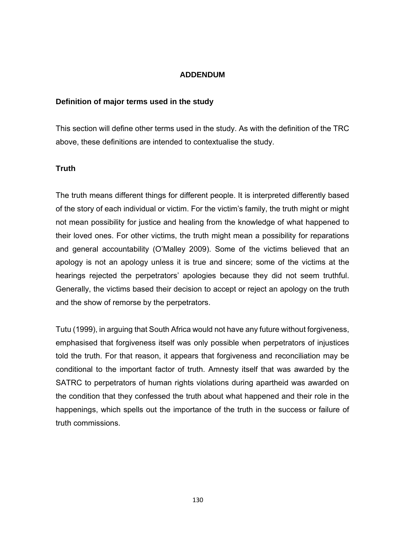## **ADDENDUM**

## **Definition of major terms used in the study**

This section will define other terms used in the study. As with the definition of the TRC above, these definitions are intended to contextualise the study.

## **Truth**

The truth means different things for different people. It is interpreted differently based of the story of each individual or victim. For the victim's family, the truth might or might not mean possibility for justice and healing from the knowledge of what happened to their loved ones. For other victims, the truth might mean a possibility for reparations and general accountability (O'Malley 2009). Some of the victims believed that an apology is not an apology unless it is true and sincere; some of the victims at the hearings rejected the perpetrators' apologies because they did not seem truthful. Generally, the victims based their decision to accept or reject an apology on the truth and the show of remorse by the perpetrators.

Tutu (1999), in arguing that South Africa would not have any future without forgiveness, emphasised that forgiveness itself was only possible when perpetrators of injustices told the truth. For that reason, it appears that forgiveness and reconciliation may be conditional to the important factor of truth. Amnesty itself that was awarded by the SATRC to perpetrators of human rights violations during apartheid was awarded on the condition that they confessed the truth about what happened and their role in the happenings, which spells out the importance of the truth in the success or failure of truth commissions.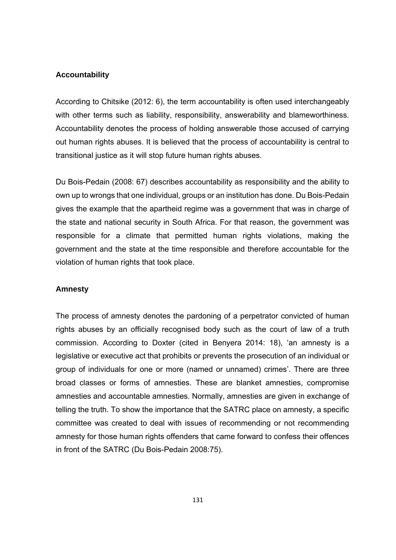#### **Accountability**

According to Chitsike (2012: 6), the term accountability is often used interchangeably with other terms such as liability, responsibility, answerability and blameworthiness. Accountability denotes the process of holding answerable those accused of carrying out human rights abuses. It is believed that the process of accountability is central to transitional justice as it will stop future human rights abuses.

Du Bois-Pedain (2008: 67) describes accountability as responsibility and the ability to own up to wrongs that one individual, groups or an institution has done. Du Bois-Pedain gives the example that the apartheid regime was a government that was in charge of the state and national security in South Africa. For that reason, the government was responsible for a climate that permitted human rights violations, making the government and the state at the time responsible and therefore accountable for the violation of human rights that took place.

#### **Amnesty**

The process of amnesty denotes the pardoning of a perpetrator convicted of human rights abuses by an officially recognised body such as the court of law of a truth commission. According to Doxter (cited in Benyera 2014: 18), 'an amnesty is a legislative or executive act that prohibits or prevents the prosecution of an individual or group of individuals for one or more (named or unnamed) crimes'. There are three broad classes or forms of amnesties. These are blanket amnesties, compromise amnesties and accountable amnesties. Normally, amnesties are given in exchange of telling the truth. To show the importance that the SATRC place on amnesty, a specific committee was created to deal with issues of recommending or not recommending amnesty for those human rights offenders that came forward to confess their offences in front of the SATRC (Du Bois-Pedain 2008:75).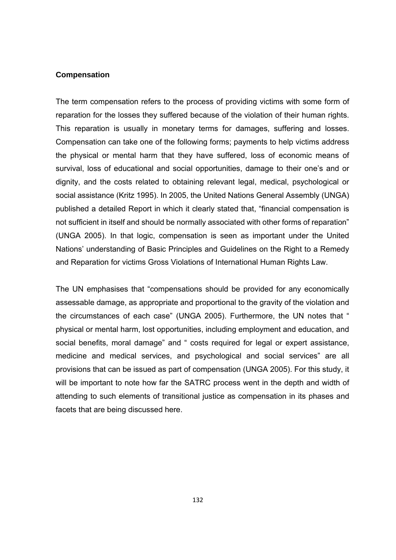#### **Compensation**

The term compensation refers to the process of providing victims with some form of reparation for the losses they suffered because of the violation of their human rights. This reparation is usually in monetary terms for damages, suffering and losses. Compensation can take one of the following forms; payments to help victims address the physical or mental harm that they have suffered, loss of economic means of survival, loss of educational and social opportunities, damage to their one's and or dignity, and the costs related to obtaining relevant legal, medical, psychological or social assistance (Kritz 1995). In 2005, the United Nations General Assembly (UNGA) published a detailed Report in which it clearly stated that, "financial compensation is not sufficient in itself and should be normally associated with other forms of reparation" (UNGA 2005). In that logic, compensation is seen as important under the United Nations' understanding of Basic Principles and Guidelines on the Right to a Remedy and Reparation for victims Gross Violations of International Human Rights Law.

The UN emphasises that "compensations should be provided for any economically assessable damage, as appropriate and proportional to the gravity of the violation and the circumstances of each case" (UNGA 2005). Furthermore, the UN notes that " physical or mental harm, lost opportunities, including employment and education, and social benefits, moral damage" and " costs required for legal or expert assistance, medicine and medical services, and psychological and social services" are all provisions that can be issued as part of compensation (UNGA 2005). For this study, it will be important to note how far the SATRC process went in the depth and width of attending to such elements of transitional justice as compensation in its phases and facets that are being discussed here.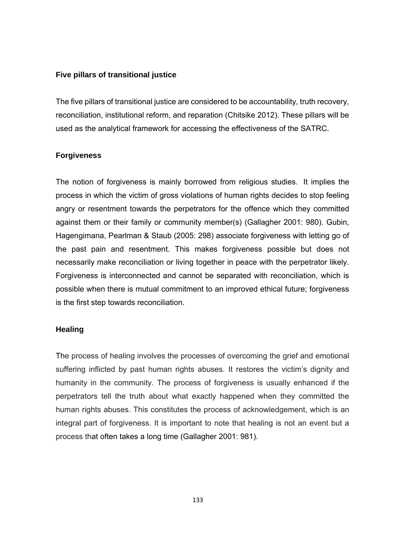### **Five pillars of transitional justice**

The five pillars of transitional justice are considered to be accountability, truth recovery, reconciliation, institutional reform, and reparation (Chitsike 2012). These pillars will be used as the analytical framework for accessing the effectiveness of the SATRC.

#### **Forgiveness**

The notion of forgiveness is mainly borrowed from religious studies. It implies the process in which the victim of gross violations of human rights decides to stop feeling angry or resentment towards the perpetrators for the offence which they committed against them or their family or community member(s) (Gallagher 2001: 980). Gubin, Hagengimana, Pearlman & Staub (2005: 298) associate forgiveness with letting go of the past pain and resentment. This makes forgiveness possible but does not necessarily make reconciliation or living together in peace with the perpetrator likely. Forgiveness is interconnected and cannot be separated with reconciliation, which is possible when there is mutual commitment to an improved ethical future; forgiveness is the first step towards reconciliation.

### **Healing**

The process of healing involves the processes of overcoming the grief and emotional suffering inflicted by past human rights abuses. It restores the victim's dignity and humanity in the community. The process of forgiveness is usually enhanced if the perpetrators tell the truth about what exactly happened when they committed the human rights abuses. This constitutes the process of acknowledgement, which is an integral part of forgiveness. It is important to note that healing is not an event but a process that often takes a long time (Gallagher 2001: 981).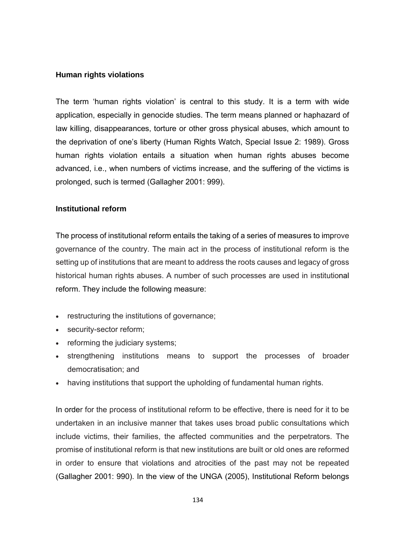### **Human rights violations**

The term 'human rights violation' is central to this study. It is a term with wide application, especially in genocide studies. The term means planned or haphazard of law killing, disappearances, torture or other gross physical abuses, which amount to the deprivation of one's liberty (Human Rights Watch, Special Issue 2: 1989). Gross human rights violation entails a situation when human rights abuses become advanced, i.e., when numbers of victims increase, and the suffering of the victims is prolonged, such is termed (Gallagher 2001: 999).

## **Institutional reform**

The process of institutional reform entails the taking of a series of measures to improve governance of the country. The main act in the process of institutional reform is the setting up of institutions that are meant to address the roots causes and legacy of gross historical human rights abuses. A number of such processes are used in institutional reform. They include the following measure:

- restructuring the institutions of governance;
- security-sector reform;
- reforming the judiciary systems;
- strengthening institutions means to support the processes of broader democratisation; and
- having institutions that support the upholding of fundamental human rights.

In order for the process of institutional reform to be effective, there is need for it to be undertaken in an inclusive manner that takes uses broad public consultations which include victims, their families, the affected communities and the perpetrators. The promise of institutional reform is that new institutions are built or old ones are reformed in order to ensure that violations and atrocities of the past may not be repeated (Gallagher 2001: 990). In the view of the UNGA (2005), Institutional Reform belongs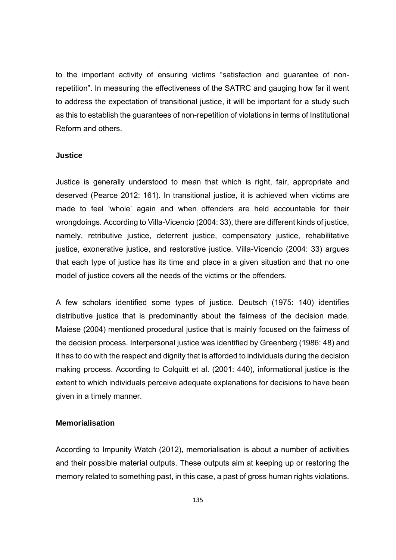to the important activity of ensuring victims "satisfaction and guarantee of nonrepetition". In measuring the effectiveness of the SATRC and gauging how far it went to address the expectation of transitional justice, it will be important for a study such as this to establish the guarantees of non-repetition of violations in terms of Institutional Reform and others.

#### **Justice**

Justice is generally understood to mean that which is right, fair, appropriate and deserved (Pearce 2012: 161). In transitional justice, it is achieved when victims are made to feel 'whole' again and when offenders are held accountable for their wrongdoings. According to Villa-Vicencio (2004: 33), there are different kinds of justice, namely, retributive justice, deterrent justice, compensatory justice, rehabilitative justice, exonerative justice, and restorative justice. Villa*-*Vicencio (2004: 33) argues that each type of justice has its time and place in a given situation and that no one model of justice covers all the needs of the victims or the offenders.

A few scholars identified some types of justice. Deutsch (1975: 140) identifies distributive justice that is predominantly about the fairness of the decision made. Maiese (2004) mentioned procedural justice that is mainly focused on the fairness of the decision process. Interpersonal justice was identified by Greenberg (1986: 48) and it has to do with the respect and dignity that is afforded to individuals during the decision making process. According to Colquitt et al. (2001: 440), informational justice is the extent to which individuals perceive adequate explanations for decisions to have been given in a timely manner.

### **Memorialisation**

According to Impunity Watch (2012), memorialisation is about a number of activities and their possible material outputs. These outputs aim at keeping up or restoring the memory related to something past, in this case, a past of gross human rights violations.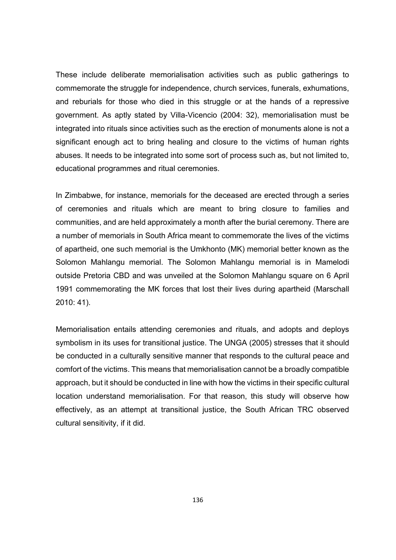These include deliberate memorialisation activities such as public gatherings to commemorate the struggle for independence, church services, funerals, exhumations, and reburials for those who died in this struggle or at the hands of a repressive government. As aptly stated by Villa-Vicencio (2004: 32), memorialisation must be integrated into rituals since activities such as the erection of monuments alone is not a significant enough act to bring healing and closure to the victims of human rights abuses. It needs to be integrated into some sort of process such as, but not limited to, educational programmes and ritual ceremonies.

In Zimbabwe, for instance, memorials for the deceased are erected through a series of ceremonies and rituals which are meant to bring closure to families and communities, and are held approximately a month after the burial ceremony. There are a number of memorials in South Africa meant to commemorate the lives of the victims of apartheid, one such memorial is the Umkhonto (MK) memorial better known as the Solomon Mahlangu memorial. The Solomon Mahlangu memorial is in Mamelodi outside Pretoria CBD and was unveiled at the Solomon Mahlangu square on 6 April 1991 commemorating the MK forces that lost their lives during apartheid (Marschall 2010: 41).

Memorialisation entails attending ceremonies and rituals, and adopts and deploys symbolism in its uses for transitional justice. The UNGA (2005) stresses that it should be conducted in a culturally sensitive manner that responds to the cultural peace and comfort of the victims. This means that memorialisation cannot be a broadly compatible approach, but it should be conducted in line with how the victims in their specific cultural location understand memorialisation. For that reason, this study will observe how effectively, as an attempt at transitional justice, the South African TRC observed cultural sensitivity, if it did.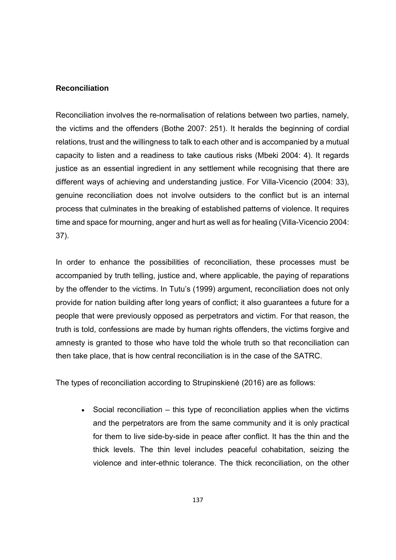### **Reconciliation**

Reconciliation involves the re-normalisation of relations between two parties, namely, the victims and the offenders (Bothe 2007: 251). It heralds the beginning of cordial relations, trust and the willingness to talk to each other and is accompanied by a mutual capacity to listen and a readiness to take cautious risks (Mbeki 2004: 4). It regards justice as an essential ingredient in any settlement while recognising that there are different ways of achieving and understanding justice. For Villa-Vicencio (2004: 33), genuine reconciliation does not involve outsiders to the conflict but is an internal process that culminates in the breaking of established patterns of violence. It requires time and space for mourning, anger and hurt as well as for healing (Villa-Vicencio 2004: 37).

In order to enhance the possibilities of reconciliation, these processes must be accompanied by truth telling, justice and, where applicable, the paying of reparations by the offender to the victims. In Tutu's (1999) argument, reconciliation does not only provide for nation building after long years of conflict; it also guarantees a future for a people that were previously opposed as perpetrators and victim. For that reason, the truth is told, confessions are made by human rights offenders, the victims forgive and amnesty is granted to those who have told the whole truth so that reconciliation can then take place, that is how central reconciliation is in the case of the SATRC.

The types of reconciliation according to Strupinskienė (2016) are as follows:

• Social reconciliation – this type of reconciliation applies when the victims and the perpetrators are from the same community and it is only practical for them to live side-by-side in peace after conflict. It has the thin and the thick levels. The thin level includes peaceful cohabitation, seizing the violence and inter-ethnic tolerance. The thick reconciliation, on the other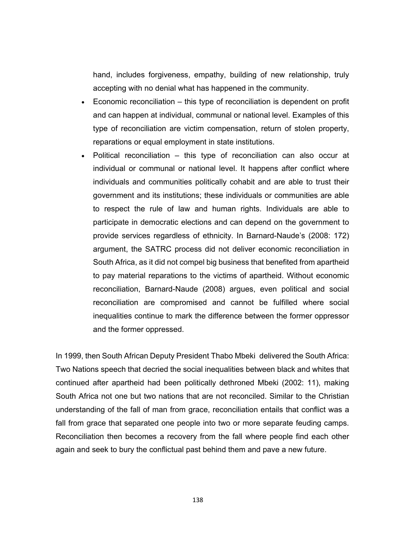hand, includes forgiveness, empathy, building of new relationship, truly accepting with no denial what has happened in the community.

- Economic reconciliation this type of reconciliation is dependent on profit and can happen at individual, communal or national level. Examples of this type of reconciliation are victim compensation, return of stolen property, reparations or equal employment in state institutions.
- Political reconciliation this type of reconciliation can also occur at individual or communal or national level. It happens after conflict where individuals and communities politically cohabit and are able to trust their government and its institutions; these individuals or communities are able to respect the rule of law and human rights. Individuals are able to participate in democratic elections and can depend on the government to provide services regardless of ethnicity. In Barnard-Naude's (2008: 172) argument, the SATRC process did not deliver economic reconciliation in South Africa, as it did not compel big business that benefited from apartheid to pay material reparations to the victims of apartheid. Without economic reconciliation, Barnard-Naude (2008) argues, even political and social reconciliation are compromised and cannot be fulfilled where social inequalities continue to mark the difference between the former oppressor and the former oppressed.

In 1999, then South African Deputy President Thabo Mbeki delivered the South Africa: Two Nations speech that decried the social inequalities between black and whites that continued after apartheid had been politically dethroned Mbeki (2002: 11), making South Africa not one but two nations that are not reconciled. Similar to the Christian understanding of the fall of man from grace, reconciliation entails that conflict was a fall from grace that separated one people into two or more separate feuding camps. Reconciliation then becomes a recovery from the fall where people find each other again and seek to bury the conflictual past behind them and pave a new future.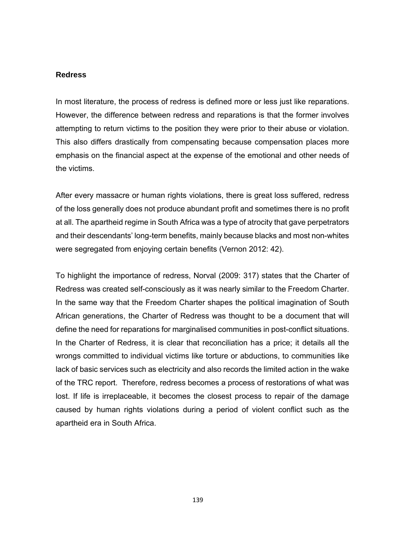#### **Redress**

In most literature, the process of redress is defined more or less just like reparations. However, the difference between redress and reparations is that the former involves attempting to return victims to the position they were prior to their abuse or violation. This also differs drastically from compensating because compensation places more emphasis on the financial aspect at the expense of the emotional and other needs of the victims.

After every massacre or human rights violations, there is great loss suffered, redress of the loss generally does not produce abundant profit and sometimes there is no profit at all. The apartheid regime in South Africa was a type of atrocity that gave perpetrators and their descendants' long-term benefits, mainly because blacks and most non-whites were segregated from enjoying certain benefits (Vernon 2012: 42).

To highlight the importance of redress, Norval (2009: 317) states that the Charter of Redress was created self-consciously as it was nearly similar to the Freedom Charter. In the same way that the Freedom Charter shapes the political imagination of South African generations, the Charter of Redress was thought to be a document that will define the need for reparations for marginalised communities in post-conflict situations. In the Charter of Redress, it is clear that reconciliation has a price; it details all the wrongs committed to individual victims like torture or abductions, to communities like lack of basic services such as electricity and also records the limited action in the wake of the TRC report. Therefore, redress becomes a process of restorations of what was lost. If life is irreplaceable, it becomes the closest process to repair of the damage caused by human rights violations during a period of violent conflict such as the apartheid era in South Africa.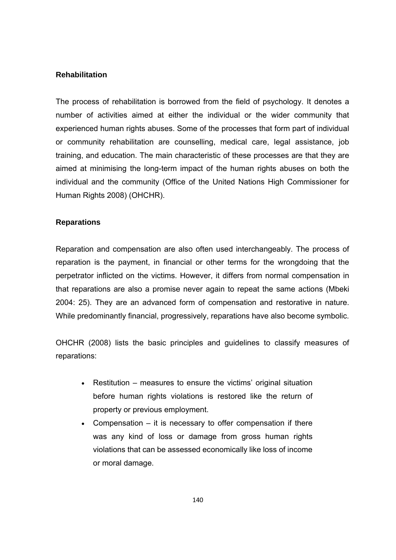## **Rehabilitation**

The process of rehabilitation is borrowed from the field of psychology. It denotes a number of activities aimed at either the individual or the wider community that experienced human rights abuses. Some of the processes that form part of individual or community rehabilitation are counselling, medical care, legal assistance, job training, and education. The main characteristic of these processes are that they are aimed at minimising the long-term impact of the human rights abuses on both the individual and the community (Office of the United Nations High Commissioner for Human Rights 2008) (OHCHR).

## **Reparations**

Reparation and compensation are also often used interchangeably. The process of reparation is the payment, in financial or other terms for the wrongdoing that the perpetrator inflicted on the victims. However, it differs from normal compensation in that reparations are also a promise never again to repeat the same actions (Mbeki 2004: 25). They are an advanced form of compensation and restorative in nature. While predominantly financial, progressively, reparations have also become symbolic.

OHCHR (2008) lists the basic principles and guidelines to classify measures of reparations:

- Restitution measures to ensure the victims' original situation before human rights violations is restored like the return of property or previous employment.
- Compensation  $-$  it is necessary to offer compensation if there was any kind of loss or damage from gross human rights violations that can be assessed economically like loss of income or moral damage.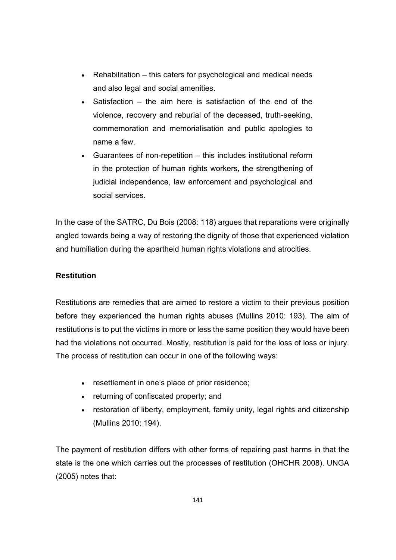- Rehabilitation this caters for psychological and medical needs and also legal and social amenities.
- $\bullet$  Satisfaction the aim here is satisfaction of the end of the violence, recovery and reburial of the deceased, truth-seeking, commemoration and memorialisation and public apologies to name a few.
- Guarantees of non-repetition this includes institutional reform in the protection of human rights workers, the strengthening of judicial independence, law enforcement and psychological and social services.

In the case of the SATRC, Du Bois (2008: 118) argues that reparations were originally angled towards being a way of restoring the dignity of those that experienced violation and humiliation during the apartheid human rights violations and atrocities.

# **Restitution**

Restitutions are remedies that are aimed to restore a victim to their previous position before they experienced the human rights abuses (Mullins 2010: 193). The aim of restitutions is to put the victims in more or less the same position they would have been had the violations not occurred. Mostly, restitution is paid for the loss of loss or injury. The process of restitution can occur in one of the following ways:

- resettlement in one's place of prior residence;
- returning of confiscated property; and
- restoration of liberty, employment, family unity, legal rights and citizenship (Mullins 2010: 194).

The payment of restitution differs with other forms of repairing past harms in that the state is the one which carries out the processes of restitution (OHCHR 2008). UNGA (2005) notes that: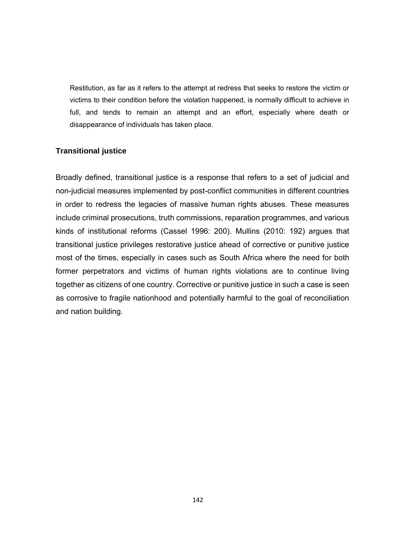Restitution, as far as it refers to the attempt at redress that seeks to restore the victim or victims to their condition before the violation happened, is normally difficult to achieve in full, and tends to remain an attempt and an effort, especially where death or disappearance of individuals has taken place.

## **Transitional justice**

Broadly defined, transitional justice is a response that refers to a set of judicial and non-judicial measures implemented by post-conflict communities in different countries in order to redress the legacies of massive human rights abuses. These measures include criminal prosecutions, truth commissions, reparation programmes, and various kinds of institutional reforms (Cassel 1996: 200). Mullins (2010: 192) argues that transitional justice privileges restorative justice ahead of corrective or punitive justice most of the times, especially in cases such as South Africa where the need for both former perpetrators and victims of human rights violations are to continue living together as citizens of one country. Corrective or punitive justice in such a case is seen as corrosive to fragile nationhood and potentially harmful to the goal of reconciliation and nation building.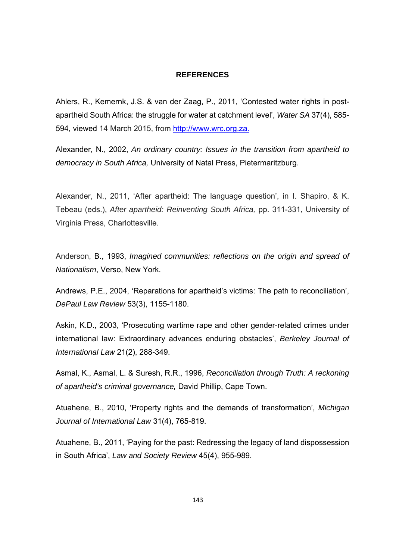### **REFERENCES**

Ahlers, R., Kemernk, J.S. & van der Zaag, P., 2011, 'Contested water rights in postapartheid South Africa: the struggle for water at catchment level', *Water SA* 37(4), 585- 594, viewed 14 March 2015, from http://www.wrc.org.za.

Alexander, N., 2002, *An ordinary country: Issues in the transition from apartheid to democracy in South Africa,* University of Natal Press, Pietermaritzburg.

Alexander, N., 2011, 'After apartheid: The language question', in I. Shapiro, & K. Tebeau (eds.), *After apartheid: Reinventing South Africa,* pp. 311-331, University of Virginia Press, Charlottesville.

Anderson, B., 1993, *Imagined communities: reflections on the origin and spread of Nationalism*, Verso, New York.

Andrews, P.E., 2004, 'Reparations for apartheid's victims: The path to reconciliation', *DePaul Law Review* 53(3), 1155-1180.

Askin, K.D., 2003, 'Prosecuting wartime rape and other gender-related crimes under international law: Extraordinary advances enduring obstacles', *Berkeley Journal of International Law* 21(2), 288-349.

Asmal, K., Asmal, L. & Suresh, R.R., 1996, *Reconciliation through Truth: A reckoning of apartheid's criminal governance,* David Phillip, Cape Town.

Atuahene, B., 2010, 'Property rights and the demands of transformation', *Michigan Journal of International Law* 31(4), 765-819.

Atuahene, B., 2011, 'Paying for the past: Redressing the legacy of land dispossession in South Africa', *Law and Society Review* 45(4), 955-989.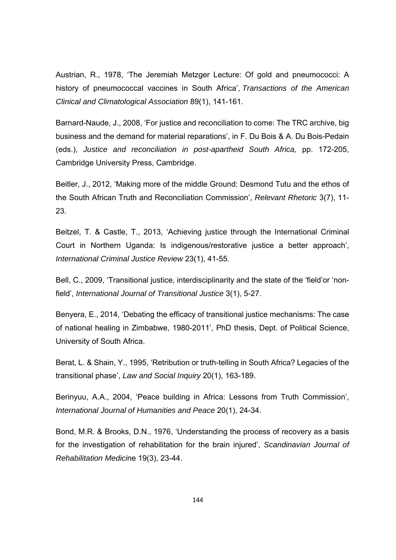Austrian, R., 1978, 'The Jeremiah Metzger Lecture: Of gold and pneumococci: A history of pneumococcal vaccines in South Africa', *Transactions of the American Clinical and Climatological Association* 89(1), 141-161.

Barnard-Naude, J., 2008, 'For justice and reconciliation to come: The TRC archive, big business and the demand for material reparations', in F. Du Bois & A. Du Bois-Pedain (eds.), *Justice and reconciliation in post-apartheid South Africa,* pp. 172-205, Cambridge University Press, Cambridge.

Beitler, J., 2012, 'Making more of the middle Ground: Desmond Tutu and the ethos of the South African Truth and Reconciliation Commission', *Relevant Rhetoric* 3(7), 11- 23.

Beitzel, T. & Castle, T., 2013, 'Achieving justice through the International Criminal Court in Northern Uganda: Is indigenous/restorative justice a better approach', *International Criminal Justice Review* 23(1), 41-55.

Bell, C., 2009, 'Transitional justice, interdisciplinarity and the state of the 'field'or 'nonfield', *International Journal of Transitional Justice* 3(1), 5-27.

Benyera, E., 2014, 'Debating the efficacy of transitional justice mechanisms: The case of national healing in Zimbabwe, 1980-2011', PhD thesis, Dept. of Political Science, University of South Africa.

Berat, L. & Shain, Y., 1995, 'Retribution or truth-telling in South Africa? Legacies of the transitional phase', *Law and Social Inquiry* 20(1), 163-189.

Berinyuu, A.A., 2004, 'Peace building in Africa: Lessons from Truth Commission', *International Journal of Humanities and Peace* 20(1), 24-34.

Bond, M.R. & Brooks, D.N., 1976, 'Understanding the process of recovery as a basis for the investigation of rehabilitation for the brain injured', *Scandinavian Journal of Rehabilitation Medici*ne 19(3), 23-44.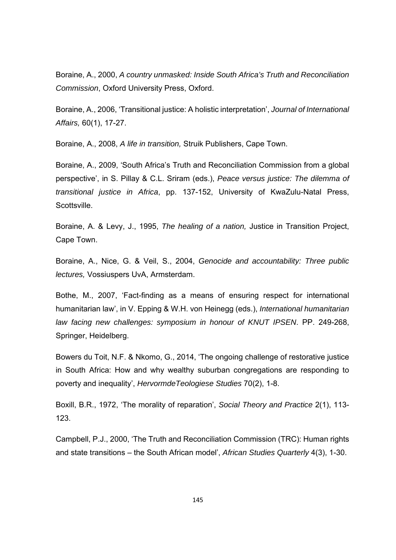Boraine, A., 2000, *A country unmasked: Inside South Africa's Truth and Reconciliation Commission*, Oxford University Press, Oxford.

Boraine, A., 2006, 'Transitional justice: A holistic interpretation', *Journal of International Affairs,* 60(1), 17-27.

Boraine, A., 2008, *A life in transition,* Struik Publishers, Cape Town.

Boraine, A., 2009, 'South Africa's Truth and Reconciliation Commission from a global perspective', in S. Pillay & C.L. Sriram (eds.), *Peace versus justice: The dilemma of transitional justice in Africa*, pp. 137-152, University of KwaZulu-Natal Press, Scottsville.

Boraine, A. & Levy, J., 1995, *The healing of a nation,* Justice in Transition Project, Cape Town.

Boraine, A., Nice, G. & Veil, S., 2004, *Genocide and accountability: Three public lectures,* Vossiuspers UvA, Armsterdam.

Bothe, M., 2007, 'Fact-finding as a means of ensuring respect for international humanitarian law', in V. Epping & W.H. von Heinegg (eds.), *International humanitarian law facing new challenges: symposium in honour of KNUT IPSEN*. PP. 249-268, Springer, Heidelberg.

Bowers du Toit, N.F. & Nkomo, G., 2014, 'The ongoing challenge of restorative justice in South Africa: How and why wealthy suburban congregations are responding to poverty and inequality', *HervormdeTeologiese Studies* 70(2), 1-8.

Boxill, B.R., 1972, 'The morality of reparation', *Social Theory and Practice* 2(1), 113- 123.

Campbell, P.J., 2000, 'The Truth and Reconciliation Commission (TRC): Human rights and state transitions – the South African model', *African Studies Quarterly* 4(3), 1-30.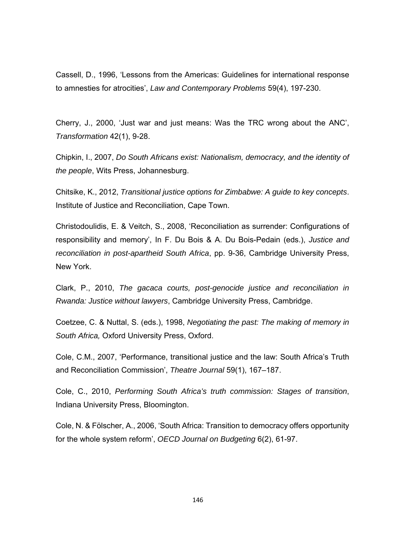Cassell, D., 1996, 'Lessons from the Americas: Guidelines for international response to amnesties for atrocities', *Law and Contemporary Problems* 59(4), 197-230.

Cherry, J., 2000, 'Just war and just means: Was the TRC wrong about the ANC', *Transformation* 42(1), 9-28.

Chipkin, I., 2007, *Do South Africans exist: Nationalism, democracy, and the identity of the people*, Wits Press, Johannesburg.

Chitsike, K., 2012, *Transitional justice options for Zimbabwe: A guide to key concepts*. Institute of Justice and Reconciliation, Cape Town.

Christodoulidis, E. & Veitch, S., 2008, 'Reconciliation as surrender: Configurations of responsibility and memory', In F. Du Bois & A. Du Bois-Pedain (eds.), *Justice and reconciliation in post-apartheid South Africa*, pp. 9-36, Cambridge University Press, New York.

Clark, P., 2010, *The gacaca courts, post-genocide justice and reconciliation in Rwanda: Justice without lawyers*, Cambridge University Press, Cambridge.

Coetzee, C. & Nuttal, S. (eds.), 1998, *Negotiating the past: The making of memory in South Africa,* Oxford University Press, Oxford.

Cole, C.M., 2007, 'Performance, transitional justice and the law: South Africa's Truth and Reconciliation Commission', *Theatre Journal* 59(1), 167–187.

Cole, C., 2010, *Performing South Africa's truth commission: Stages of transition*, Indiana University Press, Bloomington.

Cole, N. & Fölscher, A., 2006, 'South Africa: Transition to democracy offers opportunity for the whole system reform', *OECD Journal on Budgeting* 6(2), 61-97.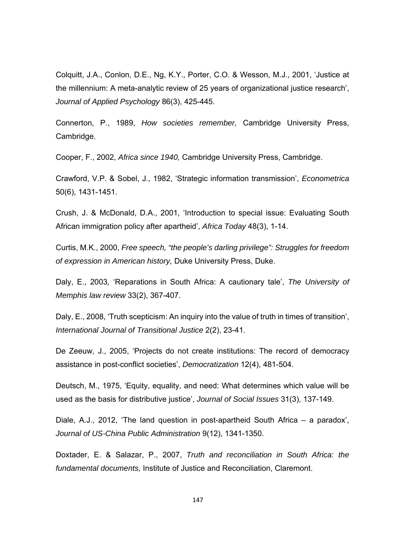Colquitt, J.A., Conlon, D.E., Ng, K.Y., Porter, C.O. & Wesson, M.J., 2001, 'Justice at the millennium: A meta-analytic review of 25 years of organizational justice research', *Journal of Applied Psychology* 86(3), 425-445.

Connerton, P., 1989, *How societies remember,* Cambridge University Press, Cambridge.

Cooper, F., 2002, *Africa since 1940,* Cambridge University Press, Cambridge.

Crawford, V.P. & Sobel, J., 1982, 'Strategic information transmission', *Econometrica* 50(6), 1431-1451.

Crush, J. & McDonald, D.A., 2001, 'Introduction to special issue: Evaluating South African immigration policy after apartheid', *Africa Today* 48(3), 1-14.

Curtis, M.K., 2000, *Free speech, "the people's darling privilege": Struggles for freedom of expression in American history,* Duke University Press, Duke.

Daly, E., 2003*,* 'Reparations in South Africa: A cautionary tale', *The University of Memphis law review* 33(2), 367-407.

Daly, E., 2008, 'Truth scepticism: An inquiry into the value of truth in times of transition', *International Journal of Transitional Justice* 2(2), 23-41.

De Zeeuw, J., 2005, 'Projects do not create institutions: The record of democracy assistance in post-conflict societies', *Democratization* 12(4), 481-504.

Deutsch, M., 1975, 'Equity, equality, and need: What determines which value will be used as the basis for distributive justice', *Journal of Social Issues* 31(3), 137-149.

Diale, A.J., 2012, 'The land question in post-apartheid South Africa – a paradox', *Journal of US-China Public Administration* 9(12), 1341-1350.

Doxtader, E. & Salazar, P., 2007, *Truth and reconciliation in South Africa: the fundamental documents,* Institute of Justice and Reconciliation, Claremont.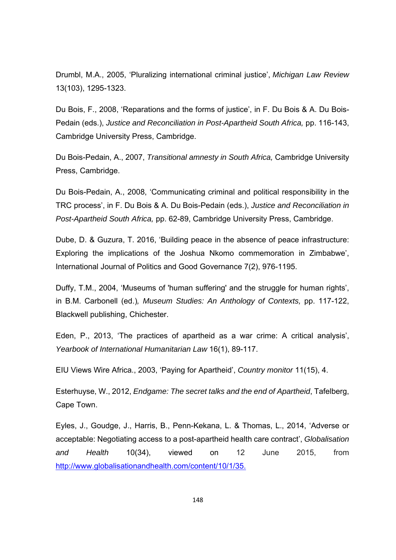Drumbl, M.A., 2005, 'Pluralizing international criminal justice', *Michigan Law Review* 13(103), 1295-1323.

Du Bois, F., 2008, 'Reparations and the forms of justice', in F. Du Bois & A. Du Bois-Pedain (eds.), *Justice and Reconciliation in Post-Apartheid South Africa,* pp. 116-143, Cambridge University Press, Cambridge.

Du Bois-Pedain, A., 2007, *Transitional amnesty in South Africa,* Cambridge University Press, Cambridge.

Du Bois-Pedain, A., 2008, 'Communicating criminal and political responsibility in the TRC process', in F. Du Bois & A. Du Bois-Pedain (eds.), *Justice and Reconciliation in Post-Apartheid South Africa,* pp. 62-89, Cambridge University Press, Cambridge.

Dube, D. & Guzura, T. 2016, 'Building peace in the absence of peace infrastructure: Exploring the implications of the Joshua Nkomo commemoration in Zimbabwe', International Journal of Politics and Good Governance 7(2), 976-1195.

Duffy, T.M., 2004, 'Museums of 'human suffering' and the struggle for human rights', in B.M. Carbonell (ed.)*, Museum Studies: An Anthology of Contexts,* pp. 117-122, Blackwell publishing, Chichester.

Eden, P., 2013, 'The practices of apartheid as a war crime: A critical analysis', *Yearbook of International Humanitarian Law* 16(1), 89-117.

EIU Views Wire Africa., 2003, 'Paying for Apartheid', *Country monitor* 11(15), 4.

Esterhuyse, W., 2012, *Endgame: The secret talks and the end of Apartheid*, Tafelberg, Cape Town.

Eyles, J., Goudge, J., Harris, B., Penn-Kekana, L. & Thomas, L., 2014, 'Adverse or acceptable: Negotiating access to a post-apartheid health care contract', *Globalisation and Health* 10(34), viewed on 12 June 2015, from http://www.globalisationandhealth.com/content/10/1/35.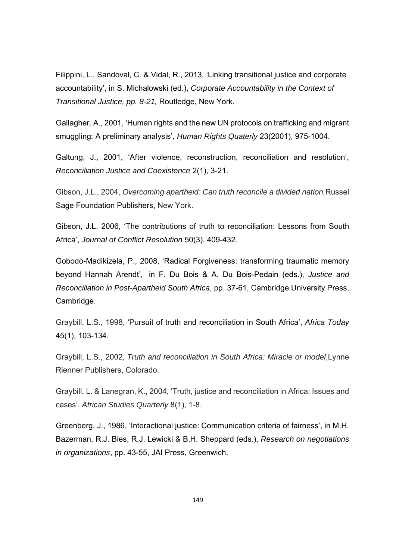Filippini, L., Sandoval, C. & Vidal, R., 2013, 'Linking transitional justice and corporate accountability', in S. Michalowski (ed.), *Corporate Accountability in the Context of Transitional Justice, pp. 8-21,* Routledge, New York.

Gallagher*,* A., 2001, 'Human rights and the new UN protocols on trafficking and migrant smuggling: A preliminary analysis', *Human Rights Quaterly* 23(2001), 975-1004.

Galtung, J., 2001, 'After violence, reconstruction, reconciliation and resolution', *Reconciliation Justice and Coexistence* 2(1), 3-21.

Gibson, J.L., 2004, *Overcoming apartheid: Can truth reconcile a divided nation,*Russel Sage Foundation Publishers, New York.

Gibson, J.L. 2006, 'The contributions of truth to reconciliation: Lessons from South Africa', *Journal of Conflict Resolution* 50(3), 409-432.

Gobodo-Madikizela, P., 2008, 'Radical Forgiveness: transforming traumatic memory beyond Hannah Arendt', in F. Du Bois & A. Du Bois-Pedain (eds.), *Justice and Reconciliation in Post-Apartheid South Africa*, pp. 37-61, Cambridge University Press, Cambridge.

Graybill, L.S., 1998, 'Pursuit of truth and reconciliation in South Africa', *Africa Today*  45(1), 103-134.

Graybill, L.S., 2002, *Truth and reconciliation in South Africa: Miracle or model*,Lynne Rienner Publishers, Colorado.

Graybill, L. & Lanegran, K., 2004, 'Truth, justice and reconciliation in Africa: Issues and cases', *African Studies Quarterly* 8(1), 1-8.

Greenberg, J., 1986, 'Interactional justice: Communication criteria of fairness', in M.H. Bazerman, R.J. Bies, R.J. Lewicki & B.H. Sheppard (eds.), *Research on negotiations in organizations*, pp. 43-55, JAI Press, Greenwich.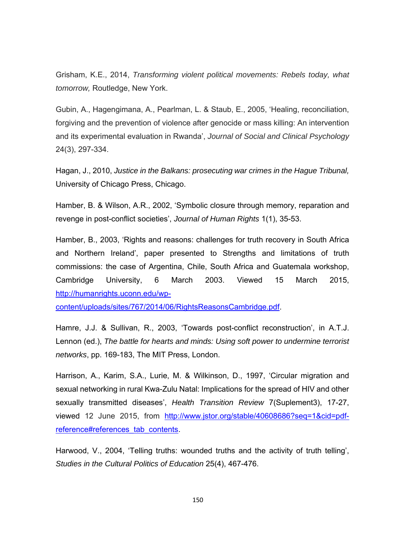Grisham, K.E., 2014, *Transforming violent political movements: Rebels today, what tomorrow,* Routledge, New York.

Gubin, A., Hagengimana, A., Pearlman, L. & Staub, E., 2005, 'Healing, reconciliation, forgiving and the prevention of violence after genocide or mass killing: An intervention and its experimental evaluation in Rwanda', *Journal of Social and Clinical Psychology*  24(3), 297-334.

Hagan, J., 2010, *Justice in the Balkans: prosecuting war crimes in the Hague Tribunal,* University of Chicago Press, Chicago.

Hamber, B. & Wilson, A.R., 2002, 'Symbolic closure through memory, reparation and revenge in post-conflict societies', *Journal of Human Rights* 1(1), 35-53.

Hamber, B., 2003, 'Rights and reasons: challenges for truth recovery in South Africa and Northern Ireland', paper presented to Strengths and limitations of truth commissions: the case of Argentina, Chile, South Africa and Guatemala workshop, Cambridge University, 6 March 2003. Viewed 15 March 2015, http://humanrights.uconn.edu/wp-

content/uploads/sites/767/2014/06/RightsReasonsCambridge.pdf.

Hamre, J.J. & Sullivan, R., 2003, 'Towards post-conflict reconstruction', in A.T.J. Lennon (ed.), *The battle for hearts and minds: Using soft power to undermine terrorist networks*, pp. 169-183, The MIT Press, London.

Harrison, A., Karim, S.A., Lurie, M. & Wilkinson, D., 1997, 'Circular migration and sexual networking in rural Kwa-Zulu Natal: Implications for the spread of HIV and other sexually transmitted diseases', *Health Transition Review* 7(Suplement3), 17-27, viewed 12 June 2015, from http://www.jstor.org/stable/40608686?seq=1&cid=pdfreference#references\_tab\_contents.

Harwood, V., 2004, 'Telling truths: wounded truths and the activity of truth telling', *Studies in the Cultural Politics of Education* 25(4), 467-476.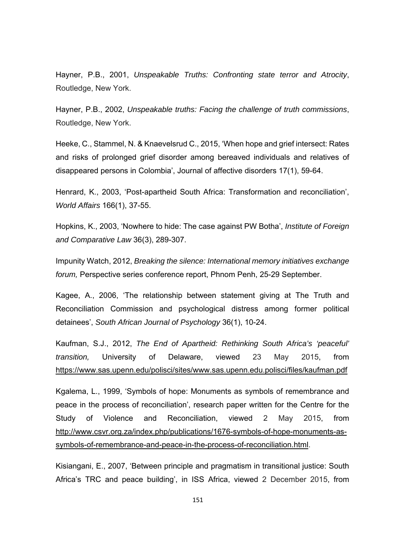Hayner, P.B., 2001, *Unspeakable Truths: Confronting state terror and Atrocity*, Routledge, New York.

Hayner, P.B., 2002, *Unspeakable truths: Facing the challenge of truth commissions*, Routledge, New York.

Heeke, C., Stammel, N. & Knaevelsrud C., 2015, 'When hope and grief intersect: Rates and risks of prolonged grief disorder among bereaved individuals and relatives of disappeared persons in Colombia', Journal of affective disorders 17(1), 59-64.

Henrard, K., 2003, 'Post-apartheid South Africa: Transformation and reconciliation', *World Affairs* 166(1), 37-55.

Hopkins, K., 2003, 'Nowhere to hide: The case against PW Botha', *Institute of Foreign and Comparative Law* 36(3), 289-307.

Impunity Watch, 2012, *Breaking the silence: International memory initiatives exchange forum,* Perspective series conference report, Phnom Penh, 25-29 September.

Kagee, A., 2006, 'The relationship between statement giving at The Truth and Reconciliation Commission and psychological distress among former political detainees', *South African Journal of Psychology* 36(1), 10-24.

Kaufman, S.J., 2012, *The End of Apartheid: Rethinking South Africa's 'peaceful' transition,* University of Delaware, viewed 23 May 2015, from https://www.sas.upenn.edu/polisci/sites/www.sas.upenn.edu.polisci/files/kaufman.pdf

Kgalema, L., 1999, 'Symbols of hope: Monuments as symbols of remembrance and peace in the process of reconciliation', research paper written for the Centre for the Study of Violence and Reconciliation, viewed 2 May 2015, from http://www.csvr.org.za/index.php/publications/1676-symbols-of-hope-monuments-assymbols-of-remembrance-and-peace-in-the-process-of-reconciliation.html.

Kisiangani, E., 2007, 'Between principle and pragmatism in transitional justice: South Africa's TRC and peace building', in ISS Africa, viewed 2 December 2015, from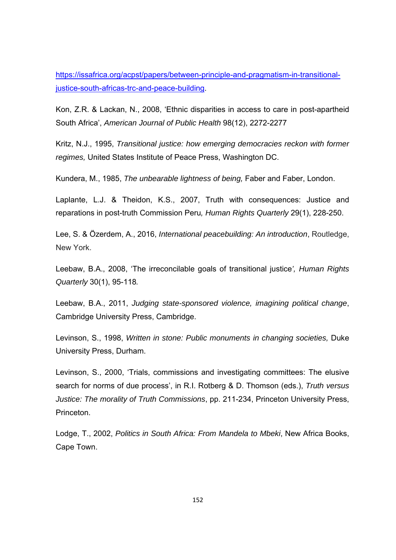https://issafrica.org/acpst/papers/between-principle-and-pragmatism-in-transitionaljustice-south-africas-trc-and-peace-building.

Kon, Z.R. & Lackan, N., 2008, 'Ethnic disparities in access to care in post-apartheid South Africa', *American Journal of Public Health* 98(12), 2272-2277

Kritz, N.J., 1995, *Transitional justice: how emerging democracies reckon with former regimes,* United States Institute of Peace Press, Washington DC.

Kundera, M., 1985, *The unbearable lightness of being,* Faber and Faber, London.

Laplante, L.J. & Theidon, K.S., 2007, Truth with consequences: Justice and reparations in post-truth Commission Peru*, Human Rights Quarterly* 29(1), 228-250.

Lee, S. & Özerdem, A., 2016, *International peacebuilding: An introduction*, Routledge, New York.

Leebaw, B.A., 2008, 'The irreconcilable goals of transitional justice*', Human Rights Quarterly* 30(1), 95-118*.*

Leebaw, B.A., 2011, *Judging state-sponsored violence, imagining political change*, Cambridge University Press, Cambridge.

Levinson, S., 1998, *Written in stone: Public monuments in changing societies,* Duke University Press, Durham.

Levinson, S., 2000, 'Trials, commissions and investigating committees: The elusive search for norms of due process', in R.I. Rotberg & D. Thomson (eds.), *Truth versus Justice: The morality of Truth Commissions*, pp. 211-234, Princeton University Press, Princeton.

Lodge, T., 2002, *Politics in South Africa: From Mandela to Mbeki*, New Africa Books, Cape Town.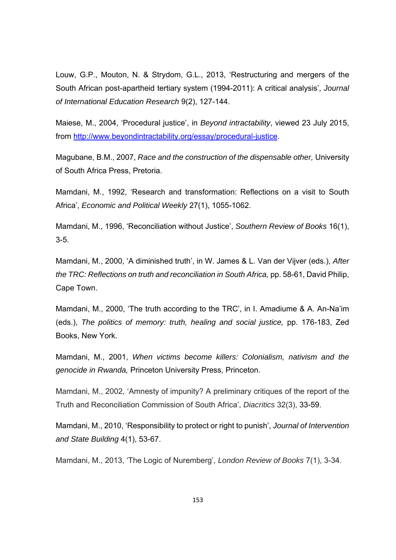Louw, G.P., Mouton, N. & Strydom, G.L., 2013, 'Restructuring and mergers of the South African post-apartheid tertiary system (1994-2011): A critical analysis', *Journal of International Education Research* 9(2), 127-144.

Maiese, M., 2004, 'Procedural justice', in *Beyond intractability*, viewed 23 July 2015, from http://www.beyondintractability.org/essay/procedural-justice.

Magubane, B.M., 2007, *Race and the construction of the dispensable other,* University of South Africa Press, Pretoria.

Mamdani, M., 1992, 'Research and transformation: Reflections on a visit to South Africa', *Economic and Political Weekly* 27(1), 1055-1062.

Mamdani, M., 1996, 'Reconciliation without Justice', *Southern Review of Books* 16(1), 3-5.

Mamdani, M., 2000, 'A diminished truth', in W. James & L. Van der Vijver (eds.), *After the TRC: Reflections on truth and reconciliation in South Africa,* pp. 58-61, David Philip, Cape Town.

Mamdani, M., 2000, 'The truth according to the TRC', in I. Amadiume & A. An-Na'im (eds.), *The politics of memory: truth, healing and social justice,* pp. 176-183, Zed Books, New York.

Mamdani, M., 2001, *When victims become killers: Colonialism, nativism and the genocide in Rwanda,* Princeton University Press, Princeton.

Mamdani, M., 2002, 'Amnesty of impunity? A preliminary critiques of the report of the Truth and Reconciliation Commission of South Africa', *Diacritics* 32(3), 33-59.

Mamdani, M., 2010, 'Responsibility to protect or right to punish', *Journal of Intervention and State Building* 4(1), 53-67.

Mamdani, M., 2013, 'The Logic of Nuremberg', *London Review of Books* 7(1), 3-34.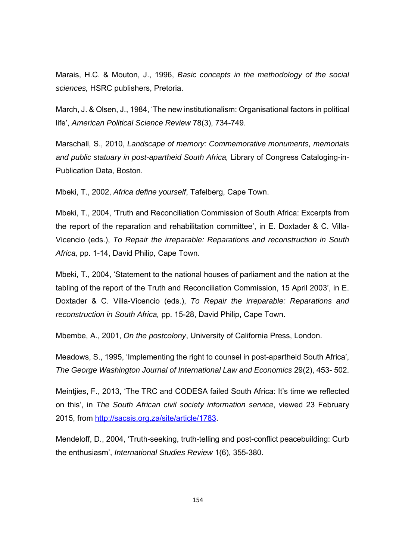Marais, H.C. & Mouton, J., 1996, *Basic concepts in the methodology of the social sciences,* HSRC publishers, Pretoria.

March, J. & Olsen, J., 1984, 'The new institutionalism: Organisational factors in political life', *American Political Science Review* 78(3), 734-749.

Marschall, S., 2010, *Landscape of memory: Commemorative monuments, memorials and public statuary in post-apartheid South Africa,* Library of Congress Cataloging-in-Publication Data, Boston.

Mbeki, T., 2002, *Africa define yourself*, Tafelberg, Cape Town.

Mbeki, T., 2004, 'Truth and Reconciliation Commission of South Africa: Excerpts from the report of the reparation and rehabilitation committee', in E. Doxtader & C. Villa-Vicencio (eds.), *To Repair the irreparable: Reparations and reconstruction in South Africa,* pp. 1-14, David Philip, Cape Town.

Mbeki, T., 2004, 'Statement to the national houses of parliament and the nation at the tabling of the report of the Truth and Reconciliation Commission, 15 April 2003', in E. Doxtader & C. Villa-Vicencio (eds.), *To Repair the irreparable: Reparations and reconstruction in South Africa,* pp. 15-28, David Philip, Cape Town.

Mbembe, A., 2001, *On the postcolony*, University of California Press, London.

Meadows, S., 1995, 'Implementing the right to counsel in post-apartheid South Africa', *The George Washington Journal of International Law and Economics* 29(2), 453- 502.

Meintjies, F., 2013, 'The TRC and CODESA failed South Africa: It's time we reflected on this', in *The South African civil society information service*, viewed 23 February 2015, from http://sacsis.org.za/site/article/1783.

Mendeloff, D., 2004, 'Truth-seeking, truth-telling and post-conflict peacebuilding: Curb the enthusiasm', *International Studies Review* 1(6), 355-380.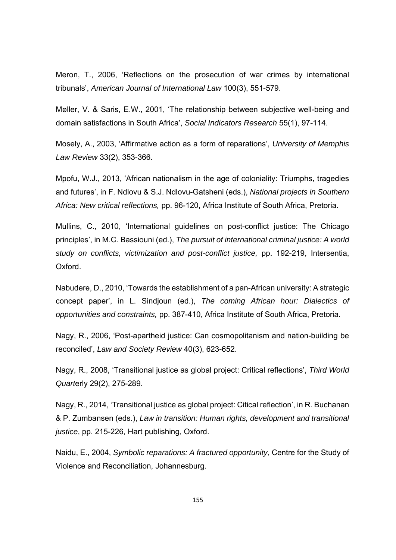Meron, T., 2006, 'Reflections on the prosecution of war crimes by international tribunals', *American Journal of International Law* 100(3), 551-579.

Møller, V. & Saris, E.W., 2001, 'The relationship between subjective well-being and domain satisfactions in South Africa', *Social Indicators Research* 55(1), 97-114.

Mosely, A., 2003, 'Affirmative action as a form of reparations', *University of Memphis Law Review* 33(2), 353-366.

Mpofu, W.J., 2013, 'African nationalism in the age of coloniality: Triumphs, tragedies and futures', in F. Ndlovu & S.J. Ndlovu-Gatsheni (eds.), *National projects in Southern Africa: New critical reflections,* pp. 96-120, Africa Institute of South Africa, Pretoria.

Mullins, C., 2010, 'International guidelines on post-conflict justice: The Chicago principles', in M.C. Bassiouni (ed.), *The pursuit of international criminal justice: A world study on conflicts, victimization and post-conflict justice,* pp. 192-219, Intersentia, Oxford.

Nabudere, D., 2010, 'Towards the establishment of a pan-African university: A strategic concept paper', in L. Sindjoun (ed.), *The coming African hour: Dialectics of opportunities and constraints,* pp. 387-410, Africa Institute of South Africa, Pretoria.

Nagy, R., 2006, 'Post-apartheid justice: Can cosmopolitanism and nation-building be reconciled', *Law and Society Review* 40(3), 623-652.

Nagy, R., 2008, 'Transitional justice as global project: Critical reflections', *Third World Quart*erly 29(2), 275-289.

Nagy, R., 2014, 'Transitional justice as global project: Citical reflection', in R. Buchanan & P. Zumbansen (eds.), *Law in transition: Human rights, development and transitional justice*, pp. 215-226, Hart publishing, Oxford.

Naidu, E., 2004, *Symbolic reparations: A fractured opportunity*, Centre for the Study of Violence and Reconciliation, Johannesburg.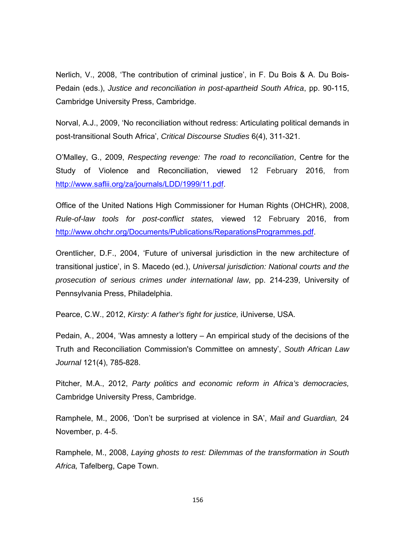Nerlich, V., 2008, 'The contribution of criminal justice', in F. Du Bois & A. Du Bois-Pedain (eds.), *Justice and reconciliation in post-apartheid South Africa*, pp. 90-115, Cambridge University Press, Cambridge.

Norval, A.J., 2009, 'No reconciliation without redress: Articulating political demands in post-transitional South Africa', *Critical Discourse Studies* 6(4), 311-321.

O'Malley, G., 2009, *Respecting revenge: The road to reconciliation*, Centre for the Study of Violence and Reconciliation, viewed 12 February 2016, from http://www.saflii.org/za/journals/LDD/1999/11.pdf.

Office of the United Nations High Commissioner for Human Rights (OHCHR), 2008, *Rule-of-law tools for post-conflict states,* viewed 12 February 2016, from http://www.ohchr.org/Documents/Publications/ReparationsProgrammes.pdf.

Orentlicher, D.F., 2004, 'Future of universal jurisdiction in the new architecture of transitional justice', in S. Macedo (ed.), *Universal jurisdiction: National courts and the prosecution of serious crimes under international law*, pp. 214-239, University of Pennsylvania Press, Philadelphia.

Pearce, C.W., 2012, *Kirsty: A father's fight for justice,* iUniverse, USA.

Pedain, A., 2004, 'Was amnesty a lottery – An empirical study of the decisions of the Truth and Reconciliation Commission's Committee on amnesty', *South African Law Journal* 121(4), 785-828.

Pitcher, M.A., 2012, *Party politics and economic reform in Africa's democracies,*  Cambridge University Press, Cambridge.

Ramphele, M., 2006, 'Don't be surprised at violence in SA', *Mail and Guardian,* 24 November, p. 4-5.

Ramphele, M., 2008, *Laying ghosts to rest: Dilemmas of the transformation in South Africa,* Tafelberg, Cape Town.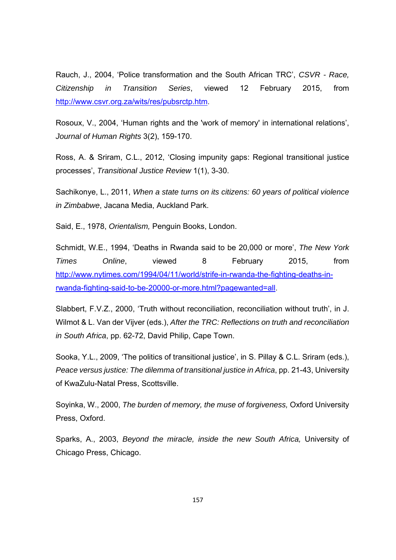Rauch, J., 2004, 'Police transformation and the South African TRC', *CSVR - Race, Citizenship in Transition Series*, viewed 12 February 2015, from http://www.csvr.org.za/wits/res/pubsrctp.htm.

Rosoux, V., 2004, 'Human rights and the 'work of memory' in international relations', *Journal of Human Rights* 3(2), 159-170.

Ross, A. & Sriram, C.L., 2012, 'Closing impunity gaps: Regional transitional justice processes', *Transitional Justice Review* 1(1), 3-30.

Sachikonye, L., 2011, *When a state turns on its citizens: 60 years of political violence in Zimbabwe*, Jacana Media, Auckland Park.

Said, E., 1978, *Orientalism,* Penguin Books, London.

Schmidt, W.E., 1994, 'Deaths in Rwanda said to be 20,000 or more', *The New York Times Online*, viewed 8 February 2015, from http://www.nytimes.com/1994/04/11/world/strife-in-rwanda-the-fighting-deaths-inrwanda-fighting-said-to-be-20000-or-more.html?pagewanted=all.

Slabbert, F.V.Z., 2000, 'Truth without reconciliation, reconciliation without truth', in J. Wilmot & L. Van der Vijver (eds.), *After the TRC: Reflections on truth and reconciliation in South Africa*, pp. 62-72, David Philip, Cape Town.

Sooka, Y.L., 2009, 'The politics of transitional justice', in S. Pillay & C.L. Sriram (eds.), *Peace versus justice: The dilemma of transitional justice in Africa*, pp. 21-43, University of KwaZulu-Natal Press, Scottsville.

Soyinka, W., 2000, *The burden of memory, the muse of forgiveness,* Oxford University Press, Oxford.

Sparks, A., 2003, *Beyond the miracle, inside the new South Africa,* University of Chicago Press, Chicago.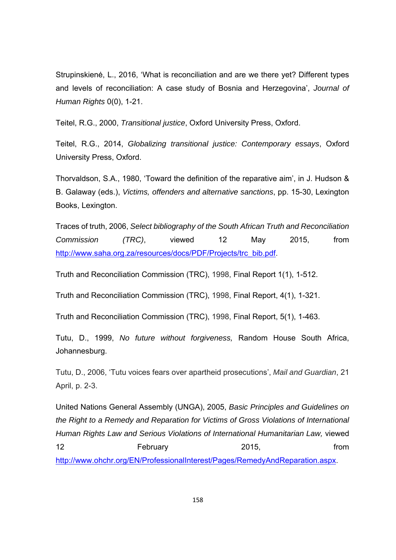Strupinskienė, L., 2016, 'What is reconciliation and are we there yet? Different types and levels of reconciliation: A case study of Bosnia and Herzegovina', *Journal of Human Rights* 0(0), 1-21.

Teitel, R.G., 2000, *Transitional justice*, Oxford University Press, Oxford.

Teitel, R.G., 2014, *Globalizing transitional justice: Contemporary essays*, Oxford University Press, Oxford.

Thorvaldson, S.A., 1980, 'Toward the definition of the reparative aim', in J. Hudson & B. Galaway (eds.), *Victims, offenders and alternative sanctions*, pp. 15-30, Lexington Books, Lexington.

Traces of truth, 2006, *Select bibliography of the South African Truth and Reconciliation Commission (TRC)*, viewed 12 May 2015, from http://www.saha.org.za/resources/docs/PDF/Projects/trc\_bib.pdf.

Truth and Reconciliation Commission (TRC), 1998, Final Report 1(1), 1-512.

Truth and Reconciliation Commission (TRC), 1998, Final Report, 4(1), 1-321.

Truth and Reconciliation Commission (TRC), 1998, Final Report, 5(1), 1-463.

Tutu, D., 1999, *No future without forgiveness,* Random House South Africa, Johannesburg.

Tutu, D., 2006, 'Tutu voices fears over apartheid prosecutions', *Mail and Guardian*, 21 April, p. 2-3.

United Nations General Assembly (UNGA), 2005, *Basic Principles and Guidelines on the Right to a Remedy and Reparation for Victims of Gross Violations of International Human Rights Law and Serious Violations of International Humanitarian Law,* viewed 12 February 2015, from

http://www.ohchr.org/EN/ProfessionalInterest/Pages/RemedyAndReparation.aspx.